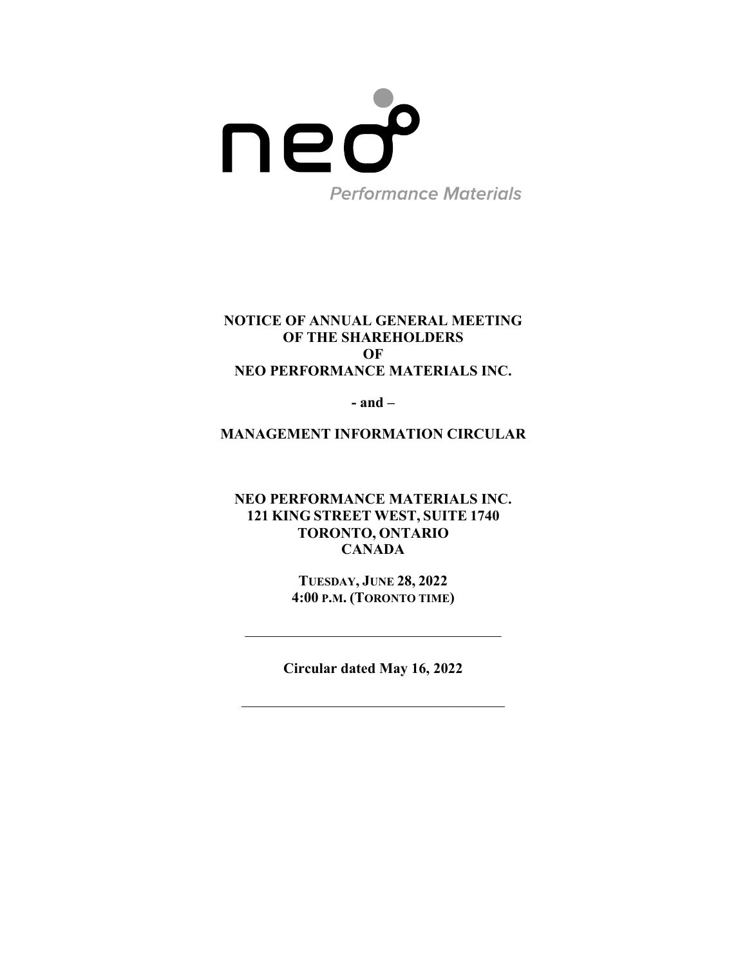

# **NOTICE OF ANNUAL GENERAL MEETING OF THE SHAREHOLDERS OF NEO PERFORMANCE MATERIALS INC.**

**- and –** 

**MANAGEMENT INFORMATION CIRCULAR** 

**NEO PERFORMANCE MATERIALS INC. 121 KING STREET WEST, SUITE 1740 TORONTO, ONTARIO CANADA** 

> **TUESDAY, JUNE 28, 2022 4:00 P.M. (TORONTO TIME)**

**Circular dated May 16, 2022**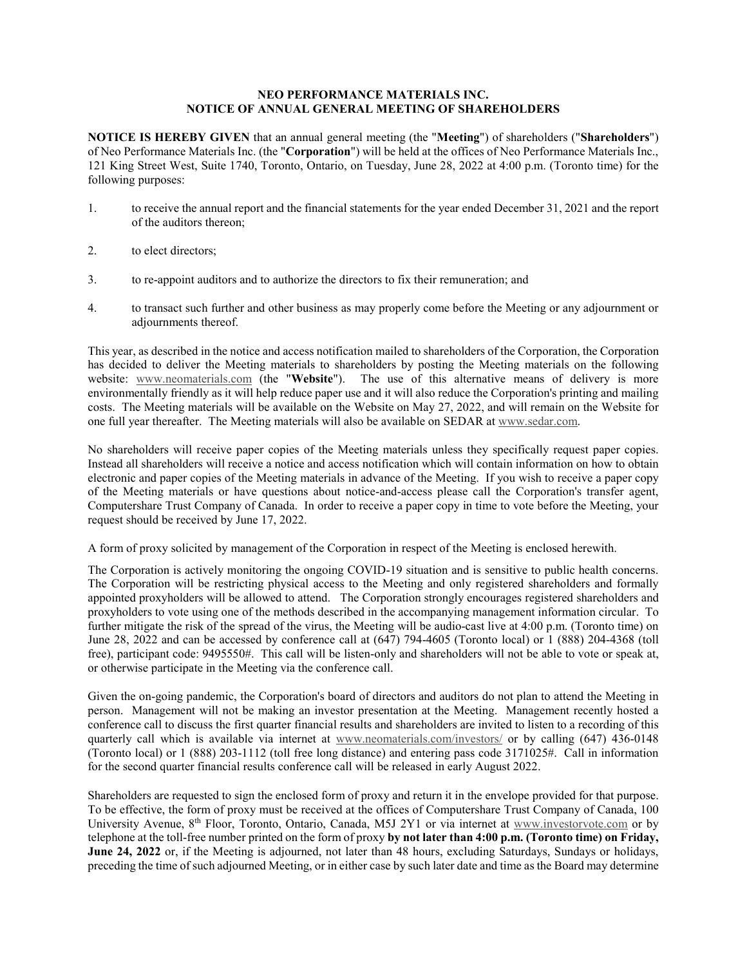# **NEO PERFORMANCE MATERIALS INC. NOTICE OF ANNUAL GENERAL MEETING OF SHAREHOLDERS**

**NOTICE IS HEREBY GIVEN** that an annual general meeting (the "**Meeting**") of shareholders ("**Shareholders**") of Neo Performance Materials Inc. (the "**Corporation**") will be held at the offices of Neo Performance Materials Inc., 121 King Street West, Suite 1740, Toronto, Ontario, on Tuesday, June 28, 2022 at 4:00 p.m. (Toronto time) for the following purposes:

- 1. to receive the annual report and the financial statements for the year ended December 31, 2021 and the report of the auditors thereon;
- 2. to elect directors;
- 3. to re-appoint auditors and to authorize the directors to fix their remuneration; and
- 4. to transact such further and other business as may properly come before the Meeting or any adjournment or adjournments thereof.

This year, as described in the notice and access notification mailed to shareholders of the Corporation, the Corporation has decided to deliver the Meeting materials to shareholders by posting the Meeting materials on the following website: www.neomaterials.com (the "**Website**"). The use of this alternative means of delivery is more environmentally friendly as it will help reduce paper use and it will also reduce the Corporation's printing and mailing costs. The Meeting materials will be available on the Website on May 27, 2022, and will remain on the Website for one full year thereafter. The Meeting materials will also be available on SEDAR at www.sedar.com.

No shareholders will receive paper copies of the Meeting materials unless they specifically request paper copies. Instead all shareholders will receive a notice and access notification which will contain information on how to obtain electronic and paper copies of the Meeting materials in advance of the Meeting. If you wish to receive a paper copy of the Meeting materials or have questions about notice-and-access please call the Corporation's transfer agent, Computershare Trust Company of Canada. In order to receive a paper copy in time to vote before the Meeting, your request should be received by June 17, 2022.

A form of proxy solicited by management of the Corporation in respect of the Meeting is enclosed herewith.

The Corporation is actively monitoring the ongoing COVID-19 situation and is sensitive to public health concerns. The Corporation will be restricting physical access to the Meeting and only registered shareholders and formally appointed proxyholders will be allowed to attend. The Corporation strongly encourages registered shareholders and proxyholders to vote using one of the methods described in the accompanying management information circular. To further mitigate the risk of the spread of the virus, the Meeting will be audio-cast live at 4:00 p.m. (Toronto time) on June 28, 2022 and can be accessed by conference call at (647) 794-4605 (Toronto local) or 1 (888) 204-4368 (toll free), participant code: 9495550#. This call will be listen-only and shareholders will not be able to vote or speak at, or otherwise participate in the Meeting via the conference call.

Given the on-going pandemic, the Corporation's board of directors and auditors do not plan to attend the Meeting in person. Management will not be making an investor presentation at the Meeting. Management recently hosted a conference call to discuss the first quarter financial results and shareholders are invited to listen to a recording of this quarterly call which is available via internet at www.neomaterials.com/investors/ or by calling (647) 436-0148 (Toronto local) or 1 (888) 203-1112 (toll free long distance) and entering pass code 3171025#. Call in information for the second quarter financial results conference call will be released in early August 2022.

Shareholders are requested to sign the enclosed form of proxy and return it in the envelope provided for that purpose. To be effective, the form of proxy must be received at the offices of Computershare Trust Company of Canada, 100 University Avenue, 8<sup>th</sup> Floor, Toronto, Ontario, Canada, M5J 2Y1 or via internet at www.investorvote.com or by telephone at the toll-free number printed on the form of proxy **by not later than 4:00 p.m. (Toronto time) on Friday, June 24, 2022** or, if the Meeting is adjourned, not later than 48 hours, excluding Saturdays, Sundays or holidays, preceding the time of such adjourned Meeting, or in either case by such later date and time as the Board may determine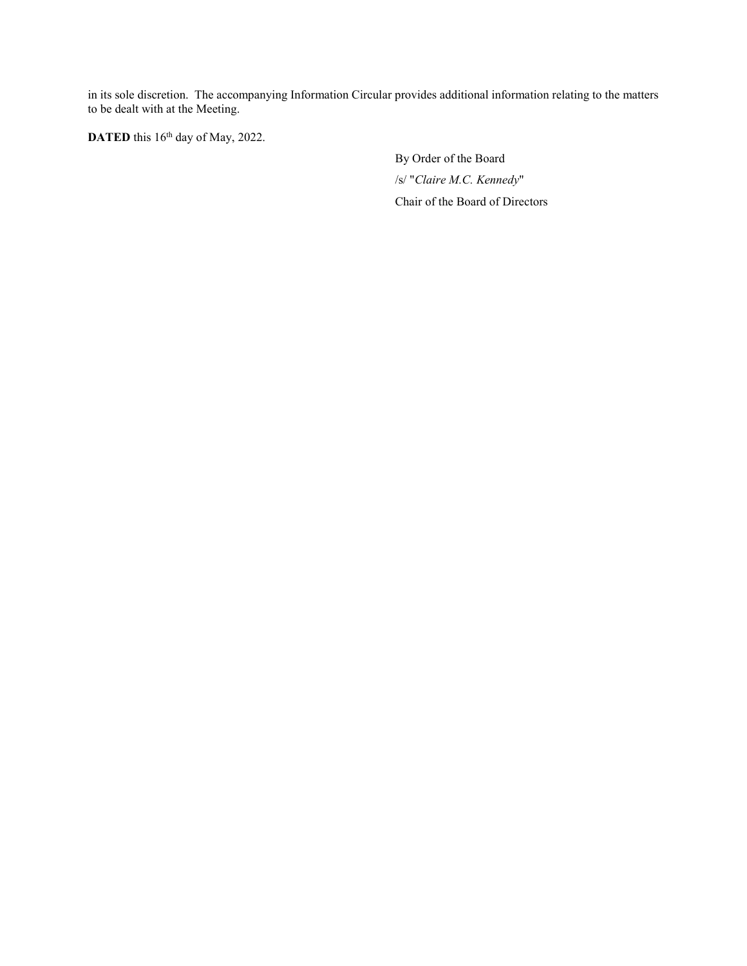in its sole discretion. The accompanying Information Circular provides additional information relating to the matters to be dealt with at the Meeting.

DATED this 16<sup>th</sup> day of May, 2022.

By Order of the Board /s/ "*Claire M.C. Kennedy*" Chair of the Board of Directors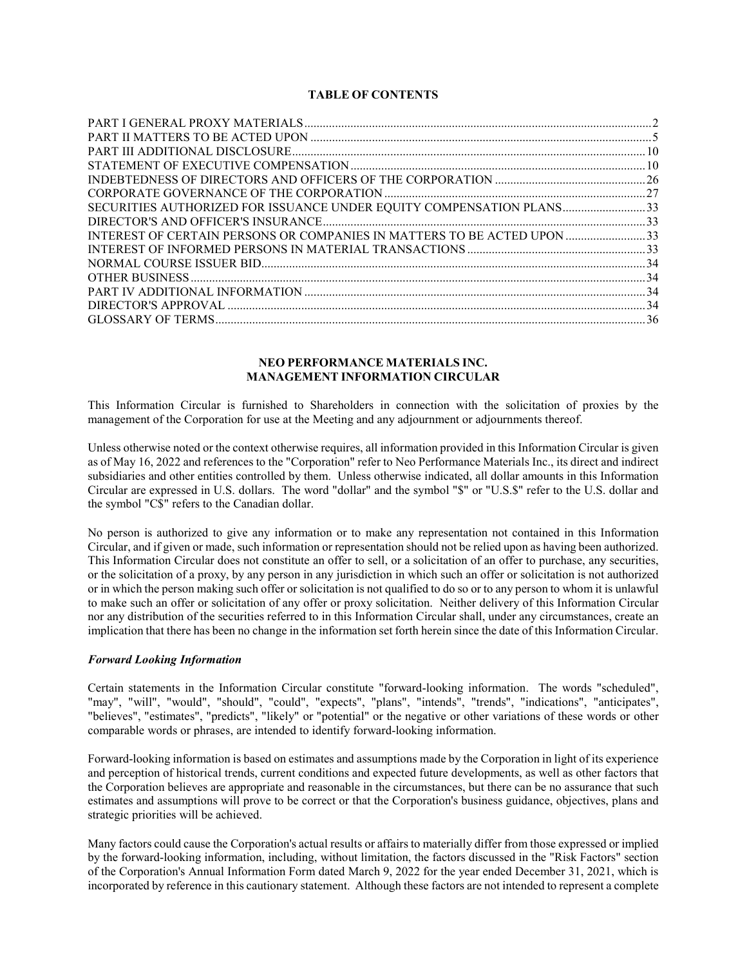# **TABLE OF CONTENTS**

| SECURITIES AUTHORIZED FOR ISSUANCE UNDER EQUITY COMPENSATION PLANS33    |  |
|-------------------------------------------------------------------------|--|
|                                                                         |  |
| INTEREST OF CERTAIN PERSONS OR COMPANIES IN MATTERS TO BE ACTED UPON 33 |  |
|                                                                         |  |
|                                                                         |  |
|                                                                         |  |
|                                                                         |  |
|                                                                         |  |
|                                                                         |  |
|                                                                         |  |

# **NEO PERFORMANCE MATERIALS INC. MANAGEMENT INFORMATION CIRCULAR**

This Information Circular is furnished to Shareholders in connection with the solicitation of proxies by the management of the Corporation for use at the Meeting and any adjournment or adjournments thereof.

Unless otherwise noted or the context otherwise requires, all information provided in this Information Circular is given as of May 16, 2022 and references to the "Corporation" refer to Neo Performance Materials Inc., its direct and indirect subsidiaries and other entities controlled by them. Unless otherwise indicated, all dollar amounts in this Information Circular are expressed in U.S. dollars. The word "dollar" and the symbol "\$" or "U.S.\$" refer to the U.S. dollar and the symbol "C\$" refers to the Canadian dollar.

No person is authorized to give any information or to make any representation not contained in this Information Circular, and if given or made, such information or representation should not be relied upon as having been authorized. This Information Circular does not constitute an offer to sell, or a solicitation of an offer to purchase, any securities, or the solicitation of a proxy, by any person in any jurisdiction in which such an offer or solicitation is not authorized or in which the person making such offer or solicitation is not qualified to do so or to any person to whom it is unlawful to make such an offer or solicitation of any offer or proxy solicitation. Neither delivery of this Information Circular nor any distribution of the securities referred to in this Information Circular shall, under any circumstances, create an implication that there has been no change in the information set forth herein since the date of this Information Circular.

# *Forward Looking Information*

Certain statements in the Information Circular constitute "forward-looking information. The words "scheduled", "may", "will", "would", "should", "could", "expects", "plans", "intends", "trends", "indications", "anticipates", "believes", "estimates", "predicts", "likely" or "potential" or the negative or other variations of these words or other comparable words or phrases, are intended to identify forward-looking information.

Forward-looking information is based on estimates and assumptions made by the Corporation in light of its experience and perception of historical trends, current conditions and expected future developments, as well as other factors that the Corporation believes are appropriate and reasonable in the circumstances, but there can be no assurance that such estimates and assumptions will prove to be correct or that the Corporation's business guidance, objectives, plans and strategic priorities will be achieved.

Many factors could cause the Corporation's actual results or affairs to materially differ from those expressed or implied by the forward-looking information, including, without limitation, the factors discussed in the "Risk Factors" section of the Corporation's Annual Information Form dated March 9, 2022 for the year ended December 31, 2021, which is incorporated by reference in this cautionary statement. Although these factors are not intended to represent a complete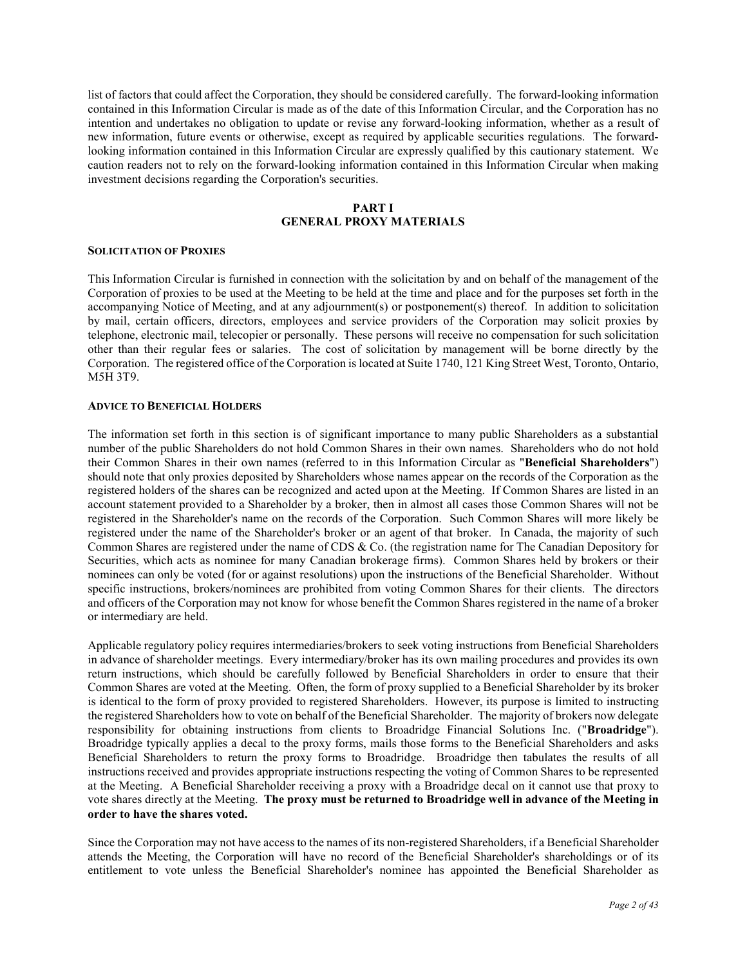list of factors that could affect the Corporation, they should be considered carefully. The forward-looking information contained in this Information Circular is made as of the date of this Information Circular, and the Corporation has no intention and undertakes no obligation to update or revise any forward-looking information, whether as a result of new information, future events or otherwise, except as required by applicable securities regulations. The forwardlooking information contained in this Information Circular are expressly qualified by this cautionary statement. We caution readers not to rely on the forward-looking information contained in this Information Circular when making investment decisions regarding the Corporation's securities.

# **PART I GENERAL PROXY MATERIALS**

### **SOLICITATION OF PROXIES**

This Information Circular is furnished in connection with the solicitation by and on behalf of the management of the Corporation of proxies to be used at the Meeting to be held at the time and place and for the purposes set forth in the accompanying Notice of Meeting, and at any adjournment(s) or postponement(s) thereof. In addition to solicitation by mail, certain officers, directors, employees and service providers of the Corporation may solicit proxies by telephone, electronic mail, telecopier or personally. These persons will receive no compensation for such solicitation other than their regular fees or salaries. The cost of solicitation by management will be borne directly by the Corporation. The registered office of the Corporation is located at Suite 1740, 121 King Street West, Toronto, Ontario, M5H 3T9.

### **ADVICE TO BENEFICIAL HOLDERS**

The information set forth in this section is of significant importance to many public Shareholders as a substantial number of the public Shareholders do not hold Common Shares in their own names. Shareholders who do not hold their Common Shares in their own names (referred to in this Information Circular as "**Beneficial Shareholders**") should note that only proxies deposited by Shareholders whose names appear on the records of the Corporation as the registered holders of the shares can be recognized and acted upon at the Meeting. If Common Shares are listed in an account statement provided to a Shareholder by a broker, then in almost all cases those Common Shares will not be registered in the Shareholder's name on the records of the Corporation. Such Common Shares will more likely be registered under the name of the Shareholder's broker or an agent of that broker. In Canada, the majority of such Common Shares are registered under the name of CDS & Co. (the registration name for The Canadian Depository for Securities, which acts as nominee for many Canadian brokerage firms). Common Shares held by brokers or their nominees can only be voted (for or against resolutions) upon the instructions of the Beneficial Shareholder. Without specific instructions, brokers/nominees are prohibited from voting Common Shares for their clients. The directors and officers of the Corporation may not know for whose benefit the Common Shares registered in the name of a broker or intermediary are held.

Applicable regulatory policy requires intermediaries/brokers to seek voting instructions from Beneficial Shareholders in advance of shareholder meetings. Every intermediary/broker has its own mailing procedures and provides its own return instructions, which should be carefully followed by Beneficial Shareholders in order to ensure that their Common Shares are voted at the Meeting. Often, the form of proxy supplied to a Beneficial Shareholder by its broker is identical to the form of proxy provided to registered Shareholders. However, its purpose is limited to instructing the registered Shareholders how to vote on behalf of the Beneficial Shareholder. The majority of brokers now delegate responsibility for obtaining instructions from clients to Broadridge Financial Solutions Inc. ("**Broadridge**"). Broadridge typically applies a decal to the proxy forms, mails those forms to the Beneficial Shareholders and asks Beneficial Shareholders to return the proxy forms to Broadridge. Broadridge then tabulates the results of all instructions received and provides appropriate instructions respecting the voting of Common Shares to be represented at the Meeting. A Beneficial Shareholder receiving a proxy with a Broadridge decal on it cannot use that proxy to vote shares directly at the Meeting. **The proxy must be returned to Broadridge well in advance of the Meeting in order to have the shares voted.**

Since the Corporation may not have access to the names of its non-registered Shareholders, if a Beneficial Shareholder attends the Meeting, the Corporation will have no record of the Beneficial Shareholder's shareholdings or of its entitlement to vote unless the Beneficial Shareholder's nominee has appointed the Beneficial Shareholder as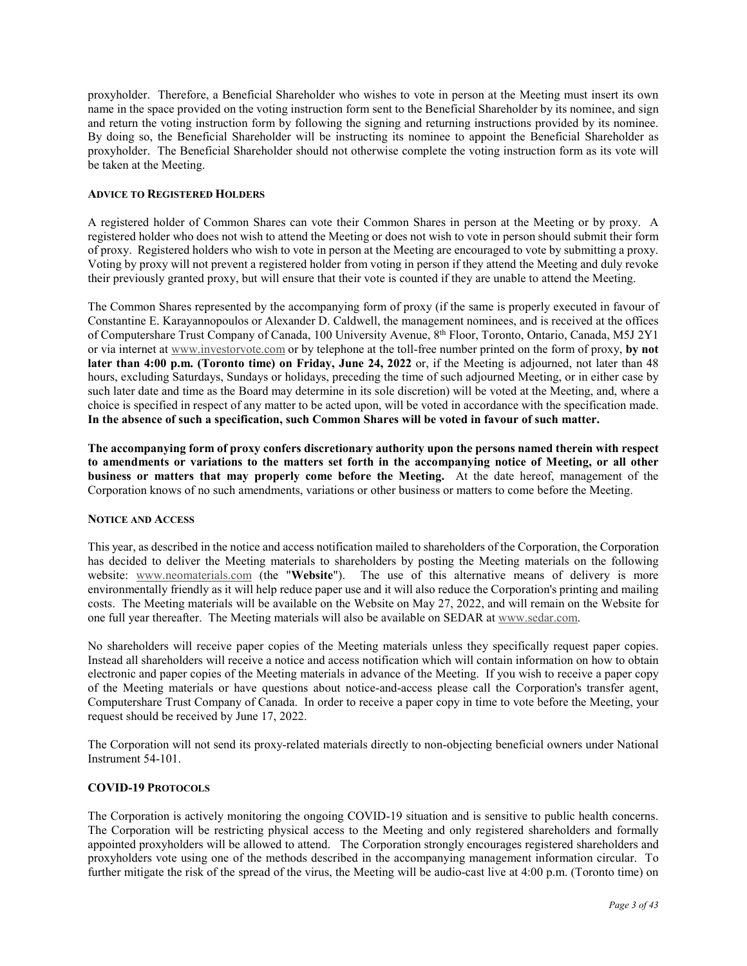proxyholder. Therefore, a Beneficial Shareholder who wishes to vote in person at the Meeting must insert its own name in the space provided on the voting instruction form sent to the Beneficial Shareholder by its nominee, and sign and return the voting instruction form by following the signing and returning instructions provided by its nominee. By doing so, the Beneficial Shareholder will be instructing its nominee to appoint the Beneficial Shareholder as proxyholder. The Beneficial Shareholder should not otherwise complete the voting instruction form as its vote will be taken at the Meeting.

# **ADVICE TO REGISTERED HOLDERS**

A registered holder of Common Shares can vote their Common Shares in person at the Meeting or by proxy. A registered holder who does not wish to attend the Meeting or does not wish to vote in person should submit their form of proxy. Registered holders who wish to vote in person at the Meeting are encouraged to vote by submitting a proxy. Voting by proxy will not prevent a registered holder from voting in person if they attend the Meeting and duly revoke their previously granted proxy, but will ensure that their vote is counted if they are unable to attend the Meeting.

The Common Shares represented by the accompanying form of proxy (if the same is properly executed in favour of Constantine E. Karayannopoulos or Alexander D. Caldwell, the management nominees, and is received at the offices of Computershare Trust Company of Canada, 100 University Avenue, 8th Floor, Toronto, Ontario, Canada, M5J 2Y1 or via internet at www.investorvote.com or by telephone at the toll-free number printed on the form of proxy, **by not later than 4:00 p.m. (Toronto time) on Friday, June 24, 2022** or, if the Meeting is adjourned, not later than 48 hours, excluding Saturdays, Sundays or holidays, preceding the time of such adjourned Meeting, or in either case by such later date and time as the Board may determine in its sole discretion) will be voted at the Meeting, and, where a choice is specified in respect of any matter to be acted upon, will be voted in accordance with the specification made. **In the absence of such a specification, such Common Shares will be voted in favour of such matter.**

**The accompanying form of proxy confers discretionary authority upon the persons named therein with respect to amendments or variations to the matters set forth in the accompanying notice of Meeting, or all other business or matters that may properly come before the Meeting.** At the date hereof, management of the Corporation knows of no such amendments, variations or other business or matters to come before the Meeting.

# **NOTICE AND ACCESS**

This year, as described in the notice and access notification mailed to shareholders of the Corporation, the Corporation has decided to deliver the Meeting materials to shareholders by posting the Meeting materials on the following website: www.neomaterials.com (the "**Website**"). The use of this alternative means of delivery is more environmentally friendly as it will help reduce paper use and it will also reduce the Corporation's printing and mailing costs. The Meeting materials will be available on the Website on May 27, 2022, and will remain on the Website for one full year thereafter. The Meeting materials will also be available on SEDAR at www.sedar.com.

No shareholders will receive paper copies of the Meeting materials unless they specifically request paper copies. Instead all shareholders will receive a notice and access notification which will contain information on how to obtain electronic and paper copies of the Meeting materials in advance of the Meeting. If you wish to receive a paper copy of the Meeting materials or have questions about notice-and-access please call the Corporation's transfer agent, Computershare Trust Company of Canada. In order to receive a paper copy in time to vote before the Meeting, your request should be received by June 17, 2022.

The Corporation will not send its proxy-related materials directly to non-objecting beneficial owners under National Instrument 54-101.

# **COVID-19 PROTOCOLS**

The Corporation is actively monitoring the ongoing COVID-19 situation and is sensitive to public health concerns. The Corporation will be restricting physical access to the Meeting and only registered shareholders and formally appointed proxyholders will be allowed to attend. The Corporation strongly encourages registered shareholders and proxyholders vote using one of the methods described in the accompanying management information circular. To further mitigate the risk of the spread of the virus, the Meeting will be audio-cast live at 4:00 p.m. (Toronto time) on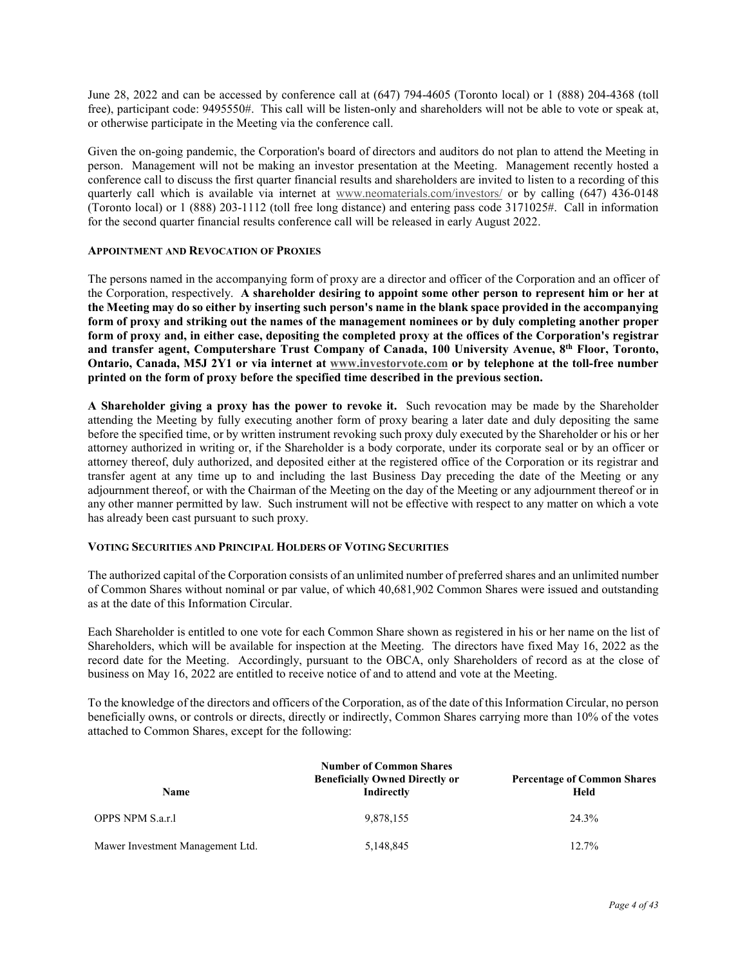June 28, 2022 and can be accessed by conference call at (647) 794-4605 (Toronto local) or 1 (888) 204-4368 (toll free), participant code: 9495550#. This call will be listen-only and shareholders will not be able to vote or speak at, or otherwise participate in the Meeting via the conference call.

Given the on-going pandemic, the Corporation's board of directors and auditors do not plan to attend the Meeting in person. Management will not be making an investor presentation at the Meeting. Management recently hosted a conference call to discuss the first quarter financial results and shareholders are invited to listen to a recording of this quarterly call which is available via internet at www.neomaterials.com/investors/ or by calling (647) 436-0148 (Toronto local) or 1 (888) 203-1112 (toll free long distance) and entering pass code 3171025#. Call in information for the second quarter financial results conference call will be released in early August 2022.

# **APPOINTMENT AND REVOCATION OF PROXIES**

The persons named in the accompanying form of proxy are a director and officer of the Corporation and an officer of the Corporation, respectively. **A shareholder desiring to appoint some other person to represent him or her at the Meeting may do so either by inserting such person's name in the blank space provided in the accompanying form of proxy and striking out the names of the management nominees or by duly completing another proper form of proxy and, in either case, depositing the completed proxy at the offices of the Corporation's registrar and transfer agent, Computershare Trust Company of Canada, 100 University Avenue, 8th Floor, Toronto, Ontario, Canada, M5J 2Y1 or via internet at www.investorvote.com or by telephone at the toll-free number printed on the form of proxy before the specified time described in the previous section.**

**A Shareholder giving a proxy has the power to revoke it.** Such revocation may be made by the Shareholder attending the Meeting by fully executing another form of proxy bearing a later date and duly depositing the same before the specified time, or by written instrument revoking such proxy duly executed by the Shareholder or his or her attorney authorized in writing or, if the Shareholder is a body corporate, under its corporate seal or by an officer or attorney thereof, duly authorized, and deposited either at the registered office of the Corporation or its registrar and transfer agent at any time up to and including the last Business Day preceding the date of the Meeting or any adjournment thereof, or with the Chairman of the Meeting on the day of the Meeting or any adjournment thereof or in any other manner permitted by law. Such instrument will not be effective with respect to any matter on which a vote has already been cast pursuant to such proxy.

# **VOTING SECURITIES AND PRINCIPAL HOLDERS OF VOTING SECURITIES**

The authorized capital of the Corporation consists of an unlimited number of preferred shares and an unlimited number of Common Shares without nominal or par value, of which 40,681,902 Common Shares were issued and outstanding as at the date of this Information Circular.

Each Shareholder is entitled to one vote for each Common Share shown as registered in his or her name on the list of Shareholders, which will be available for inspection at the Meeting. The directors have fixed May 16, 2022 as the record date for the Meeting. Accordingly, pursuant to the OBCA, only Shareholders of record as at the close of business on May 16, 2022 are entitled to receive notice of and to attend and vote at the Meeting.

To the knowledge of the directors and officers of the Corporation, as of the date of this Information Circular, no person beneficially owns, or controls or directs, directly or indirectly, Common Shares carrying more than 10% of the votes attached to Common Shares, except for the following:

| <b>Number of Common Shares</b><br><b>Beneficially Owned Directly or</b><br><b>Percentage of Common Shares</b><br>Indirectly<br>Held<br><b>Name</b> |           |       |  |
|----------------------------------------------------------------------------------------------------------------------------------------------------|-----------|-------|--|
| OPPS NPM S.a.r.1                                                                                                                                   | 9,878,155 | 24.3% |  |
| Mawer Investment Management Ltd.                                                                                                                   | 5,148,845 | 12.7% |  |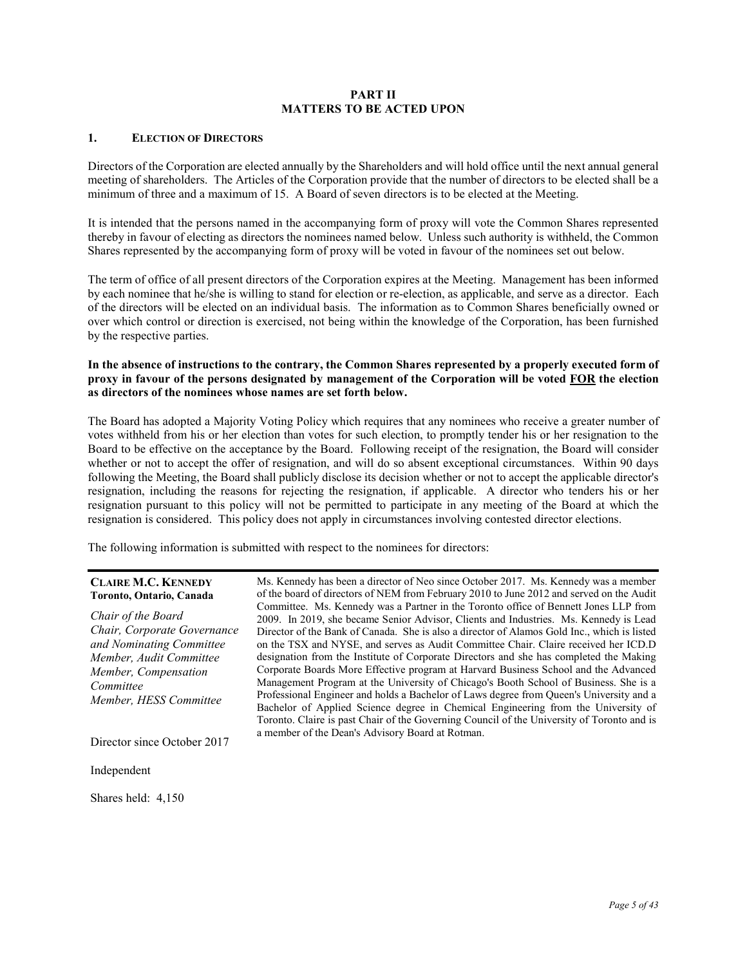# **PART II MATTERS TO BE ACTED UPON**

# **1. ELECTION OF DIRECTORS**

Directors of the Corporation are elected annually by the Shareholders and will hold office until the next annual general meeting of shareholders. The Articles of the Corporation provide that the number of directors to be elected shall be a minimum of three and a maximum of 15. A Board of seven directors is to be elected at the Meeting.

It is intended that the persons named in the accompanying form of proxy will vote the Common Shares represented thereby in favour of electing as directors the nominees named below. Unless such authority is withheld, the Common Shares represented by the accompanying form of proxy will be voted in favour of the nominees set out below.

The term of office of all present directors of the Corporation expires at the Meeting. Management has been informed by each nominee that he/she is willing to stand for election or re-election, as applicable, and serve as a director. Each of the directors will be elected on an individual basis. The information as to Common Shares beneficially owned or over which control or direction is exercised, not being within the knowledge of the Corporation, has been furnished by the respective parties.

# **In the absence of instructions to the contrary, the Common Shares represented by a properly executed form of proxy in favour of the persons designated by management of the Corporation will be voted FOR the election as directors of the nominees whose names are set forth below.**

The Board has adopted a Majority Voting Policy which requires that any nominees who receive a greater number of votes withheld from his or her election than votes for such election, to promptly tender his or her resignation to the Board to be effective on the acceptance by the Board. Following receipt of the resignation, the Board will consider whether or not to accept the offer of resignation, and will do so absent exceptional circumstances. Within 90 days following the Meeting, the Board shall publicly disclose its decision whether or not to accept the applicable director's resignation, including the reasons for rejecting the resignation, if applicable. A director who tenders his or her resignation pursuant to this policy will not be permitted to participate in any meeting of the Board at which the resignation is considered. This policy does not apply in circumstances involving contested director elections.

The following information is submitted with respect to the nominees for directors:

### **CLAIRE M.C. KENNEDY Toronto, Ontario, Canada**

*Chair of the Board Chair, Corporate Governance and Nominating Committee Member, Audit Committee Member, Compensation Committee Member, HESS Committee* 

Ms. Kennedy has been a director of Neo since October 2017. Ms. Kennedy was a member of the board of directors of NEM from February 2010 to June 2012 and served on the Audit Committee. Ms. Kennedy was a Partner in the Toronto office of Bennett Jones LLP from 2009. In 2019, she became Senior Advisor, Clients and Industries. Ms. Kennedy is Lead Director of the Bank of Canada. She is also a director of Alamos Gold Inc., which is listed on the TSX and NYSE, and serves as Audit Committee Chair. Claire received her ICD.D designation from the Institute of Corporate Directors and she has completed the Making Corporate Boards More Effective program at Harvard Business School and the Advanced Management Program at the University of Chicago's Booth School of Business. She is a Professional Engineer and holds a Bachelor of Laws degree from Queen's University and a Bachelor of Applied Science degree in Chemical Engineering from the University of Toronto. Claire is past Chair of the Governing Council of the University of Toronto and is a member of the Dean's Advisory Board at Rotman.

Director since October 2017

Independent

Shares held: 4,150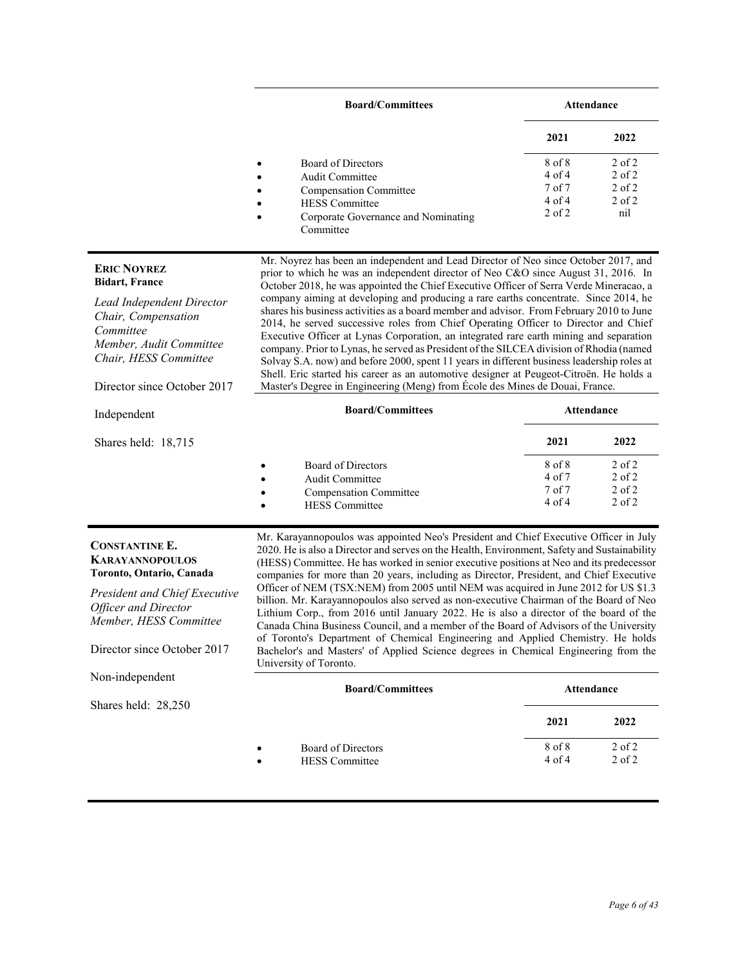|                                                                                                                                                                                                             | <b>Board/Committees</b>                                                                                                                                                                                                                                                                                                                                                                                                                                                                                                                                                                                                                                                                                                                                                                                                                                                                                                                                                                                      | <b>Attendance</b>                                              |                                                             |
|-------------------------------------------------------------------------------------------------------------------------------------------------------------------------------------------------------------|--------------------------------------------------------------------------------------------------------------------------------------------------------------------------------------------------------------------------------------------------------------------------------------------------------------------------------------------------------------------------------------------------------------------------------------------------------------------------------------------------------------------------------------------------------------------------------------------------------------------------------------------------------------------------------------------------------------------------------------------------------------------------------------------------------------------------------------------------------------------------------------------------------------------------------------------------------------------------------------------------------------|----------------------------------------------------------------|-------------------------------------------------------------|
|                                                                                                                                                                                                             |                                                                                                                                                                                                                                                                                                                                                                                                                                                                                                                                                                                                                                                                                                                                                                                                                                                                                                                                                                                                              | 2021                                                           | 2022                                                        |
|                                                                                                                                                                                                             | Board of Directors<br>Audit Committee<br><b>Compensation Committee</b><br><b>HESS</b> Committee<br>Corporate Governance and Nominating<br>Committee                                                                                                                                                                                                                                                                                                                                                                                                                                                                                                                                                                                                                                                                                                                                                                                                                                                          | 8 of 8<br>$4$ of $4$<br>$7$ of $7$<br>$4$ of $4$<br>$2$ of $2$ | $2$ of $2$<br>$2$ of $2$<br>$2$ of $2$<br>$2$ of $2$<br>nil |
| <b>ERIC NOYREZ</b><br><b>Bidart, France</b><br><b>Lead Independent Director</b><br>Chair, Compensation<br>Committee<br>Member, Audit Committee<br>Chair, HESS Committee<br>Director since October 2017      | Mr. Noyrez has been an independent and Lead Director of Neo since October 2017, and<br>prior to which he was an independent director of Neo C&O since August 31, 2016. In<br>October 2018, he was appointed the Chief Executive Officer of Serra Verde Mineracao, a<br>company aiming at developing and producing a rare earths concentrate. Since 2014, he<br>shares his business activities as a board member and advisor. From February 2010 to June<br>2014, he served successive roles from Chief Operating Officer to Director and Chief<br>Executive Officer at Lynas Corporation, an integrated rare earth mining and separation<br>company. Prior to Lynas, he served as President of the SILCEA division of Rhodia (named<br>Solvay S.A. now) and before 2000, spent 11 years in different business leadership roles at<br>Shell. Eric started his career as an automotive designer at Peugeot-Citroën. He holds a<br>Master's Degree in Engineering (Meng) from École des Mines de Douai, France. |                                                                |                                                             |
| Independent                                                                                                                                                                                                 | <b>Board/Committees</b>                                                                                                                                                                                                                                                                                                                                                                                                                                                                                                                                                                                                                                                                                                                                                                                                                                                                                                                                                                                      | <b>Attendance</b>                                              |                                                             |
| Shares held: 18,715                                                                                                                                                                                         |                                                                                                                                                                                                                                                                                                                                                                                                                                                                                                                                                                                                                                                                                                                                                                                                                                                                                                                                                                                                              | 2021                                                           | 2022                                                        |
|                                                                                                                                                                                                             | Board of Directors<br>٠<br>Audit Committee<br><b>Compensation Committee</b><br><b>HESS</b> Committee                                                                                                                                                                                                                                                                                                                                                                                                                                                                                                                                                                                                                                                                                                                                                                                                                                                                                                         | 8 of 8<br>$4$ of $7$<br>$7$ of $7$<br>$4$ of $4$               | $2$ of $2$<br>$2$ of $2$<br>$2$ of $2$<br>$2$ of $2$        |
| <b>CONSTANTINE E.</b><br><b>KARAYANNOPOULOS</b><br>Toronto, Ontario, Canada<br><b>President and Chief Executive</b><br><b>Officer and Director</b><br>Member, HESS Committee<br>Director since October 2017 | Mr. Karayannopoulos was appointed Neo's President and Chief Executive Officer in July<br>2020. He is also a Director and serves on the Health, Environment, Safety and Sustainability<br>(HESS) Committee. He has worked in senior executive positions at Neo and its predecessor<br>companies for more than 20 years, including as Director, President, and Chief Executive<br>Officer of NEM (TSX:NEM) from 2005 until NEM was acquired in June 2012 for US \$1.3<br>billion. Mr. Karayannopoulos also served as non-executive Chairman of the Board of Neo<br>Lithium Corp., from 2016 until January 2022. He is also a director of the board of the<br>Canada China Business Council, and a member of the Board of Advisors of the University<br>of Toronto's Department of Chemical Engineering and Applied Chemistry. He holds<br>Bachelor's and Masters' of Applied Science degrees in Chemical Engineering from the<br>University of Toronto.                                                        |                                                                |                                                             |
| Non-independent                                                                                                                                                                                             | <b>Board/Committees</b>                                                                                                                                                                                                                                                                                                                                                                                                                                                                                                                                                                                                                                                                                                                                                                                                                                                                                                                                                                                      | Attendance                                                     |                                                             |
| Shares held: 28,250                                                                                                                                                                                         |                                                                                                                                                                                                                                                                                                                                                                                                                                                                                                                                                                                                                                                                                                                                                                                                                                                                                                                                                                                                              | 2021                                                           | 2022                                                        |
|                                                                                                                                                                                                             | Board of Directors<br><b>HESS</b> Committee<br>$\bullet$                                                                                                                                                                                                                                                                                                                                                                                                                                                                                                                                                                                                                                                                                                                                                                                                                                                                                                                                                     | 8 of 8<br>$4$ of $4$                                           | $2$ of $2$<br>$2$ of $2$                                    |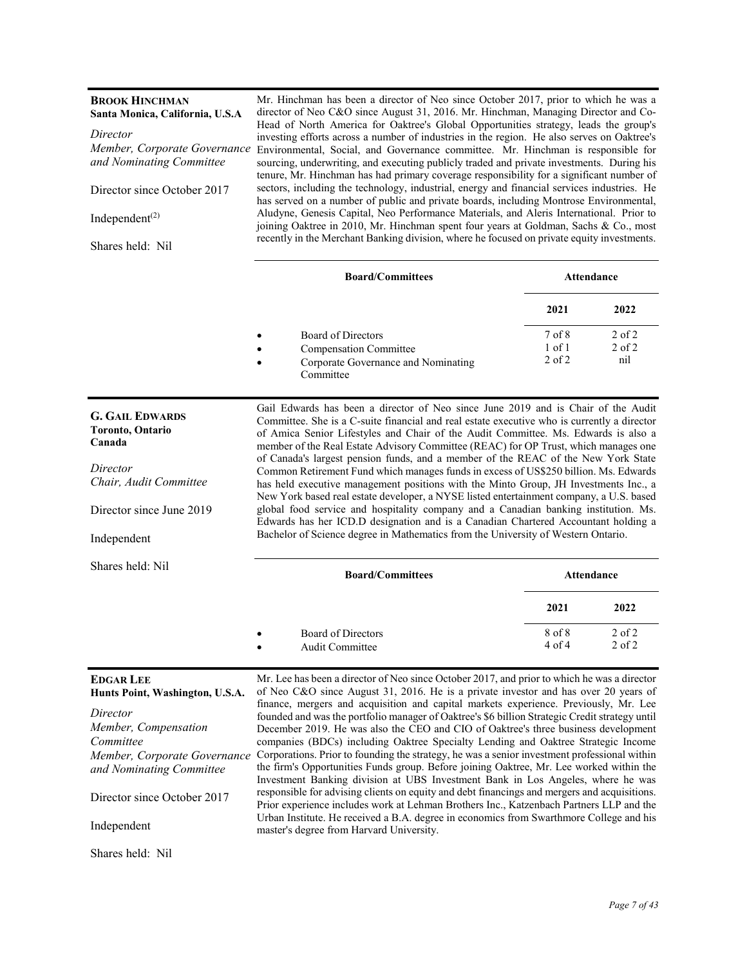| <b>BROOK HINCHMAN</b><br>Santa Monica, California, U.S.A                                                                                      | Mr. Hinchman has been a director of Neo since October 2017, prior to which he was a<br>director of Neo C&O since August 31, 2016. Mr. Hinchman, Managing Director and Co-<br>Head of North America for Oaktree's Global Opportunities strategy, leads the group's                                                                                                                                                                                                                                                                                                                                                                                                                                                                                                                                                                                                                                                                                                                               |                   |                   |
|-----------------------------------------------------------------------------------------------------------------------------------------------|-------------------------------------------------------------------------------------------------------------------------------------------------------------------------------------------------------------------------------------------------------------------------------------------------------------------------------------------------------------------------------------------------------------------------------------------------------------------------------------------------------------------------------------------------------------------------------------------------------------------------------------------------------------------------------------------------------------------------------------------------------------------------------------------------------------------------------------------------------------------------------------------------------------------------------------------------------------------------------------------------|-------------------|-------------------|
| Director                                                                                                                                      | investing efforts across a number of industries in the region. He also serves on Oaktree's                                                                                                                                                                                                                                                                                                                                                                                                                                                                                                                                                                                                                                                                                                                                                                                                                                                                                                      |                   |                   |
| Member, Corporate Governance                                                                                                                  | Environmental, Social, and Governance committee. Mr. Hinchman is responsible for                                                                                                                                                                                                                                                                                                                                                                                                                                                                                                                                                                                                                                                                                                                                                                                                                                                                                                                |                   |                   |
| and Nominating Committee                                                                                                                      | sourcing, underwriting, and executing publicly traded and private investments. During his<br>tenure, Mr. Hinchman has had primary coverage responsibility for a significant number of                                                                                                                                                                                                                                                                                                                                                                                                                                                                                                                                                                                                                                                                                                                                                                                                           |                   |                   |
| Director since October 2017                                                                                                                   | sectors, including the technology, industrial, energy and financial services industries. He<br>has served on a number of public and private boards, including Montrose Environmental,                                                                                                                                                                                                                                                                                                                                                                                                                                                                                                                                                                                                                                                                                                                                                                                                           |                   |                   |
| Independent <sup><math>(2)</math></sup>                                                                                                       | Aludyne, Genesis Capital, Neo Performance Materials, and Aleris International. Prior to<br>joining Oaktree in 2010, Mr. Hinchman spent four years at Goldman, Sachs & Co., most                                                                                                                                                                                                                                                                                                                                                                                                                                                                                                                                                                                                                                                                                                                                                                                                                 |                   |                   |
| Shares held: Nil                                                                                                                              | recently in the Merchant Banking division, where he focused on private equity investments.                                                                                                                                                                                                                                                                                                                                                                                                                                                                                                                                                                                                                                                                                                                                                                                                                                                                                                      |                   |                   |
|                                                                                                                                               | <b>Board/Committees</b>                                                                                                                                                                                                                                                                                                                                                                                                                                                                                                                                                                                                                                                                                                                                                                                                                                                                                                                                                                         |                   | <b>Attendance</b> |
|                                                                                                                                               |                                                                                                                                                                                                                                                                                                                                                                                                                                                                                                                                                                                                                                                                                                                                                                                                                                                                                                                                                                                                 | 2021              | 2022              |
|                                                                                                                                               | Board of Directors                                                                                                                                                                                                                                                                                                                                                                                                                                                                                                                                                                                                                                                                                                                                                                                                                                                                                                                                                                              | 7 <sub>of</sub> 8 | $2$ of $2$        |
|                                                                                                                                               | <b>Compensation Committee</b>                                                                                                                                                                                                                                                                                                                                                                                                                                                                                                                                                                                                                                                                                                                                                                                                                                                                                                                                                                   | $1$ of $1$        | $2$ of $2$        |
|                                                                                                                                               |                                                                                                                                                                                                                                                                                                                                                                                                                                                                                                                                                                                                                                                                                                                                                                                                                                                                                                                                                                                                 | $2$ of $2$        | nil               |
|                                                                                                                                               | Corporate Governance and Nominating<br>Committee                                                                                                                                                                                                                                                                                                                                                                                                                                                                                                                                                                                                                                                                                                                                                                                                                                                                                                                                                |                   |                   |
| <b>G. GAIL EDWARDS</b><br><b>Toronto</b> , Ontario<br>Canada<br>Director<br>Chair, Audit Committee<br>Director since June 2019<br>Independent | Gail Edwards has been a director of Neo since June 2019 and is Chair of the Audit<br>Committee. She is a C-suite financial and real estate executive who is currently a director<br>of Amica Senior Lifestyles and Chair of the Audit Committee. Ms. Edwards is also a<br>member of the Real Estate Advisory Committee (REAC) for OP Trust, which manages one<br>of Canada's largest pension funds, and a member of the REAC of the New York State<br>Common Retirement Fund which manages funds in excess of US\$250 billion. Ms. Edwards<br>has held executive management positions with the Minto Group, JH Investments Inc., a<br>New York based real estate developer, a NYSE listed entertainment company, a U.S. based<br>global food service and hospitality company and a Canadian banking institution. Ms.<br>Edwards has her ICD.D designation and is a Canadian Chartered Accountant holding a<br>Bachelor of Science degree in Mathematics from the University of Western Ontario. |                   |                   |
| Shares held: Nil                                                                                                                              | <b>Board/Committees</b>                                                                                                                                                                                                                                                                                                                                                                                                                                                                                                                                                                                                                                                                                                                                                                                                                                                                                                                                                                         |                   | Attendance        |
|                                                                                                                                               |                                                                                                                                                                                                                                                                                                                                                                                                                                                                                                                                                                                                                                                                                                                                                                                                                                                                                                                                                                                                 | 2021              | 2022              |
|                                                                                                                                               | Board of Directors                                                                                                                                                                                                                                                                                                                                                                                                                                                                                                                                                                                                                                                                                                                                                                                                                                                                                                                                                                              | 8 of 8            | 2 of 2            |
|                                                                                                                                               | Audit Committee                                                                                                                                                                                                                                                                                                                                                                                                                                                                                                                                                                                                                                                                                                                                                                                                                                                                                                                                                                                 | $4$ of $4$        | 2 of 2            |
| <b>EDGAR LEE</b><br>Hunts Point, Washington, U.S.A.<br>Director<br>Member, Compensation<br>Committee<br>Member, Corporate Governance          | Mr. Lee has been a director of Neo since October 2017, and prior to which he was a director<br>of Neo C&O since August 31, 2016. He is a private investor and has over 20 years of<br>finance, mergers and acquisition and capital markets experience. Previously, Mr. Lee<br>founded and was the portfolio manager of Oaktree's \$6 billion Strategic Credit strategy until<br>December 2019. He was also the CEO and CIO of Oaktree's three business development<br>companies (BDCs) including Oaktree Specialty Lending and Oaktree Strategic Income<br>Corporations. Prior to founding the strategy, he was a senior investment professional within                                                                                                                                                                                                                                                                                                                                         |                   |                   |

*and Nominating Committee*  Director since October 2017 the firm's Opportunities Funds group. Before joining Oaktree, Mr. Lee worked within the Investment Banking division at UBS Investment Bank in Los Angeles, where he was responsible for advising clients on equity and debt financings and mergers and acquisitions. Prior experience includes work at Lehman Brothers Inc., Katzenbach Partners LLP and the Urban Institute. He received a B.A. degree in economics from Swarthmore College and his master's degree from Harvard University.

Shares held: Nil

Independent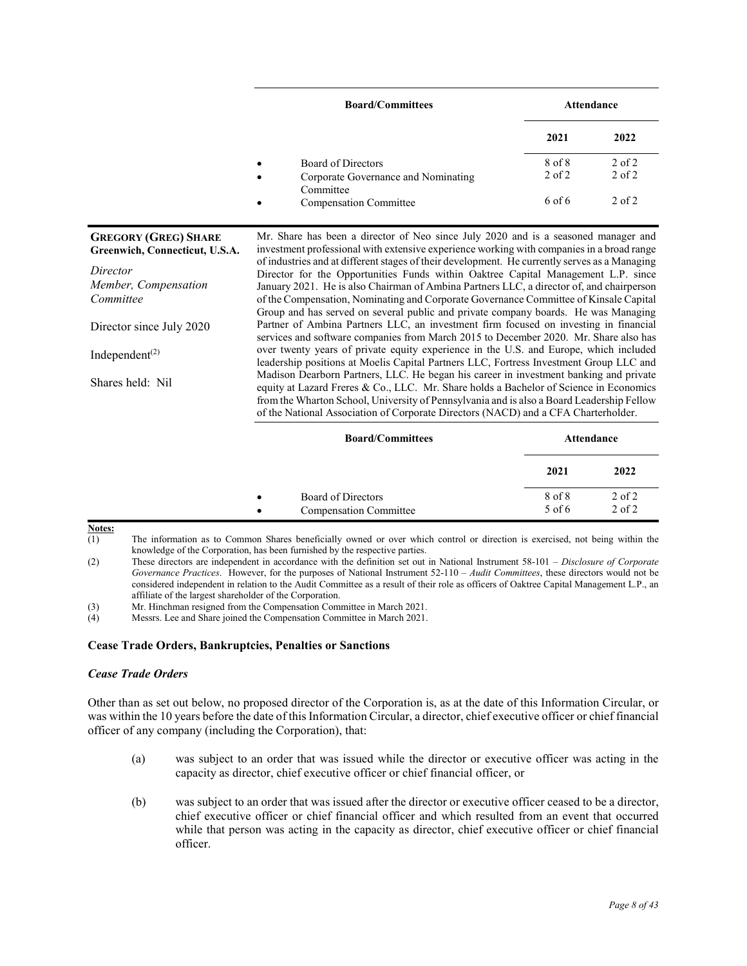|                | <b>Board/Committees</b>                                                             |                      | Attendance               |
|----------------|-------------------------------------------------------------------------------------|----------------------|--------------------------|
|                |                                                                                     | 2021                 | 2022                     |
|                | Board of Directors<br>$\bullet$<br>Corporate Governance and Nominating<br>$\bullet$ | 8 of 8<br>$2$ of $2$ | $2$ of $2$<br>$2$ of $2$ |
|                | Committee<br><b>Compensation Committee</b><br>$\bullet$                             | 6 of 6               | $2$ of $2$               |
| 7 (GREG) SHARE | Mr. Share has been a director of Neo since July 2020 and is a seasoned manager and  |                      |                          |

**GREGORY (GREG) SHARE Greenwich, Connecticut, U.S.A.**  *Director Member, Compensation Committee*  Director since July 2020 Independent $(2)$ Shares held: Nil investment professional with extensive experience working with companies in a broad range of industries and at different stages of their development. He currently serves as a Managing Director for the Opportunities Funds within Oaktree Capital Management L.P. since January 2021. He is also Chairman of Ambina Partners LLC, a director of, and chairperson of the Compensation, Nominating and Corporate Governance Committee of Kinsale Capital Group and has served on several public and private company boards. He was Managing Partner of Ambina Partners LLC, an investment firm focused on investing in financial services and software companies from March 2015 to December 2020. Mr. Share also has over twenty years of private equity experience in the U.S. and Europe, which included leadership positions at Moelis Capital Partners LLC, Fortress Investment Group LLC and Madison Dearborn Partners, LLC. He began his career in investment banking and private equity at Lazard Freres & Co., LLC. Mr. Share holds a Bachelor of Science in Economics from the Wharton School, University of Pennsylvania and is also a Board Leadership Fellow of the National Association of Corporate Directors (NACD) and a CFA Charterholder.

|                        | <b>Board/Committees</b>                             | Attendance         |                          |
|------------------------|-----------------------------------------------------|--------------------|--------------------------|
|                        |                                                     | 2021               | 2022                     |
| $\bullet$<br>$\bullet$ | Board of Directors<br><b>Compensation Committee</b> | 8 of 8<br>$5$ of 6 | $2$ of $2$<br>$2$ of $2$ |

**Notes:** 

(1) The information as to Common Shares beneficially owned or over which control or direction is exercised, not being within the knowledge of the Corporation, has been furnished by the respective parties.

(2) These directors are independent in accordance with the definition set out in National Instrument 58-101 – *Disclosure of Corporate Governance Practices*. However, for the purposes of National Instrument 52-110 – *Audit Committees*, these directors would not be considered independent in relation to the Audit Committee as a result of their role as officers of Oaktree Capital Management L.P., an affiliate of the largest shareholder of the Corporation.

(3) Mr. Hinchman resigned from the Compensation Committee in March 2021.

(4) Messrs. Lee and Share joined the Compensation Committee in March 2021.

# **Cease Trade Orders, Bankruptcies, Penalties or Sanctions**

# *Cease Trade Orders*

Other than as set out below, no proposed director of the Corporation is, as at the date of this Information Circular, or was within the 10 years before the date of this Information Circular, a director, chief executive officer or chief financial officer of any company (including the Corporation), that:

- (a) was subject to an order that was issued while the director or executive officer was acting in the capacity as director, chief executive officer or chief financial officer, or
- (b) was subject to an order that was issued after the director or executive officer ceased to be a director, chief executive officer or chief financial officer and which resulted from an event that occurred while that person was acting in the capacity as director, chief executive officer or chief financial officer.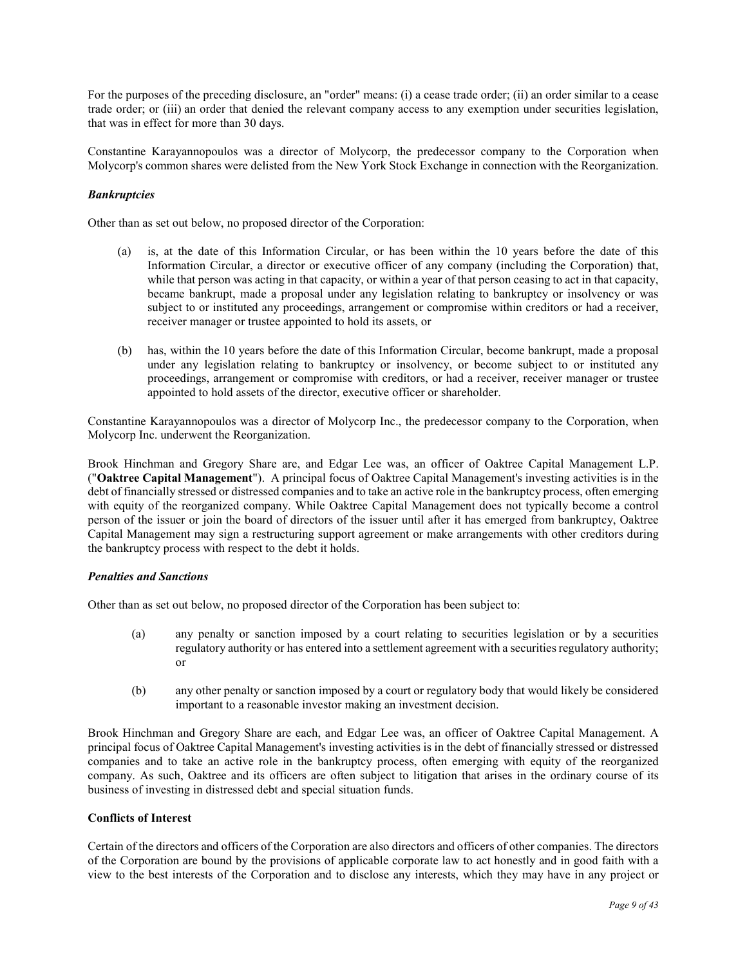For the purposes of the preceding disclosure, an "order" means: (i) a cease trade order; (ii) an order similar to a cease trade order; or (iii) an order that denied the relevant company access to any exemption under securities legislation, that was in effect for more than 30 days.

Constantine Karayannopoulos was a director of Molycorp, the predecessor company to the Corporation when Molycorp's common shares were delisted from the New York Stock Exchange in connection with the Reorganization.

# *Bankruptcies*

Other than as set out below, no proposed director of the Corporation:

- (a) is, at the date of this Information Circular, or has been within the 10 years before the date of this Information Circular, a director or executive officer of any company (including the Corporation) that, while that person was acting in that capacity, or within a year of that person ceasing to act in that capacity, became bankrupt, made a proposal under any legislation relating to bankruptcy or insolvency or was subject to or instituted any proceedings, arrangement or compromise within creditors or had a receiver, receiver manager or trustee appointed to hold its assets, or
- (b) has, within the 10 years before the date of this Information Circular, become bankrupt, made a proposal under any legislation relating to bankruptcy or insolvency, or become subject to or instituted any proceedings, arrangement or compromise with creditors, or had a receiver, receiver manager or trustee appointed to hold assets of the director, executive officer or shareholder.

Constantine Karayannopoulos was a director of Molycorp Inc., the predecessor company to the Corporation, when Molycorp Inc. underwent the Reorganization.

Brook Hinchman and Gregory Share are, and Edgar Lee was, an officer of Oaktree Capital Management L.P. ("**Oaktree Capital Management**"). A principal focus of Oaktree Capital Management's investing activities is in the debt of financially stressed or distressed companies and to take an active role in the bankruptcy process, often emerging with equity of the reorganized company. While Oaktree Capital Management does not typically become a control person of the issuer or join the board of directors of the issuer until after it has emerged from bankruptcy, Oaktree Capital Management may sign a restructuring support agreement or make arrangements with other creditors during the bankruptcy process with respect to the debt it holds.

# *Penalties and Sanctions*

Other than as set out below, no proposed director of the Corporation has been subject to:

- (a) any penalty or sanction imposed by a court relating to securities legislation or by a securities regulatory authority or has entered into a settlement agreement with a securities regulatory authority; or
- (b) any other penalty or sanction imposed by a court or regulatory body that would likely be considered important to a reasonable investor making an investment decision.

Brook Hinchman and Gregory Share are each, and Edgar Lee was, an officer of Oaktree Capital Management. A principal focus of Oaktree Capital Management's investing activities is in the debt of financially stressed or distressed companies and to take an active role in the bankruptcy process, often emerging with equity of the reorganized company. As such, Oaktree and its officers are often subject to litigation that arises in the ordinary course of its business of investing in distressed debt and special situation funds.

# **Conflicts of Interest**

Certain of the directors and officers of the Corporation are also directors and officers of other companies. The directors of the Corporation are bound by the provisions of applicable corporate law to act honestly and in good faith with a view to the best interests of the Corporation and to disclose any interests, which they may have in any project or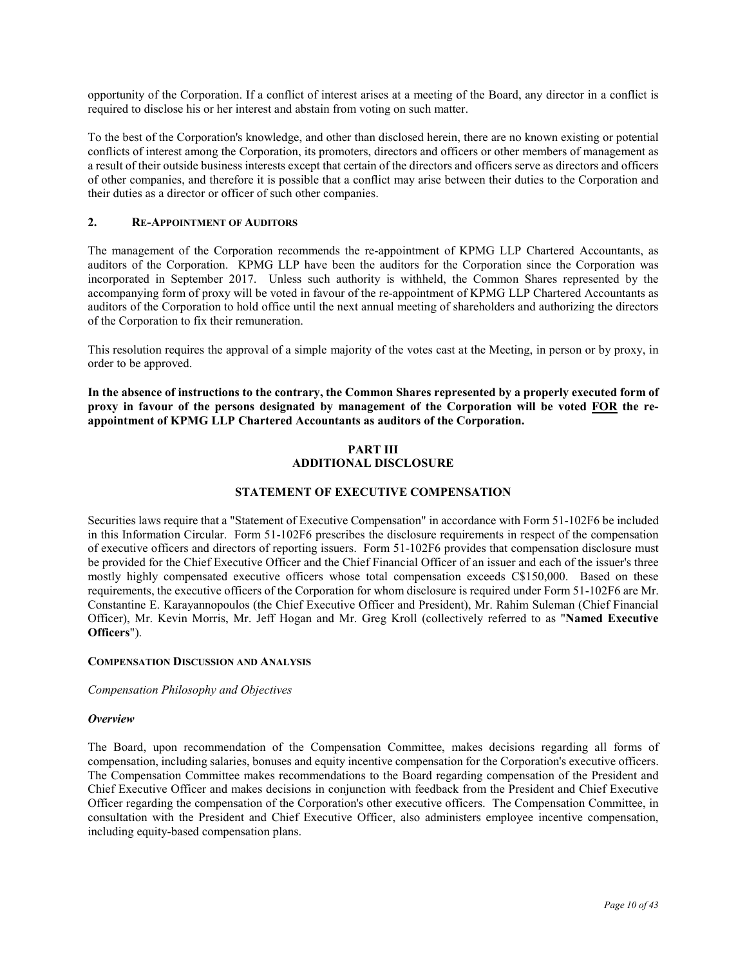opportunity of the Corporation. If a conflict of interest arises at a meeting of the Board, any director in a conflict is required to disclose his or her interest and abstain from voting on such matter.

To the best of the Corporation's knowledge, and other than disclosed herein, there are no known existing or potential conflicts of interest among the Corporation, its promoters, directors and officers or other members of management as a result of their outside business interests except that certain of the directors and officers serve as directors and officers of other companies, and therefore it is possible that a conflict may arise between their duties to the Corporation and their duties as a director or officer of such other companies.

# **2. RE-APPOINTMENT OF AUDITORS**

The management of the Corporation recommends the re-appointment of KPMG LLP Chartered Accountants, as auditors of the Corporation. KPMG LLP have been the auditors for the Corporation since the Corporation was incorporated in September 2017. Unless such authority is withheld, the Common Shares represented by the accompanying form of proxy will be voted in favour of the re-appointment of KPMG LLP Chartered Accountants as auditors of the Corporation to hold office until the next annual meeting of shareholders and authorizing the directors of the Corporation to fix their remuneration.

This resolution requires the approval of a simple majority of the votes cast at the Meeting, in person or by proxy, in order to be approved.

**In the absence of instructions to the contrary, the Common Shares represented by a properly executed form of proxy in favour of the persons designated by management of the Corporation will be voted FOR the reappointment of KPMG LLP Chartered Accountants as auditors of the Corporation.** 

# **PART III ADDITIONAL DISCLOSURE**

# **STATEMENT OF EXECUTIVE COMPENSATION**

Securities laws require that a "Statement of Executive Compensation" in accordance with Form 51-102F6 be included in this Information Circular. Form 51-102F6 prescribes the disclosure requirements in respect of the compensation of executive officers and directors of reporting issuers. Form 51-102F6 provides that compensation disclosure must be provided for the Chief Executive Officer and the Chief Financial Officer of an issuer and each of the issuer's three mostly highly compensated executive officers whose total compensation exceeds C\$150,000. Based on these requirements, the executive officers of the Corporation for whom disclosure is required under Form 51-102F6 are Mr. Constantine E. Karayannopoulos (the Chief Executive Officer and President), Mr. Rahim Suleman (Chief Financial Officer), Mr. Kevin Morris, Mr. Jeff Hogan and Mr. Greg Kroll (collectively referred to as "**Named Executive Officers**").

#### **COMPENSATION DISCUSSION AND ANALYSIS**

*Compensation Philosophy and Objectives* 

#### *Overview*

The Board, upon recommendation of the Compensation Committee, makes decisions regarding all forms of compensation, including salaries, bonuses and equity incentive compensation for the Corporation's executive officers. The Compensation Committee makes recommendations to the Board regarding compensation of the President and Chief Executive Officer and makes decisions in conjunction with feedback from the President and Chief Executive Officer regarding the compensation of the Corporation's other executive officers. The Compensation Committee, in consultation with the President and Chief Executive Officer, also administers employee incentive compensation, including equity-based compensation plans.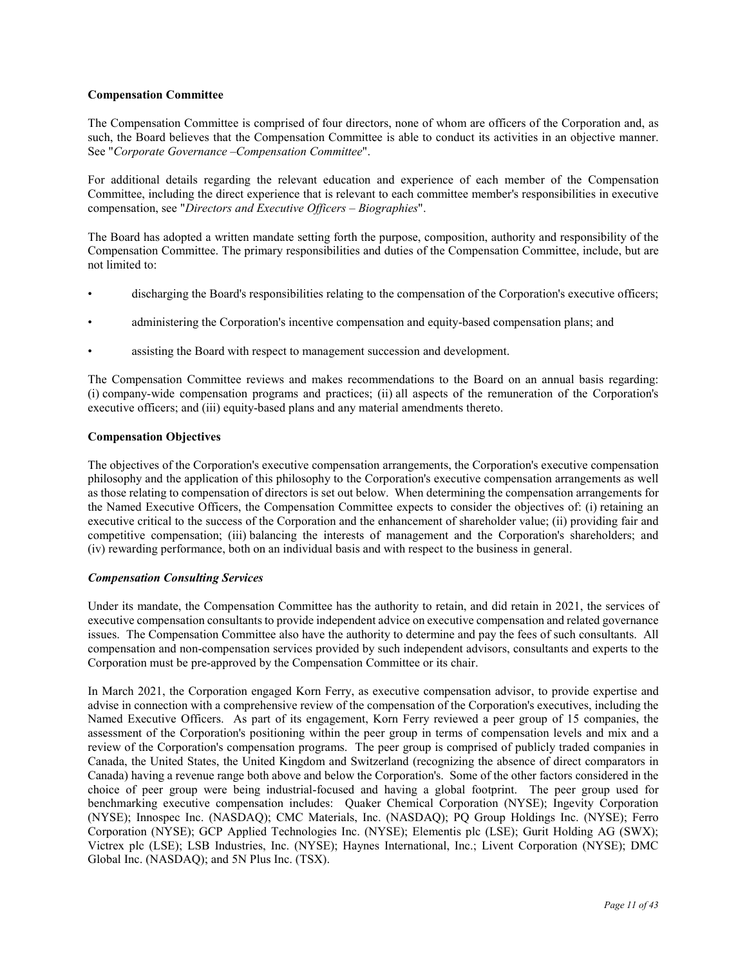# **Compensation Committee**

The Compensation Committee is comprised of four directors, none of whom are officers of the Corporation and, as such, the Board believes that the Compensation Committee is able to conduct its activities in an objective manner. See "*Corporate Governance –Compensation Committee*".

For additional details regarding the relevant education and experience of each member of the Compensation Committee, including the direct experience that is relevant to each committee member's responsibilities in executive compensation, see "*Directors and Executive Officers – Biographies*".

The Board has adopted a written mandate setting forth the purpose, composition, authority and responsibility of the Compensation Committee. The primary responsibilities and duties of the Compensation Committee, include, but are not limited to:

- discharging the Board's responsibilities relating to the compensation of the Corporation's executive officers;
- administering the Corporation's incentive compensation and equity-based compensation plans; and
- assisting the Board with respect to management succession and development.

The Compensation Committee reviews and makes recommendations to the Board on an annual basis regarding: (i) company-wide compensation programs and practices; (ii) all aspects of the remuneration of the Corporation's executive officers; and (iii) equity-based plans and any material amendments thereto.

# **Compensation Objectives**

The objectives of the Corporation's executive compensation arrangements, the Corporation's executive compensation philosophy and the application of this philosophy to the Corporation's executive compensation arrangements as well as those relating to compensation of directors is set out below. When determining the compensation arrangements for the Named Executive Officers, the Compensation Committee expects to consider the objectives of: (i) retaining an executive critical to the success of the Corporation and the enhancement of shareholder value; (ii) providing fair and competitive compensation; (iii) balancing the interests of management and the Corporation's shareholders; and (iv) rewarding performance, both on an individual basis and with respect to the business in general.

# *Compensation Consulting Services*

Under its mandate, the Compensation Committee has the authority to retain, and did retain in 2021, the services of executive compensation consultants to provide independent advice on executive compensation and related governance issues. The Compensation Committee also have the authority to determine and pay the fees of such consultants. All compensation and non-compensation services provided by such independent advisors, consultants and experts to the Corporation must be pre-approved by the Compensation Committee or its chair.

In March 2021, the Corporation engaged Korn Ferry, as executive compensation advisor, to provide expertise and advise in connection with a comprehensive review of the compensation of the Corporation's executives, including the Named Executive Officers. As part of its engagement, Korn Ferry reviewed a peer group of 15 companies, the assessment of the Corporation's positioning within the peer group in terms of compensation levels and mix and a review of the Corporation's compensation programs. The peer group is comprised of publicly traded companies in Canada, the United States, the United Kingdom and Switzerland (recognizing the absence of direct comparators in Canada) having a revenue range both above and below the Corporation's. Some of the other factors considered in the choice of peer group were being industrial-focused and having a global footprint. The peer group used for benchmarking executive compensation includes: Quaker Chemical Corporation (NYSE); Ingevity Corporation (NYSE); Innospec Inc. (NASDAQ); CMC Materials, Inc. (NASDAQ); PQ Group Holdings Inc. (NYSE); Ferro Corporation (NYSE); GCP Applied Technologies Inc. (NYSE); Elementis plc (LSE); Gurit Holding AG (SWX); Victrex plc (LSE); LSB Industries, Inc. (NYSE); Haynes International, Inc.; Livent Corporation (NYSE); DMC Global Inc. (NASDAQ); and 5N Plus Inc. (TSX).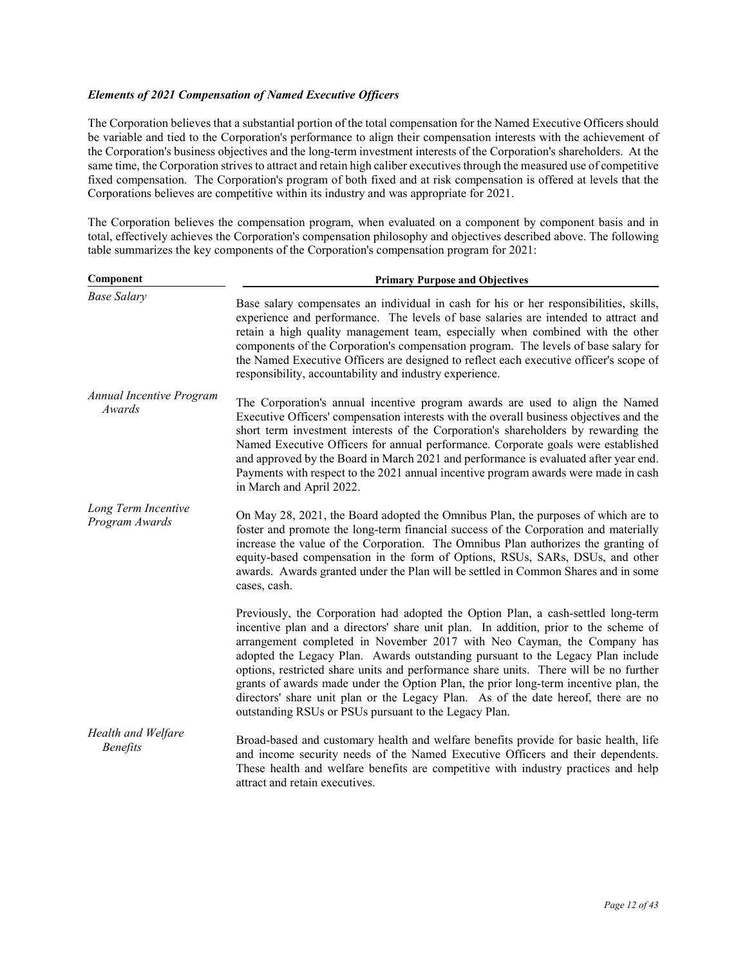# *Elements of 2021 Compensation of Named Executive Officers*

The Corporation believes that a substantial portion of the total compensation for the Named Executive Officers should be variable and tied to the Corporation's performance to align their compensation interests with the achievement of the Corporation's business objectives and the long-term investment interests of the Corporation's shareholders. At the same time, the Corporation strives to attract and retain high caliber executives through the measured use of competitive fixed compensation. The Corporation's program of both fixed and at risk compensation is offered at levels that the Corporations believes are competitive within its industry and was appropriate for 2021.

The Corporation believes the compensation program, when evaluated on a component by component basis and in total, effectively achieves the Corporation's compensation philosophy and objectives described above. The following table summarizes the key components of the Corporation's compensation program for 2021:

| Component                                 | <b>Primary Purpose and Objectives</b>                                                                                                                                                                                                                                                                                                                                                                                                                                                                                                                                                                                                                                   |  |  |
|-------------------------------------------|-------------------------------------------------------------------------------------------------------------------------------------------------------------------------------------------------------------------------------------------------------------------------------------------------------------------------------------------------------------------------------------------------------------------------------------------------------------------------------------------------------------------------------------------------------------------------------------------------------------------------------------------------------------------------|--|--|
| <b>Base Salary</b>                        | Base salary compensates an individual in cash for his or her responsibilities, skills,<br>experience and performance. The levels of base salaries are intended to attract and<br>retain a high quality management team, especially when combined with the other<br>components of the Corporation's compensation program. The levels of base salary for<br>the Named Executive Officers are designed to reflect each executive officer's scope of<br>responsibility, accountability and industry experience.                                                                                                                                                             |  |  |
| <b>Annual Incentive Program</b><br>Awards | The Corporation's annual incentive program awards are used to align the Named<br>Executive Officers' compensation interests with the overall business objectives and the<br>short term investment interests of the Corporation's shareholders by rewarding the<br>Named Executive Officers for annual performance. Corporate goals were established<br>and approved by the Board in March 2021 and performance is evaluated after year end.<br>Payments with respect to the 2021 annual incentive program awards were made in cash<br>in March and April 2022.                                                                                                          |  |  |
| Long Term Incentive<br>Program Awards     | On May 28, 2021, the Board adopted the Omnibus Plan, the purposes of which are to<br>foster and promote the long-term financial success of the Corporation and materially<br>increase the value of the Corporation. The Omnibus Plan authorizes the granting of<br>equity-based compensation in the form of Options, RSUs, SARs, DSUs, and other<br>awards. Awards granted under the Plan will be settled in Common Shares and in some<br>cases, cash.                                                                                                                                                                                                                  |  |  |
|                                           | Previously, the Corporation had adopted the Option Plan, a cash-settled long-term<br>incentive plan and a directors' share unit plan. In addition, prior to the scheme of<br>arrangement completed in November 2017 with Neo Cayman, the Company has<br>adopted the Legacy Plan. Awards outstanding pursuant to the Legacy Plan include<br>options, restricted share units and performance share units. There will be no further<br>grants of awards made under the Option Plan, the prior long-term incentive plan, the<br>directors' share unit plan or the Legacy Plan. As of the date hereof, there are no<br>outstanding RSUs or PSUs pursuant to the Legacy Plan. |  |  |
| Health and Welfare<br><b>Benefits</b>     | Broad-based and customary health and welfare benefits provide for basic health, life<br>and income security needs of the Named Executive Officers and their dependents.<br>These health and welfare benefits are competitive with industry practices and help<br>attract and retain executives.                                                                                                                                                                                                                                                                                                                                                                         |  |  |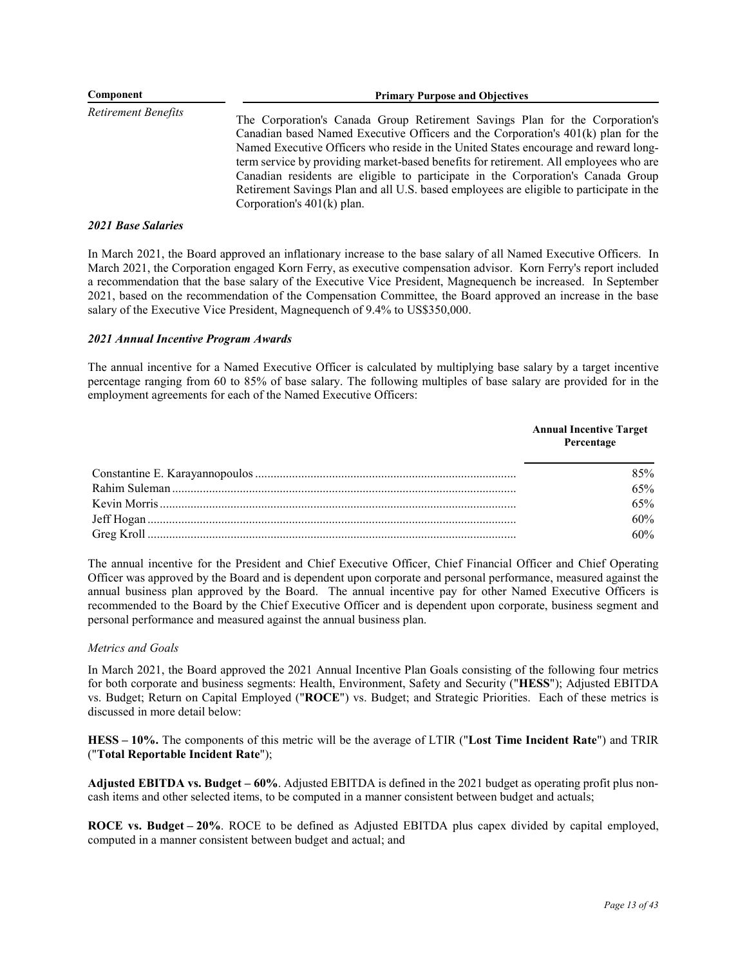| Component           | <b>Primary Purpose and Objectives</b>                                                                                                                                                                                                                                                                                                                                                                                                                                                                                                                              |  |  |
|---------------------|--------------------------------------------------------------------------------------------------------------------------------------------------------------------------------------------------------------------------------------------------------------------------------------------------------------------------------------------------------------------------------------------------------------------------------------------------------------------------------------------------------------------------------------------------------------------|--|--|
| Retirement Benefits | The Corporation's Canada Group Retirement Savings Plan for the Corporation's<br>Canadian based Named Executive Officers and the Corporation's $401(k)$ plan for the<br>Named Executive Officers who reside in the United States encourage and reward long-<br>term service by providing market-based benefits for retirement. All employees who are<br>Canadian residents are eligible to participate in the Corporation's Canada Group<br>Retirement Savings Plan and all U.S. based employees are eligible to participate in the<br>Corporation's $401(k)$ plan. |  |  |

### *2021 Base Salaries*

In March 2021, the Board approved an inflationary increase to the base salary of all Named Executive Officers. In March 2021, the Corporation engaged Korn Ferry, as executive compensation advisor. Korn Ferry's report included a recommendation that the base salary of the Executive Vice President, Magnequench be increased. In September 2021, based on the recommendation of the Compensation Committee, the Board approved an increase in the base salary of the Executive Vice President, Magnequench of 9.4% to US\$350,000.

# *2021 Annual Incentive Program Awards*

The annual incentive for a Named Executive Officer is calculated by multiplying base salary by a target incentive percentage ranging from 60 to 85% of base salary. The following multiples of base salary are provided for in the employment agreements for each of the Named Executive Officers:

| <b>Annual Incentive Target</b><br>Percentage |
|----------------------------------------------|
| 85%                                          |
| 65%                                          |
| 65%                                          |
| 60%                                          |
| 60%                                          |

The annual incentive for the President and Chief Executive Officer, Chief Financial Officer and Chief Operating Officer was approved by the Board and is dependent upon corporate and personal performance, measured against the annual business plan approved by the Board. The annual incentive pay for other Named Executive Officers is recommended to the Board by the Chief Executive Officer and is dependent upon corporate, business segment and personal performance and measured against the annual business plan.

# *Metrics and Goals*

In March 2021, the Board approved the 2021 Annual Incentive Plan Goals consisting of the following four metrics for both corporate and business segments: Health, Environment, Safety and Security ("**HESS**"); Adjusted EBITDA vs. Budget; Return on Capital Employed ("**ROCE**") vs. Budget; and Strategic Priorities. Each of these metrics is discussed in more detail below:

**HESS – 10%.** The components of this metric will be the average of LTIR ("**Lost Time Incident Rate**") and TRIR ("**Total Reportable Incident Rate**");

**Adjusted EBITDA vs. Budget – 60%**. Adjusted EBITDA is defined in the 2021 budget as operating profit plus noncash items and other selected items, to be computed in a manner consistent between budget and actuals;

**ROCE vs. Budget – 20%**. ROCE to be defined as Adjusted EBITDA plus capex divided by capital employed, computed in a manner consistent between budget and actual; and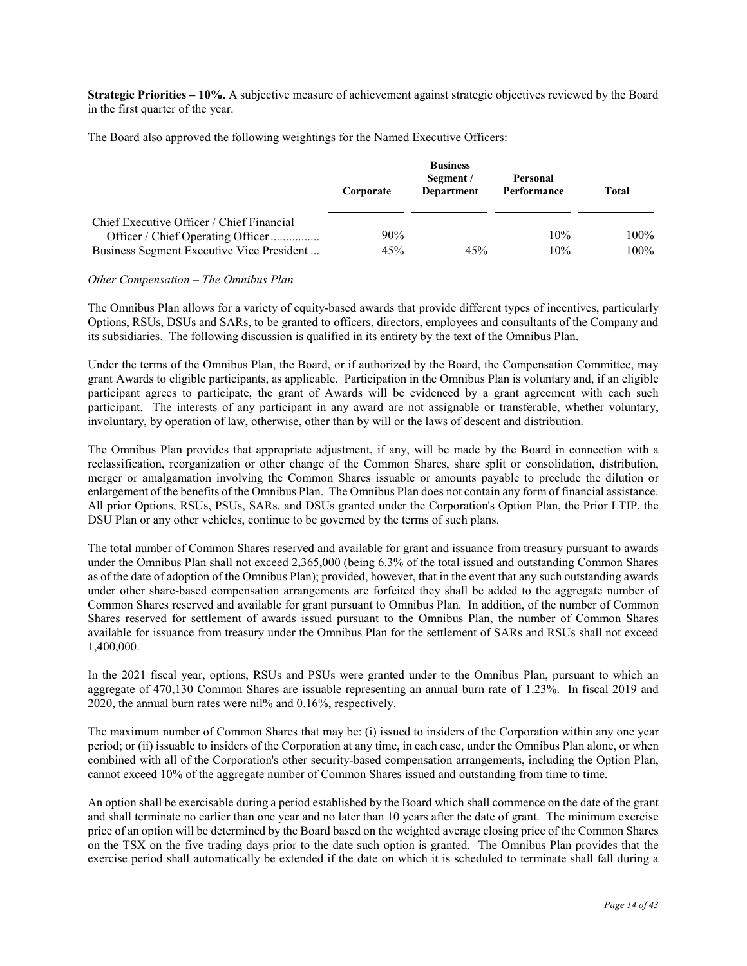**Strategic Priorities – 10%.** A subjective measure of achievement against strategic objectives reviewed by the Board in the first quarter of the year.

The Board also approved the following weightings for the Named Executive Officers:

|                                                                                | Corporate | <b>Business</b><br>Segment /<br>Department | Personal<br>Performance | Total   |
|--------------------------------------------------------------------------------|-----------|--------------------------------------------|-------------------------|---------|
| Chief Executive Officer / Chief Financial<br>Officer / Chief Operating Officer | 90%       |                                            | 10%                     | $100\%$ |
| Business Segment Executive Vice President                                      | 45%       | 45%                                        | 10%                     | $100\%$ |

*Other Compensation – The Omnibus Plan* 

The Omnibus Plan allows for a variety of equity-based awards that provide different types of incentives, particularly Options, RSUs, DSUs and SARs, to be granted to officers, directors, employees and consultants of the Company and its subsidiaries. The following discussion is qualified in its entirety by the text of the Omnibus Plan.

Under the terms of the Omnibus Plan, the Board, or if authorized by the Board, the Compensation Committee, may grant Awards to eligible participants, as applicable. Participation in the Omnibus Plan is voluntary and, if an eligible participant agrees to participate, the grant of Awards will be evidenced by a grant agreement with each such participant. The interests of any participant in any award are not assignable or transferable, whether voluntary, involuntary, by operation of law, otherwise, other than by will or the laws of descent and distribution.

The Omnibus Plan provides that appropriate adjustment, if any, will be made by the Board in connection with a reclassification, reorganization or other change of the Common Shares, share split or consolidation, distribution, merger or amalgamation involving the Common Shares issuable or amounts payable to preclude the dilution or enlargement of the benefits of the Omnibus Plan. The Omnibus Plan does not contain any form of financial assistance. All prior Options, RSUs, PSUs, SARs, and DSUs granted under the Corporation's Option Plan, the Prior LTIP, the DSU Plan or any other vehicles, continue to be governed by the terms of such plans.

The total number of Common Shares reserved and available for grant and issuance from treasury pursuant to awards under the Omnibus Plan shall not exceed 2,365,000 (being 6.3% of the total issued and outstanding Common Shares as of the date of adoption of the Omnibus Plan); provided, however, that in the event that any such outstanding awards under other share-based compensation arrangements are forfeited they shall be added to the aggregate number of Common Shares reserved and available for grant pursuant to Omnibus Plan. In addition, of the number of Common Shares reserved for settlement of awards issued pursuant to the Omnibus Plan, the number of Common Shares available for issuance from treasury under the Omnibus Plan for the settlement of SARs and RSUs shall not exceed 1,400,000.

In the 2021 fiscal year, options, RSUs and PSUs were granted under to the Omnibus Plan, pursuant to which an aggregate of 470,130 Common Shares are issuable representing an annual burn rate of 1.23%. In fiscal 2019 and 2020, the annual burn rates were nil% and 0.16%, respectively.

The maximum number of Common Shares that may be: (i) issued to insiders of the Corporation within any one year period; or (ii) issuable to insiders of the Corporation at any time, in each case, under the Omnibus Plan alone, or when combined with all of the Corporation's other security-based compensation arrangements, including the Option Plan, cannot exceed 10% of the aggregate number of Common Shares issued and outstanding from time to time.

An option shall be exercisable during a period established by the Board which shall commence on the date of the grant and shall terminate no earlier than one year and no later than 10 years after the date of grant. The minimum exercise price of an option will be determined by the Board based on the weighted average closing price of the Common Shares on the TSX on the five trading days prior to the date such option is granted. The Omnibus Plan provides that the exercise period shall automatically be extended if the date on which it is scheduled to terminate shall fall during a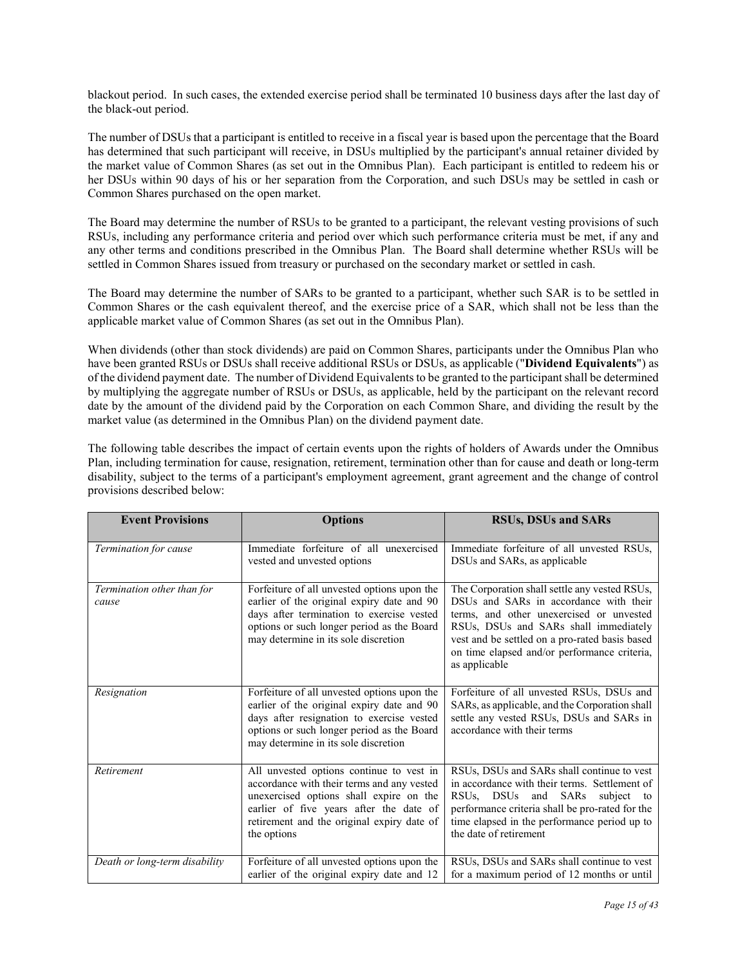blackout period. In such cases, the extended exercise period shall be terminated 10 business days after the last day of the black-out period.

The number of DSUs that a participant is entitled to receive in a fiscal year is based upon the percentage that the Board has determined that such participant will receive, in DSUs multiplied by the participant's annual retainer divided by the market value of Common Shares (as set out in the Omnibus Plan). Each participant is entitled to redeem his or her DSUs within 90 days of his or her separation from the Corporation, and such DSUs may be settled in cash or Common Shares purchased on the open market.

The Board may determine the number of RSUs to be granted to a participant, the relevant vesting provisions of such RSUs, including any performance criteria and period over which such performance criteria must be met, if any and any other terms and conditions prescribed in the Omnibus Plan. The Board shall determine whether RSUs will be settled in Common Shares issued from treasury or purchased on the secondary market or settled in cash.

The Board may determine the number of SARs to be granted to a participant, whether such SAR is to be settled in Common Shares or the cash equivalent thereof, and the exercise price of a SAR, which shall not be less than the applicable market value of Common Shares (as set out in the Omnibus Plan).

When dividends (other than stock dividends) are paid on Common Shares, participants under the Omnibus Plan who have been granted RSUs or DSUs shall receive additional RSUs or DSUs, as applicable ("**Dividend Equivalents**") as of the dividend payment date. The number of Dividend Equivalents to be granted to the participant shall be determined by multiplying the aggregate number of RSUs or DSUs, as applicable, held by the participant on the relevant record date by the amount of the dividend paid by the Corporation on each Common Share, and dividing the result by the market value (as determined in the Omnibus Plan) on the dividend payment date.

The following table describes the impact of certain events upon the rights of holders of Awards under the Omnibus Plan, including termination for cause, resignation, retirement, termination other than for cause and death or long-term disability, subject to the terms of a participant's employment agreement, grant agreement and the change of control provisions described below:

| <b>Event Provisions</b>             | <b>Options</b>                                                                                                                                                                                                                            | <b>RSUs, DSUs and SARs</b>                                                                                                                                                                                                                                                                      |
|-------------------------------------|-------------------------------------------------------------------------------------------------------------------------------------------------------------------------------------------------------------------------------------------|-------------------------------------------------------------------------------------------------------------------------------------------------------------------------------------------------------------------------------------------------------------------------------------------------|
| Termination for cause               | Immediate forfeiture of all unexercised<br>vested and unvested options                                                                                                                                                                    | Immediate forfeiture of all unvested RSUs,<br>DSUs and SARs, as applicable                                                                                                                                                                                                                      |
| Termination other than for<br>cause | Forfeiture of all unvested options upon the<br>earlier of the original expiry date and 90<br>days after termination to exercise vested<br>options or such longer period as the Board<br>may determine in its sole discretion              | The Corporation shall settle any vested RSUs,<br>DSUs and SARs in accordance with their<br>terms, and other unexercised or unvested<br>RSUs, DSUs and SARs shall immediately<br>vest and be settled on a pro-rated basis based<br>on time elapsed and/or performance criteria,<br>as applicable |
| Resignation                         | Forfeiture of all unvested options upon the<br>earlier of the original expiry date and 90<br>days after resignation to exercise vested<br>options or such longer period as the Board<br>may determine in its sole discretion              | Forfeiture of all unvested RSUs, DSUs and<br>SARs, as applicable, and the Corporation shall<br>settle any vested RSUs, DSUs and SARs in<br>accordance with their terms                                                                                                                          |
| Retirement                          | All unvested options continue to vest in<br>accordance with their terms and any vested<br>unexercised options shall expire on the<br>earlier of five years after the date of<br>retirement and the original expiry date of<br>the options | RSUs, DSUs and SARs shall continue to vest<br>in accordance with their terms. Settlement of<br>RSUs, DSUs and SARs<br>subject to<br>performance criteria shall be pro-rated for the<br>time elapsed in the performance period up to<br>the date of retirement                                   |
| Death or long-term disability       | Forfeiture of all unvested options upon the<br>earlier of the original expiry date and 12                                                                                                                                                 | RSUs, DSUs and SARs shall continue to vest<br>for a maximum period of 12 months or until                                                                                                                                                                                                        |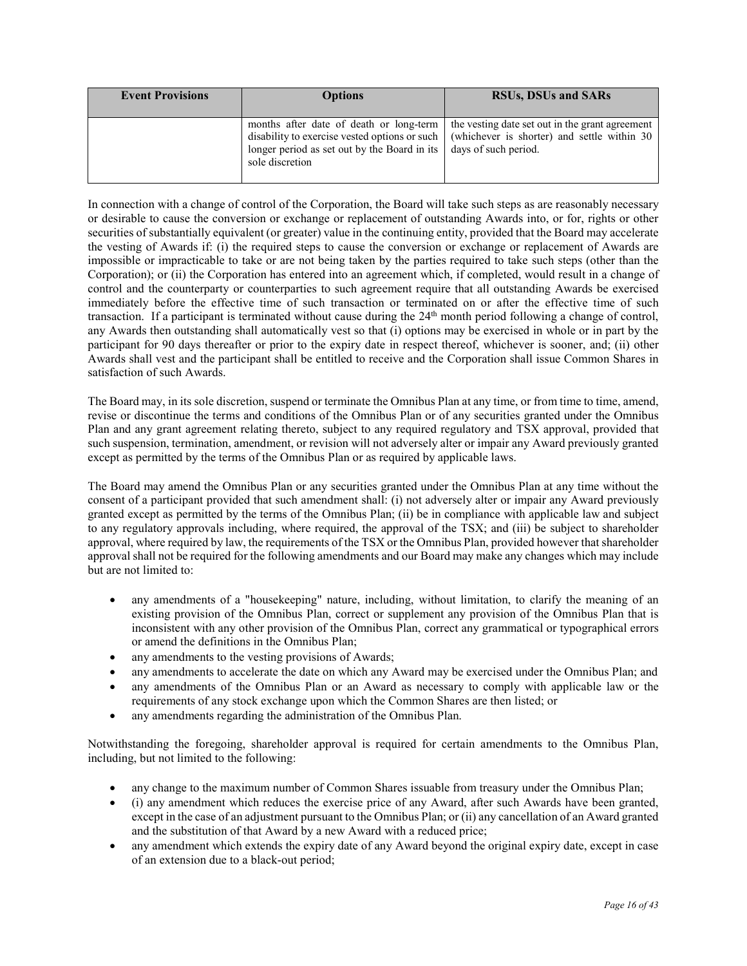| <b>Event Provisions</b> | <b>Options</b>                                                                                                                                              | <b>RSUs, DSUs and SARs</b>                                                                                             |
|-------------------------|-------------------------------------------------------------------------------------------------------------------------------------------------------------|------------------------------------------------------------------------------------------------------------------------|
|                         | months after date of death or long-term<br>disability to exercise vested options or such<br>longer period as set out by the Board in its<br>sole discretion | the vesting date set out in the grant agreement<br>(whichever is shorter) and settle within 30<br>days of such period. |

In connection with a change of control of the Corporation, the Board will take such steps as are reasonably necessary or desirable to cause the conversion or exchange or replacement of outstanding Awards into, or for, rights or other securities of substantially equivalent (or greater) value in the continuing entity, provided that the Board may accelerate the vesting of Awards if: (i) the required steps to cause the conversion or exchange or replacement of Awards are impossible or impracticable to take or are not being taken by the parties required to take such steps (other than the Corporation); or (ii) the Corporation has entered into an agreement which, if completed, would result in a change of control and the counterparty or counterparties to such agreement require that all outstanding Awards be exercised immediately before the effective time of such transaction or terminated on or after the effective time of such transaction. If a participant is terminated without cause during the 24<sup>th</sup> month period following a change of control, any Awards then outstanding shall automatically vest so that (i) options may be exercised in whole or in part by the participant for 90 days thereafter or prior to the expiry date in respect thereof, whichever is sooner, and; (ii) other Awards shall vest and the participant shall be entitled to receive and the Corporation shall issue Common Shares in satisfaction of such Awards.

The Board may, in its sole discretion, suspend or terminate the Omnibus Plan at any time, or from time to time, amend, revise or discontinue the terms and conditions of the Omnibus Plan or of any securities granted under the Omnibus Plan and any grant agreement relating thereto, subject to any required regulatory and TSX approval, provided that such suspension, termination, amendment, or revision will not adversely alter or impair any Award previously granted except as permitted by the terms of the Omnibus Plan or as required by applicable laws.

The Board may amend the Omnibus Plan or any securities granted under the Omnibus Plan at any time without the consent of a participant provided that such amendment shall: (i) not adversely alter or impair any Award previously granted except as permitted by the terms of the Omnibus Plan; (ii) be in compliance with applicable law and subject to any regulatory approvals including, where required, the approval of the TSX; and (iii) be subject to shareholder approval, where required by law, the requirements of the TSX or the Omnibus Plan, provided however that shareholder approval shall not be required for the following amendments and our Board may make any changes which may include but are not limited to:

- any amendments of a "housekeeping" nature, including, without limitation, to clarify the meaning of an existing provision of the Omnibus Plan, correct or supplement any provision of the Omnibus Plan that is inconsistent with any other provision of the Omnibus Plan, correct any grammatical or typographical errors or amend the definitions in the Omnibus Plan;
- any amendments to the vesting provisions of Awards;
- any amendments to accelerate the date on which any Award may be exercised under the Omnibus Plan; and
- any amendments of the Omnibus Plan or an Award as necessary to comply with applicable law or the requirements of any stock exchange upon which the Common Shares are then listed; or
- any amendments regarding the administration of the Omnibus Plan.

Notwithstanding the foregoing, shareholder approval is required for certain amendments to the Omnibus Plan, including, but not limited to the following:

- any change to the maximum number of Common Shares issuable from treasury under the Omnibus Plan;
- x (i) any amendment which reduces the exercise price of any Award, after such Awards have been granted, except in the case of an adjustment pursuant to the Omnibus Plan; or (ii) any cancellation of an Award granted and the substitution of that Award by a new Award with a reduced price;
- any amendment which extends the expiry date of any Award beyond the original expiry date, except in case of an extension due to a black-out period;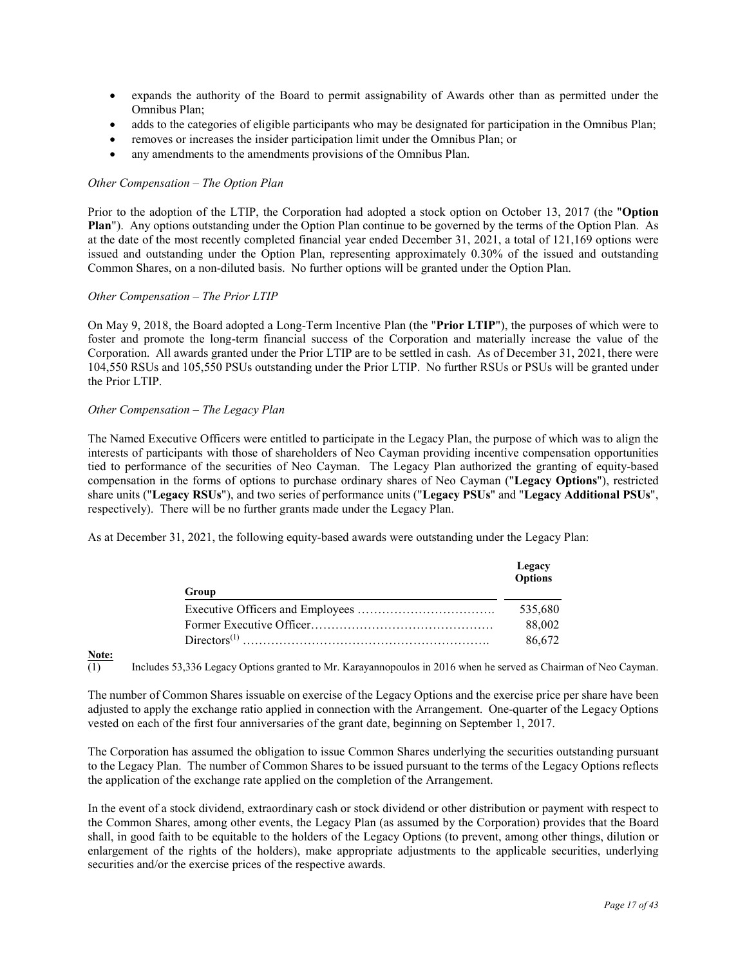- x expands the authority of the Board to permit assignability of Awards other than as permitted under the Omnibus Plan;
- adds to the categories of eligible participants who may be designated for participation in the Omnibus Plan;
- removes or increases the insider participation limit under the Omnibus Plan; or
- any amendments to the amendments provisions of the Omnibus Plan.

### *Other Compensation – The Option Plan*

Prior to the adoption of the LTIP, the Corporation had adopted a stock option on October 13, 2017 (the "**Option Plan**"). Any options outstanding under the Option Plan continue to be governed by the terms of the Option Plan. As at the date of the most recently completed financial year ended December 31, 2021, a total of 121,169 options were issued and outstanding under the Option Plan, representing approximately 0.30% of the issued and outstanding Common Shares, on a non-diluted basis. No further options will be granted under the Option Plan.

### *Other Compensation – The Prior LTIP*

On May 9, 2018, the Board adopted a Long-Term Incentive Plan (the "**Prior LTIP**"), the purposes of which were to foster and promote the long-term financial success of the Corporation and materially increase the value of the Corporation. All awards granted under the Prior LTIP are to be settled in cash. As of December 31, 2021, there were 104,550 RSUs and 105,550 PSUs outstanding under the Prior LTIP. No further RSUs or PSUs will be granted under the Prior LTIP.

# *Other Compensation – The Legacy Plan*

The Named Executive Officers were entitled to participate in the Legacy Plan, the purpose of which was to align the interests of participants with those of shareholders of Neo Cayman providing incentive compensation opportunities tied to performance of the securities of Neo Cayman. The Legacy Plan authorized the granting of equity-based compensation in the forms of options to purchase ordinary shares of Neo Cayman ("**Legacy Options**"), restricted share units ("**Legacy RSUs**"), and two series of performance units ("**Legacy PSUs**" and "**Legacy Additional PSUs**", respectively). There will be no further grants made under the Legacy Plan.

As at December 31, 2021, the following equity-based awards were outstanding under the Legacy Plan:

| Group | Legacy<br><b>Options</b> |
|-------|--------------------------|
|       | 535,680                  |
|       | 88,002                   |
|       | 86,672                   |

# **<u>Note:</u>**<br>(1)

(1) Includes 53,336 Legacy Options granted to Mr. Karayannopoulos in 2016 when he served as Chairman of Neo Cayman.

The number of Common Shares issuable on exercise of the Legacy Options and the exercise price per share have been adjusted to apply the exchange ratio applied in connection with the Arrangement. One-quarter of the Legacy Options vested on each of the first four anniversaries of the grant date, beginning on September 1, 2017.

The Corporation has assumed the obligation to issue Common Shares underlying the securities outstanding pursuant to the Legacy Plan. The number of Common Shares to be issued pursuant to the terms of the Legacy Options reflects the application of the exchange rate applied on the completion of the Arrangement.

In the event of a stock dividend, extraordinary cash or stock dividend or other distribution or payment with respect to the Common Shares, among other events, the Legacy Plan (as assumed by the Corporation) provides that the Board shall, in good faith to be equitable to the holders of the Legacy Options (to prevent, among other things, dilution or enlargement of the rights of the holders), make appropriate adjustments to the applicable securities, underlying securities and/or the exercise prices of the respective awards.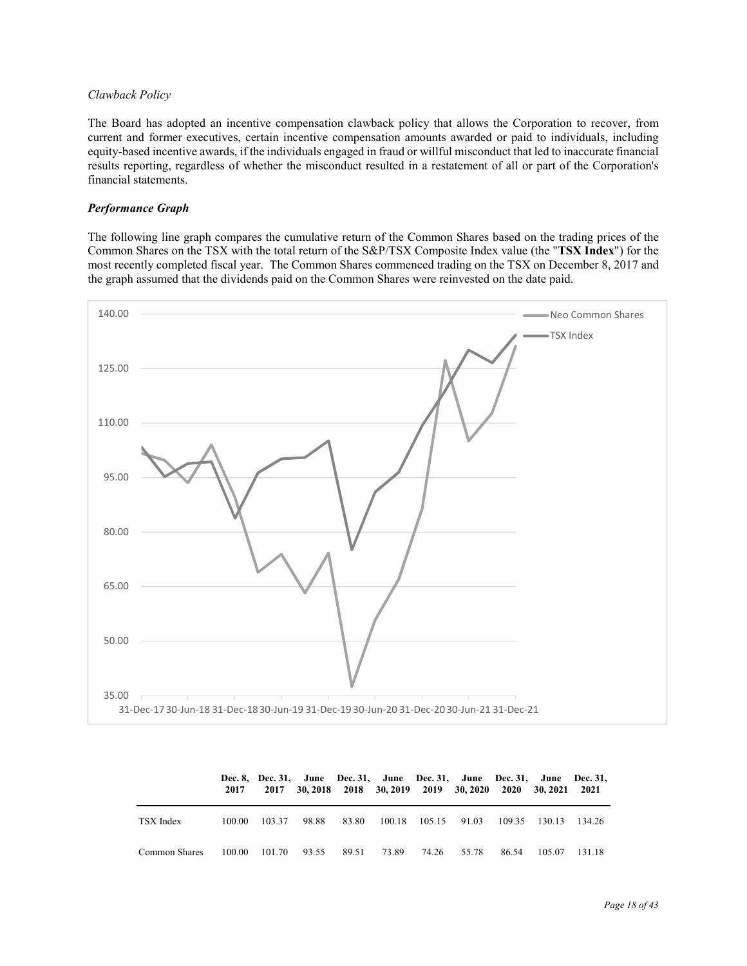# *Clawback Policy*

The Board has adopted an incentive compensation clawback policy that allows the Corporation to recover, from current and former executives, certain incentive compensation amounts awarded or paid to individuals, including equity-based incentive awards, if the individuals engaged in fraud or willful misconduct that led to inaccurate financial results reporting, regardless of whether the misconduct resulted in a restatement of all or part of the Corporation's financial statements.

# *Performance Graph*

The following line graph compares the cumulative return of the Common Shares based on the trading prices of the Common Shares on the TSX with the total return of the S&P/TSX Composite Index value (the "**TSX Index**") for the most recently completed fiscal year. The Common Shares commenced trading on the TSX on December 8, 2017 and the graph assumed that the dividends paid on the Common Shares were reinvested on the date paid.



|               | 2017   |        |                           |       |       |                     | 2017 30, 2018 2018 30, 2019 2019 30, 2020 2020 30, 2021 2021 |       |                      | Dec. 8, Dec. 31, June Dec. 31, June Dec. 31, June Dec. 31, June Dec. 31, |
|---------------|--------|--------|---------------------------|-------|-------|---------------------|--------------------------------------------------------------|-------|----------------------|--------------------------------------------------------------------------|
| TSX Index     | 100.00 | 103.37 | 98.88                     | 83.80 |       | 100.18 105.15 91.03 |                                                              |       | 109.35 130.13 134.26 |                                                                          |
| Common Shares |        |        | 100.00 101.70 93.55 89.51 |       | 73.89 | 74.26 55.78         |                                                              | 86.54 | 105.07               | - 131.18                                                                 |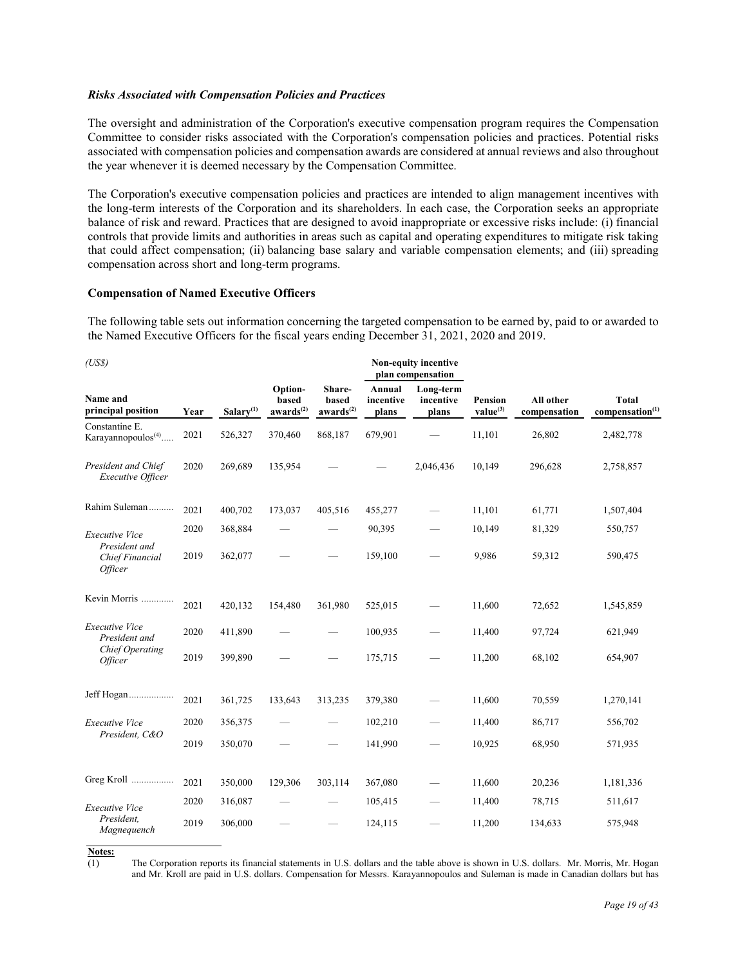### *Risks Associated with Compensation Policies and Practices*

The oversight and administration of the Corporation's executive compensation program requires the Compensation Committee to consider risks associated with the Corporation's compensation policies and practices. Potential risks associated with compensation policies and compensation awards are considered at annual reviews and also throughout the year whenever it is deemed necessary by the Compensation Committee.

The Corporation's executive compensation policies and practices are intended to align management incentives with the long-term interests of the Corporation and its shareholders. In each case, the Corporation seeks an appropriate balance of risk and reward. Practices that are designed to avoid inappropriate or excessive risks include: (i) financial controls that provide limits and authorities in areas such as capital and operating expenditures to mitigate risk taking that could affect compensation; (ii) balancing base salary and variable compensation elements; and (iii) spreading compensation across short and long-term programs.

#### **Compensation of Named Executive Officers**

The following table sets out information concerning the targeted compensation to be earned by, paid to or awarded to the Named Executive Officers for the fiscal years ending December 31, 2021, 2020 and 2019.

| (US\$)                                                    |      |                       |                                           |                                                 |                              | Non-equity incentive<br>plan compensation |                                        |                           |                                             |
|-----------------------------------------------------------|------|-----------------------|-------------------------------------------|-------------------------------------------------|------------------------------|-------------------------------------------|----------------------------------------|---------------------------|---------------------------------------------|
| <b>Name and</b><br>principal position                     | Year | Salary <sup>(1)</sup> | Option-<br>based<br>awards <sup>(2)</sup> | Share-<br><b>based</b><br>awards <sup>(2)</sup> | Annual<br>incentive<br>plans | Long-term<br>incentive<br>plans           | <b>Pension</b><br>value <sup>(3)</sup> | All other<br>compensation | <b>Total</b><br>compensation <sup>(1)</sup> |
| Constantine E.<br>Karayannopoulos <sup>(4)</sup>          | 2021 | 526,327               | 370,460                                   | 868,187                                         | 679,901                      |                                           | 11,101                                 | 26,802                    | 2,482,778                                   |
| President and Chief<br><b>Executive Officer</b>           | 2020 | 269,689               | 135,954                                   |                                                 |                              | 2,046,436                                 | 10,149                                 | 296,628                   | 2,758,857                                   |
| Rahim Suleman                                             | 2021 | 400,702               | 173,037                                   | 405,516                                         | 455,277                      |                                           | 11,101                                 | 61,771                    | 1,507,404                                   |
| <b>Executive Vice</b>                                     | 2020 | 368,884               |                                           |                                                 | 90,395                       | $\overline{\phantom{0}}$                  | 10,149                                 | 81,329                    | 550,757                                     |
| President and<br>Chief Financial<br><i><b>Officer</b></i> | 2019 | 362,077               |                                           |                                                 | 159,100                      |                                           | 9,986                                  | 59,312                    | 590,475                                     |
| Kevin Morris                                              | 2021 | 420,132               | 154,480                                   | 361,980                                         | 525,015                      |                                           | 11,600                                 | 72,652                    | 1,545,859                                   |
| <b>Executive Vice</b><br>President and                    | 2020 | 411,890               |                                           |                                                 | 100,935                      | $\overline{\phantom{0}}$                  | 11,400                                 | 97,724                    | 621,949                                     |
| <b>Chief Operating</b><br><i><b>Officer</b></i>           | 2019 | 399,890               |                                           |                                                 | 175,715                      | $\overline{\phantom{0}}$                  | 11,200                                 | 68,102                    | 654,907                                     |
| Jeff Hogan                                                | 2021 | 361,725               | 133,643                                   | 313,235                                         | 379,380                      |                                           | 11,600                                 | 70,559                    | 1,270,141                                   |
| <b>Executive Vice</b>                                     | 2020 | 356,375               | $\qquad \qquad$                           |                                                 | 102,210                      | $\overline{\phantom{0}}$                  | 11,400                                 | 86,717                    | 556,702                                     |
| President, C&O                                            | 2019 | 350,070               |                                           |                                                 | 141,990                      |                                           | 10,925                                 | 68,950                    | 571,935                                     |
| Greg Kroll                                                | 2021 | 350,000               | 129,306                                   | 303,114                                         | 367,080                      |                                           | 11,600                                 | 20,236                    | 1,181,336                                   |
| Executive Vice                                            | 2020 | 316,087               |                                           |                                                 | 105,415                      | —                                         | 11,400                                 | 78,715                    | 511,617                                     |
| President.<br>Magnequench                                 | 2019 | 306,000               |                                           |                                                 | 124,115                      |                                           | 11,200                                 | 134,633                   | 575,948                                     |

**Notes:**

(1) The Corporation reports its financial statements in U.S. dollars and the table above is shown in U.S. dollars. Mr. Morris, Mr. Hogan and Mr. Kroll are paid in U.S. dollars. Compensation for Messrs. Karayannopoulos and Suleman is made in Canadian dollars but has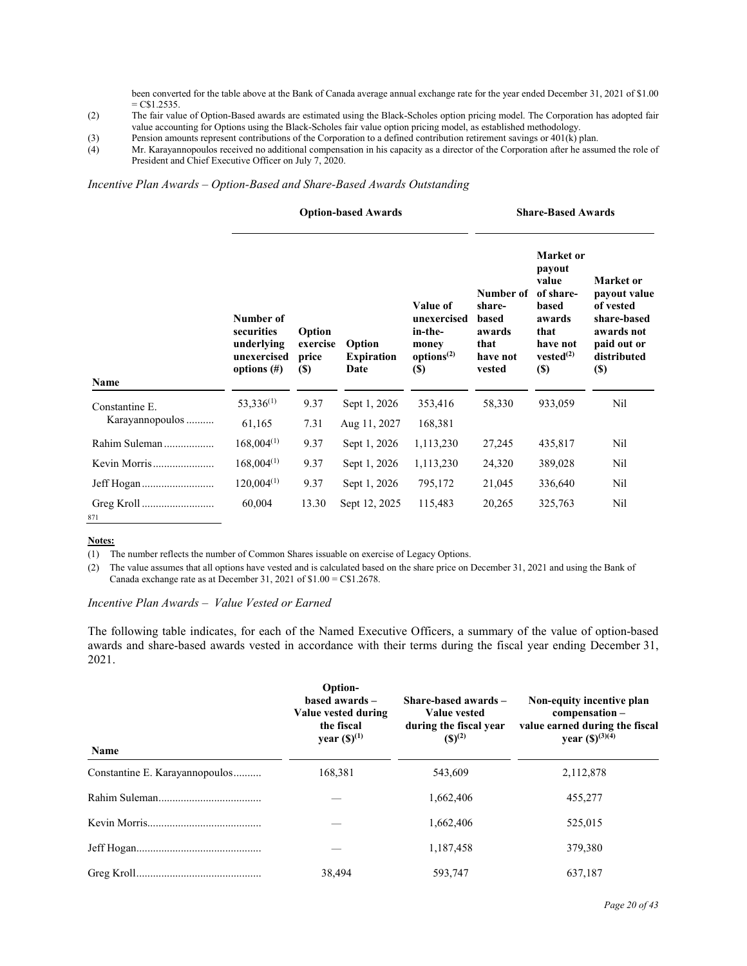been converted for the table above at the Bank of Canada average annual exchange rate for the year ended December 31, 2021 of \$1.00  $= C$1.2535.$ 

- (2) The fair value of Option-Based awards are estimated using the Black-Scholes option pricing model. The Corporation has adopted fair value accounting for Options using the Black-Scholes fair value option pricing model, as established methodology.
- (3) Pension amounts represent contributions of the Corporation to a defined contribution retirement savings or 401(k) plan.
- (4) Mr. Karayannopoulos received no additional compensation in his capacity as a director of the Corporation after he assumed the role of President and Chief Executive Officer on July 7, 2020.

### *Incentive Plan Awards – Option-Based and Share-Based Awards Outstanding*

#### **Option-based Awards Share-Based Awards**

| Name                              | Number of<br>securities<br>underlying<br>unexercised<br>options $(\#)$ | Option<br>exercise<br>price<br><b>(\$)</b> | Option<br><b>Expiration</b><br>Date | Value of<br>unexercised<br>in-the-<br>money<br>options <sup>(2)</sup><br><b>(\$)</b> | Number of<br>share-<br>based<br>awards<br>that<br>have not<br>vested | Market or<br>payout<br>value<br>of share-<br>based<br>awards<br>that<br>have not<br>vested <sup>(2)</sup><br>$(\$)$ | Market or<br>payout value<br>of vested<br>share-based<br>awards not<br>paid out or<br>distributed<br><b>(\$)</b> |
|-----------------------------------|------------------------------------------------------------------------|--------------------------------------------|-------------------------------------|--------------------------------------------------------------------------------------|----------------------------------------------------------------------|---------------------------------------------------------------------------------------------------------------------|------------------------------------------------------------------------------------------------------------------|
|                                   | 53,336 <sup>(1)</sup>                                                  | 9.37                                       | Sept 1, 2026                        | 353,416                                                                              | 58,330                                                               | 933,059                                                                                                             | Nil                                                                                                              |
| Constantine E.<br>Karayannopoulos | 61,165                                                                 | 7.31                                       | Aug 11, 2027                        | 168,381                                                                              |                                                                      |                                                                                                                     |                                                                                                                  |
| Rahim Suleman                     | $168,004^{(1)}$                                                        | 9.37                                       | Sept 1, 2026                        | 1,113,230                                                                            | 27,245                                                               | 435,817                                                                                                             | Nil                                                                                                              |
|                                   |                                                                        |                                            |                                     |                                                                                      |                                                                      |                                                                                                                     |                                                                                                                  |
| Kevin Morris                      | $168,004^{(1)}$                                                        | 9.37                                       | Sept 1, 2026                        | 1,113,230                                                                            | 24,320                                                               | 389,028                                                                                                             | Nil                                                                                                              |
|                                   | $120,004^{(1)}$                                                        | 9.37                                       | Sept 1, 2026                        | 795,172                                                                              | 21,045                                                               | 336,640                                                                                                             | Nil                                                                                                              |
| 871                               | 60,004                                                                 | 13.30                                      | Sept 12, 2025                       | 115,483                                                                              | 20,265                                                               | 325,763                                                                                                             | Nil                                                                                                              |

**Notes:**

(1) The number reflects the number of Common Shares issuable on exercise of Legacy Options.

(2) The value assumes that all options have vested and is calculated based on the share price on December 31, 2021 and using the Bank of Canada exchange rate as at December 31, 2021 of  $$1.00 = C$1.2678$ .

# *Incentive Plan Awards – Value Vested or Earned*

The following table indicates, for each of the Named Executive Officers, a summary of the value of option-based awards and share-based awards vested in accordance with their terms during the fiscal year ending December 31, 2021.

| <b>Name</b>                    | Option-<br>based awards -<br>Value vested during<br>the fiscal<br>year $({\bf S})^{(1)}$ | Share-based awards -<br><b>Value vested</b><br>during the fiscal year<br>$(S)^{(2)}$ | Non-equity incentive plan<br>compensation –<br>value earned during the fiscal<br>year $({\mathbb S})^{(3)(4)}$ |
|--------------------------------|------------------------------------------------------------------------------------------|--------------------------------------------------------------------------------------|----------------------------------------------------------------------------------------------------------------|
| Constantine E. Karayannopoulos | 168,381                                                                                  | 543,609                                                                              | 2,112,878                                                                                                      |
|                                |                                                                                          | 1,662,406                                                                            | 455,277                                                                                                        |
|                                |                                                                                          | 1.662.406                                                                            | 525,015                                                                                                        |
|                                |                                                                                          | 1,187,458                                                                            | 379,380                                                                                                        |
|                                | 38.494                                                                                   | 593.747                                                                              | 637.187                                                                                                        |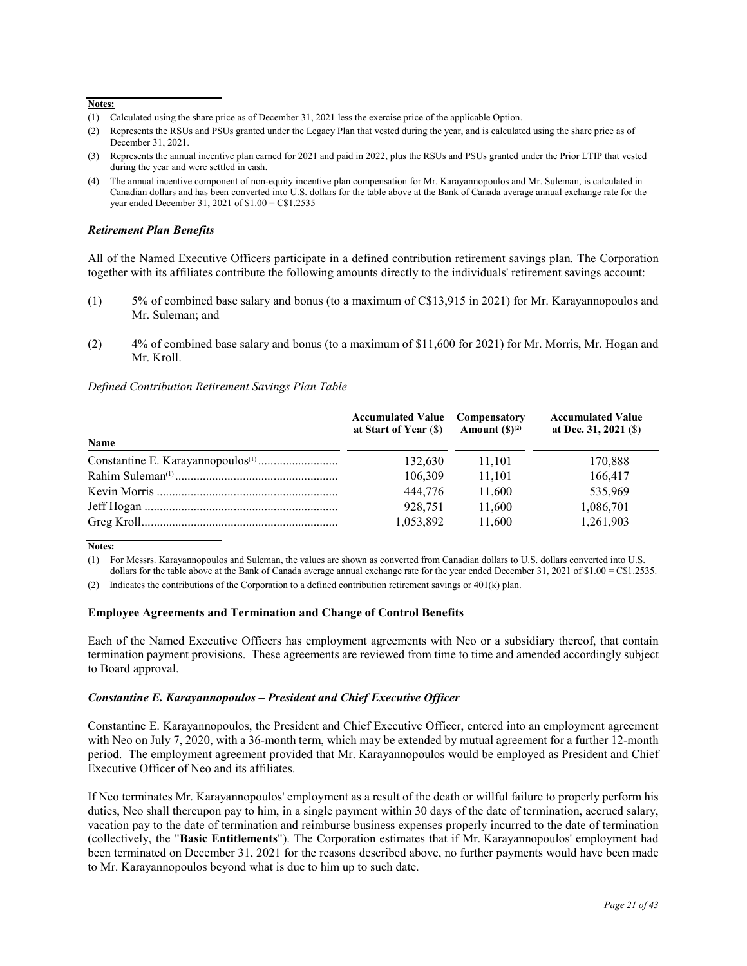#### **Notes:**

- (1) Calculated using the share price as of December 31, 2021 less the exercise price of the applicable Option.
- (2) Represents the RSUs and PSUs granted under the Legacy Plan that vested during the year, and is calculated using the share price as of December 31, 2021.
- (3) Represents the annual incentive plan earned for 2021 and paid in 2022, plus the RSUs and PSUs granted under the Prior LTIP that vested during the year and were settled in cash.
- (4) The annual incentive component of non-equity incentive plan compensation for Mr. Karayannopoulos and Mr. Suleman, is calculated in Canadian dollars and has been converted into U.S. dollars for the table above at the Bank of Canada average annual exchange rate for the year ended December 31, 2021 of \$1.00 = C\$1.2535

### *Retirement Plan Benefits*

All of the Named Executive Officers participate in a defined contribution retirement savings plan. The Corporation together with its affiliates contribute the following amounts directly to the individuals' retirement savings account:

- (1) 5% of combined base salary and bonus (to a maximum of C\$13,915 in 2021) for Mr. Karayannopoulos and Mr. Suleman; and
- (2) 4% of combined base salary and bonus (to a maximum of \$11,600 for 2021) for Mr. Morris, Mr. Hogan and Mr. Kroll.

### *Defined Contribution Retirement Savings Plan Table*

|             | <b>Accumulated Value</b> Compensatory<br>at Start of Year (\$) | Amount $(S)^{(2)}$ | <b>Accumulated Value</b><br>at Dec. 31, 2021 $($ \$) |
|-------------|----------------------------------------------------------------|--------------------|------------------------------------------------------|
| <b>Name</b> |                                                                |                    |                                                      |
|             | 132,630                                                        | 11,101             | 170,888                                              |
|             | 106,309                                                        | 11.101             | 166,417                                              |
|             | 444,776                                                        | 11,600             | 535,969                                              |
|             | 928.751                                                        | 11.600             | 1,086,701                                            |
|             | 1,053,892                                                      | 11,600             | 1,261,903                                            |

**Notes:**

(1) For Messrs. Karayannopoulos and Suleman, the values are shown as converted from Canadian dollars to U.S. dollars converted into U.S. dollars for the table above at the Bank of Canada average annual exchange rate for the year ended December 31, 2021 of \$1.00 = C\$1.2535.

(2) Indicates the contributions of the Corporation to a defined contribution retirement savings or 401(k) plan.

#### **Employee Agreements and Termination and Change of Control Benefits**

Each of the Named Executive Officers has employment agreements with Neo or a subsidiary thereof, that contain termination payment provisions. These agreements are reviewed from time to time and amended accordingly subject to Board approval.

#### *Constantine E. Karayannopoulos – President and Chief Executive Officer*

Constantine E. Karayannopoulos, the President and Chief Executive Officer, entered into an employment agreement with Neo on July 7, 2020, with a 36-month term, which may be extended by mutual agreement for a further 12-month period. The employment agreement provided that Mr. Karayannopoulos would be employed as President and Chief Executive Officer of Neo and its affiliates.

If Neo terminates Mr. Karayannopoulos' employment as a result of the death or willful failure to properly perform his duties, Neo shall thereupon pay to him, in a single payment within 30 days of the date of termination, accrued salary, vacation pay to the date of termination and reimburse business expenses properly incurred to the date of termination (collectively, the "**Basic Entitlements**"). The Corporation estimates that if Mr. Karayannopoulos' employment had been terminated on December 31, 2021 for the reasons described above, no further payments would have been made to Mr. Karayannopoulos beyond what is due to him up to such date.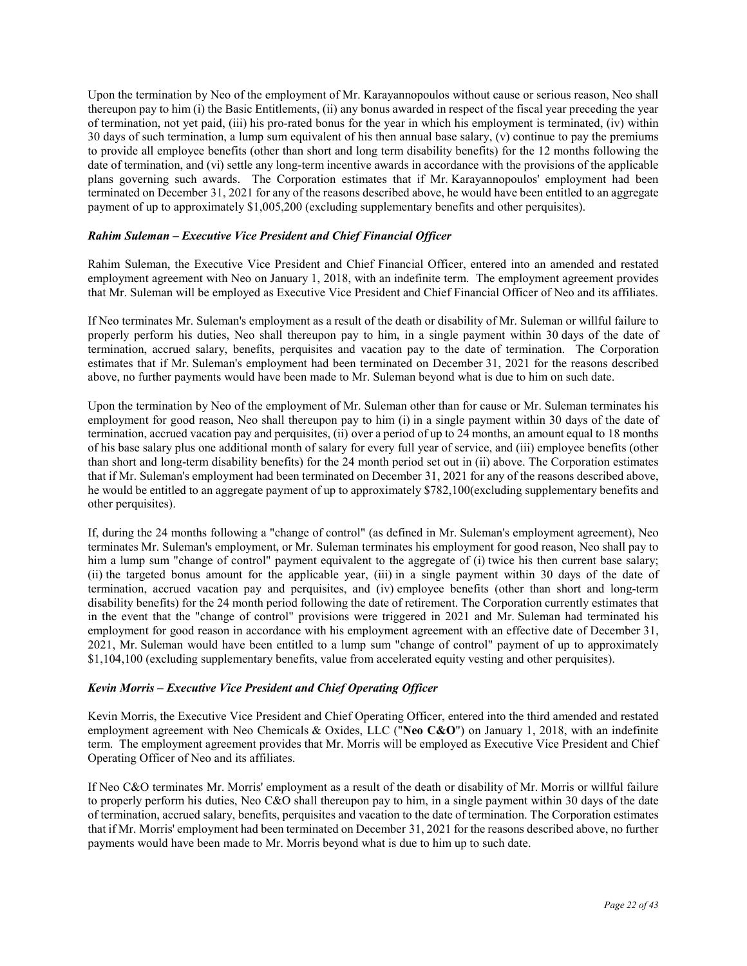Upon the termination by Neo of the employment of Mr. Karayannopoulos without cause or serious reason, Neo shall thereupon pay to him (i) the Basic Entitlements, (ii) any bonus awarded in respect of the fiscal year preceding the year of termination, not yet paid, (iii) his pro-rated bonus for the year in which his employment is terminated, (iv) within 30 days of such termination, a lump sum equivalent of his then annual base salary, (v) continue to pay the premiums to provide all employee benefits (other than short and long term disability benefits) for the 12 months following the date of termination, and (vi) settle any long-term incentive awards in accordance with the provisions of the applicable plans governing such awards. The Corporation estimates that if Mr. Karayannopoulos' employment had been terminated on December 31, 2021 for any of the reasons described above, he would have been entitled to an aggregate payment of up to approximately \$1,005,200 (excluding supplementary benefits and other perquisites).

# *Rahim Suleman – Executive Vice President and Chief Financial Officer*

Rahim Suleman, the Executive Vice President and Chief Financial Officer, entered into an amended and restated employment agreement with Neo on January 1, 2018, with an indefinite term. The employment agreement provides that Mr. Suleman will be employed as Executive Vice President and Chief Financial Officer of Neo and its affiliates.

If Neo terminates Mr. Suleman's employment as a result of the death or disability of Mr. Suleman or willful failure to properly perform his duties, Neo shall thereupon pay to him, in a single payment within 30 days of the date of termination, accrued salary, benefits, perquisites and vacation pay to the date of termination. The Corporation estimates that if Mr. Suleman's employment had been terminated on December 31, 2021 for the reasons described above, no further payments would have been made to Mr. Suleman beyond what is due to him on such date.

Upon the termination by Neo of the employment of Mr. Suleman other than for cause or Mr. Suleman terminates his employment for good reason, Neo shall thereupon pay to him (i) in a single payment within 30 days of the date of termination, accrued vacation pay and perquisites, (ii) over a period of up to 24 months, an amount equal to 18 months of his base salary plus one additional month of salary for every full year of service, and (iii) employee benefits (other than short and long-term disability benefits) for the 24 month period set out in (ii) above. The Corporation estimates that if Mr. Suleman's employment had been terminated on December 31, 2021 for any of the reasons described above, he would be entitled to an aggregate payment of up to approximately \$782,100(excluding supplementary benefits and other perquisites).

If, during the 24 months following a "change of control" (as defined in Mr. Suleman's employment agreement), Neo terminates Mr. Suleman's employment, or Mr. Suleman terminates his employment for good reason, Neo shall pay to him a lump sum "change of control" payment equivalent to the aggregate of (i) twice his then current base salary; (ii) the targeted bonus amount for the applicable year, (iii) in a single payment within 30 days of the date of termination, accrued vacation pay and perquisites, and (iv) employee benefits (other than short and long-term disability benefits) for the 24 month period following the date of retirement. The Corporation currently estimates that in the event that the "change of control" provisions were triggered in 2021 and Mr. Suleman had terminated his employment for good reason in accordance with his employment agreement with an effective date of December 31, 2021, Mr. Suleman would have been entitled to a lump sum "change of control" payment of up to approximately \$1,104,100 (excluding supplementary benefits, value from accelerated equity vesting and other perquisites).

# *Kevin Morris – Executive Vice President and Chief Operating Officer*

Kevin Morris, the Executive Vice President and Chief Operating Officer, entered into the third amended and restated employment agreement with Neo Chemicals & Oxides, LLC ("**Neo C&O**") on January 1, 2018, with an indefinite term. The employment agreement provides that Mr. Morris will be employed as Executive Vice President and Chief Operating Officer of Neo and its affiliates.

If Neo C&O terminates Mr. Morris' employment as a result of the death or disability of Mr. Morris or willful failure to properly perform his duties, Neo C&O shall thereupon pay to him, in a single payment within 30 days of the date of termination, accrued salary, benefits, perquisites and vacation to the date of termination. The Corporation estimates that if Mr. Morris' employment had been terminated on December 31, 2021 for the reasons described above, no further payments would have been made to Mr. Morris beyond what is due to him up to such date.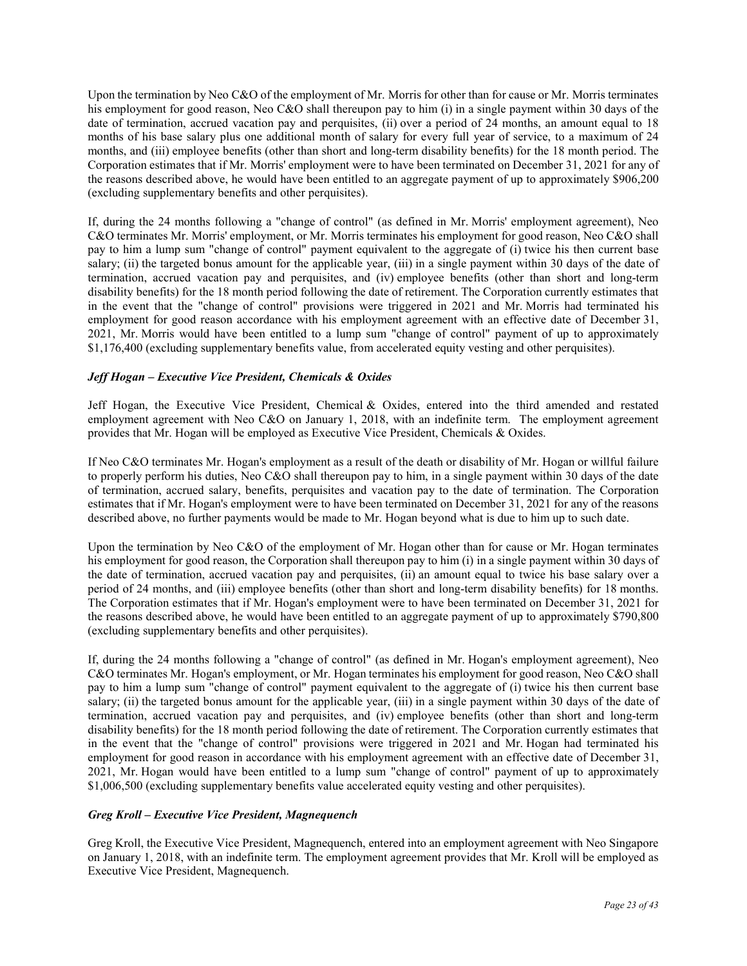Upon the termination by Neo C&O of the employment of Mr. Morris for other than for cause or Mr. Morris terminates his employment for good reason, Neo C&O shall thereupon pay to him (i) in a single payment within 30 days of the date of termination, accrued vacation pay and perquisites, (ii) over a period of 24 months, an amount equal to 18 months of his base salary plus one additional month of salary for every full year of service, to a maximum of 24 months, and (iii) employee benefits (other than short and long-term disability benefits) for the 18 month period. The Corporation estimates that if Mr. Morris' employment were to have been terminated on December 31, 2021 for any of the reasons described above, he would have been entitled to an aggregate payment of up to approximately \$906,200 (excluding supplementary benefits and other perquisites).

If, during the 24 months following a "change of control" (as defined in Mr. Morris' employment agreement), Neo C&O terminates Mr. Morris' employment, or Mr. Morris terminates his employment for good reason, Neo C&O shall pay to him a lump sum "change of control" payment equivalent to the aggregate of (i) twice his then current base salary; (ii) the targeted bonus amount for the applicable year, (iii) in a single payment within 30 days of the date of termination, accrued vacation pay and perquisites, and (iv) employee benefits (other than short and long-term disability benefits) for the 18 month period following the date of retirement. The Corporation currently estimates that in the event that the "change of control" provisions were triggered in 2021 and Mr. Morris had terminated his employment for good reason accordance with his employment agreement with an effective date of December 31, 2021, Mr. Morris would have been entitled to a lump sum "change of control" payment of up to approximately \$1,176,400 (excluding supplementary benefits value, from accelerated equity vesting and other perquisites).

# *Jeff Hogan – Executive Vice President, Chemicals & Oxides*

Jeff Hogan, the Executive Vice President, Chemical & Oxides, entered into the third amended and restated employment agreement with Neo C&O on January 1, 2018, with an indefinite term. The employment agreement provides that Mr. Hogan will be employed as Executive Vice President, Chemicals & Oxides.

If Neo C&O terminates Mr. Hogan's employment as a result of the death or disability of Mr. Hogan or willful failure to properly perform his duties, Neo C&O shall thereupon pay to him, in a single payment within 30 days of the date of termination, accrued salary, benefits, perquisites and vacation pay to the date of termination. The Corporation estimates that if Mr. Hogan's employment were to have been terminated on December 31, 2021 for any of the reasons described above, no further payments would be made to Mr. Hogan beyond what is due to him up to such date.

Upon the termination by Neo C&O of the employment of Mr. Hogan other than for cause or Mr. Hogan terminates his employment for good reason, the Corporation shall thereupon pay to him (i) in a single payment within 30 days of the date of termination, accrued vacation pay and perquisites, (ii) an amount equal to twice his base salary over a period of 24 months, and (iii) employee benefits (other than short and long-term disability benefits) for 18 months. The Corporation estimates that if Mr. Hogan's employment were to have been terminated on December 31, 2021 for the reasons described above, he would have been entitled to an aggregate payment of up to approximately \$790,800 (excluding supplementary benefits and other perquisites).

If, during the 24 months following a "change of control" (as defined in Mr. Hogan's employment agreement), Neo C&O terminates Mr. Hogan's employment, or Mr. Hogan terminates his employment for good reason, Neo C&O shall pay to him a lump sum "change of control" payment equivalent to the aggregate of (i) twice his then current base salary; (ii) the targeted bonus amount for the applicable year, (iii) in a single payment within 30 days of the date of termination, accrued vacation pay and perquisites, and (iv) employee benefits (other than short and long-term disability benefits) for the 18 month period following the date of retirement. The Corporation currently estimates that in the event that the "change of control" provisions were triggered in 2021 and Mr. Hogan had terminated his employment for good reason in accordance with his employment agreement with an effective date of December 31, 2021, Mr. Hogan would have been entitled to a lump sum "change of control" payment of up to approximately \$1,006,500 (excluding supplementary benefits value accelerated equity vesting and other perquisites).

# *Greg Kroll – Executive Vice President, Magnequench*

Greg Kroll, the Executive Vice President, Magnequench, entered into an employment agreement with Neo Singapore on January 1, 2018, with an indefinite term. The employment agreement provides that Mr. Kroll will be employed as Executive Vice President, Magnequench.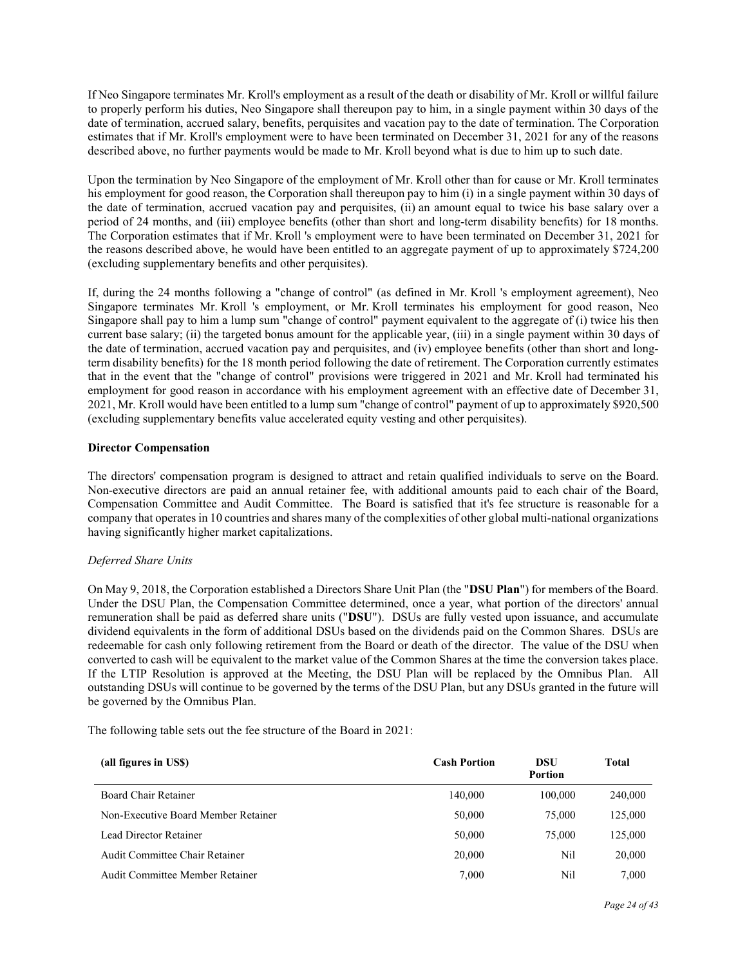If Neo Singapore terminates Mr. Kroll's employment as a result of the death or disability of Mr. Kroll or willful failure to properly perform his duties, Neo Singapore shall thereupon pay to him, in a single payment within 30 days of the date of termination, accrued salary, benefits, perquisites and vacation pay to the date of termination. The Corporation estimates that if Mr. Kroll's employment were to have been terminated on December 31, 2021 for any of the reasons described above, no further payments would be made to Mr. Kroll beyond what is due to him up to such date.

Upon the termination by Neo Singapore of the employment of Mr. Kroll other than for cause or Mr. Kroll terminates his employment for good reason, the Corporation shall thereupon pay to him (i) in a single payment within 30 days of the date of termination, accrued vacation pay and perquisites, (ii) an amount equal to twice his base salary over a period of 24 months, and (iii) employee benefits (other than short and long-term disability benefits) for 18 months. The Corporation estimates that if Mr. Kroll 's employment were to have been terminated on December 31, 2021 for the reasons described above, he would have been entitled to an aggregate payment of up to approximately \$724,200 (excluding supplementary benefits and other perquisites).

If, during the 24 months following a "change of control" (as defined in Mr. Kroll 's employment agreement), Neo Singapore terminates Mr. Kroll 's employment, or Mr. Kroll terminates his employment for good reason, Neo Singapore shall pay to him a lump sum "change of control" payment equivalent to the aggregate of (i) twice his then current base salary; (ii) the targeted bonus amount for the applicable year, (iii) in a single payment within 30 days of the date of termination, accrued vacation pay and perquisites, and (iv) employee benefits (other than short and longterm disability benefits) for the 18 month period following the date of retirement. The Corporation currently estimates that in the event that the "change of control" provisions were triggered in 2021 and Mr. Kroll had terminated his employment for good reason in accordance with his employment agreement with an effective date of December 31, 2021, Mr. Kroll would have been entitled to a lump sum "change of control" payment of up to approximately \$920,500 (excluding supplementary benefits value accelerated equity vesting and other perquisites).

# **Director Compensation**

The directors' compensation program is designed to attract and retain qualified individuals to serve on the Board. Non-executive directors are paid an annual retainer fee, with additional amounts paid to each chair of the Board, Compensation Committee and Audit Committee. The Board is satisfied that it's fee structure is reasonable for a company that operates in 10 countries and shares many of the complexities of other global multi-national organizations having significantly higher market capitalizations.

# *Deferred Share Units*

On May 9, 2018, the Corporation established a Directors Share Unit Plan (the "**DSU Plan**") for members of the Board. Under the DSU Plan, the Compensation Committee determined, once a year, what portion of the directors' annual remuneration shall be paid as deferred share units ("**DSU**"). DSUs are fully vested upon issuance, and accumulate dividend equivalents in the form of additional DSUs based on the dividends paid on the Common Shares. DSUs are redeemable for cash only following retirement from the Board or death of the director. The value of the DSU when converted to cash will be equivalent to the market value of the Common Shares at the time the conversion takes place. If the LTIP Resolution is approved at the Meeting, the DSU Plan will be replaced by the Omnibus Plan. All outstanding DSUs will continue to be governed by the terms of the DSU Plan, but any DSUs granted in the future will be governed by the Omnibus Plan.

The following table sets out the fee structure of the Board in 2021:

| (all figures in US\$)               | <b>Cash Portion</b> | DSU<br><b>Portion</b> | Total   |
|-------------------------------------|---------------------|-----------------------|---------|
| Board Chair Retainer                | 140,000             | 100,000               | 240,000 |
| Non-Executive Board Member Retainer | 50,000              | 75,000                | 125,000 |
| Lead Director Retainer              | 50,000              | 75,000                | 125,000 |
| Audit Committee Chair Retainer      | 20,000              | Nil                   | 20,000  |
| Audit Committee Member Retainer     | 7.000               | Nil                   | 7.000   |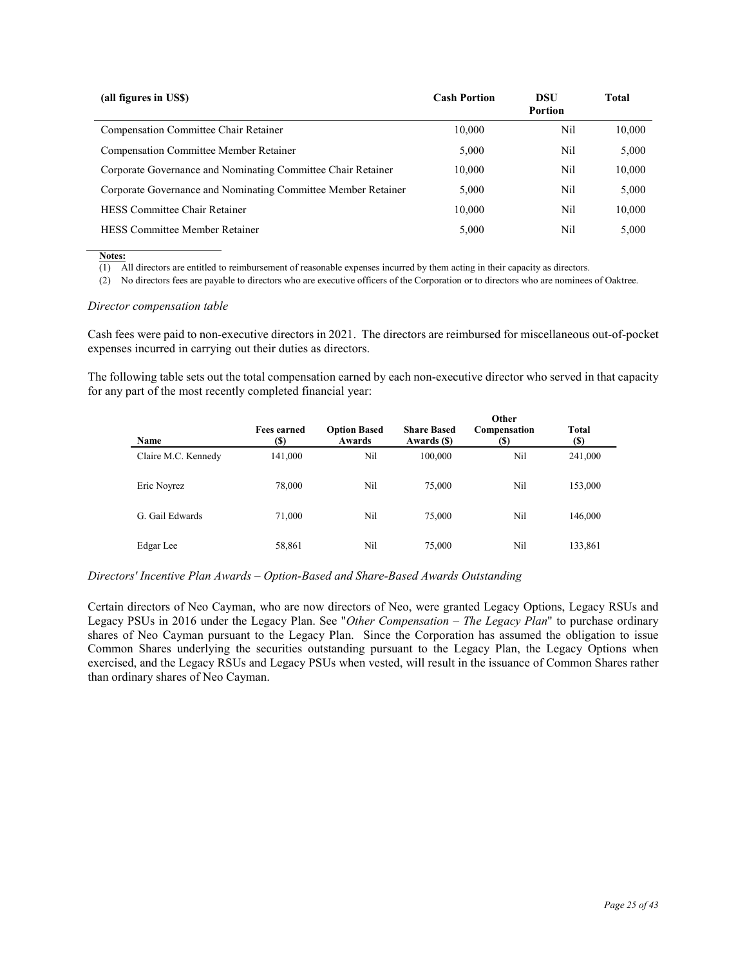| (all figures in US\$)                                         | <b>Cash Portion</b> | DSU<br><b>Portion</b> | <b>Total</b> |
|---------------------------------------------------------------|---------------------|-----------------------|--------------|
| Compensation Committee Chair Retainer                         | 10,000              | Nil                   | 10.000       |
| <b>Compensation Committee Member Retainer</b>                 | 5,000               | Nil                   | 5.000        |
| Corporate Governance and Nominating Committee Chair Retainer  | 10,000              | Nil                   | 10,000       |
| Corporate Governance and Nominating Committee Member Retainer | 5,000               | Nil                   | 5,000        |
| <b>HESS Committee Chair Retainer</b>                          | 10.000              | Nil                   | 10,000       |
| <b>HESS Committee Member Retainer</b>                         | 5.000               | Nil                   | 5.000        |

**Notes:** 

 $\overline{(1)}$  All directors are entitled to reimbursement of reasonable expenses incurred by them acting in their capacity as directors.

(2) No directors fees are payable to directors who are executive officers of the Corporation or to directors who are nominees of Oaktree.

### *Director compensation table*

Cash fees were paid to non-executive directors in 2021. The directors are reimbursed for miscellaneous out-of-pocket expenses incurred in carrying out their duties as directors.

The following table sets out the total compensation earned by each non-executive director who served in that capacity for any part of the most recently completed financial year:

| <b>Name</b>         | <b>Fees earned</b><br>(S) | <b>Option Based</b><br>Awards | <b>Share Based</b><br>Awards (\$) | Other<br>Compensation<br>(S) | Total<br>(S) |
|---------------------|---------------------------|-------------------------------|-----------------------------------|------------------------------|--------------|
| Claire M.C. Kennedy | 141,000                   | Ni1                           | 100,000                           | Nil                          | 241,000      |
| Eric Noyrez         | 78,000                    | Nil                           | 75,000                            | Nil                          | 153,000      |
| G. Gail Edwards     | 71,000                    | Nil                           | 75,000                            | Nil                          | 146,000      |
| Edgar Lee           | 58,861                    | Nil                           | 75,000                            | Nil                          | 133,861      |

#### *Directors' Incentive Plan Awards – Option-Based and Share-Based Awards Outstanding*

Certain directors of Neo Cayman, who are now directors of Neo, were granted Legacy Options, Legacy RSUs and Legacy PSUs in 2016 under the Legacy Plan. See "*Other Compensation – The Legacy Plan*" to purchase ordinary shares of Neo Cayman pursuant to the Legacy Plan. Since the Corporation has assumed the obligation to issue Common Shares underlying the securities outstanding pursuant to the Legacy Plan, the Legacy Options when exercised, and the Legacy RSUs and Legacy PSUs when vested, will result in the issuance of Common Shares rather than ordinary shares of Neo Cayman.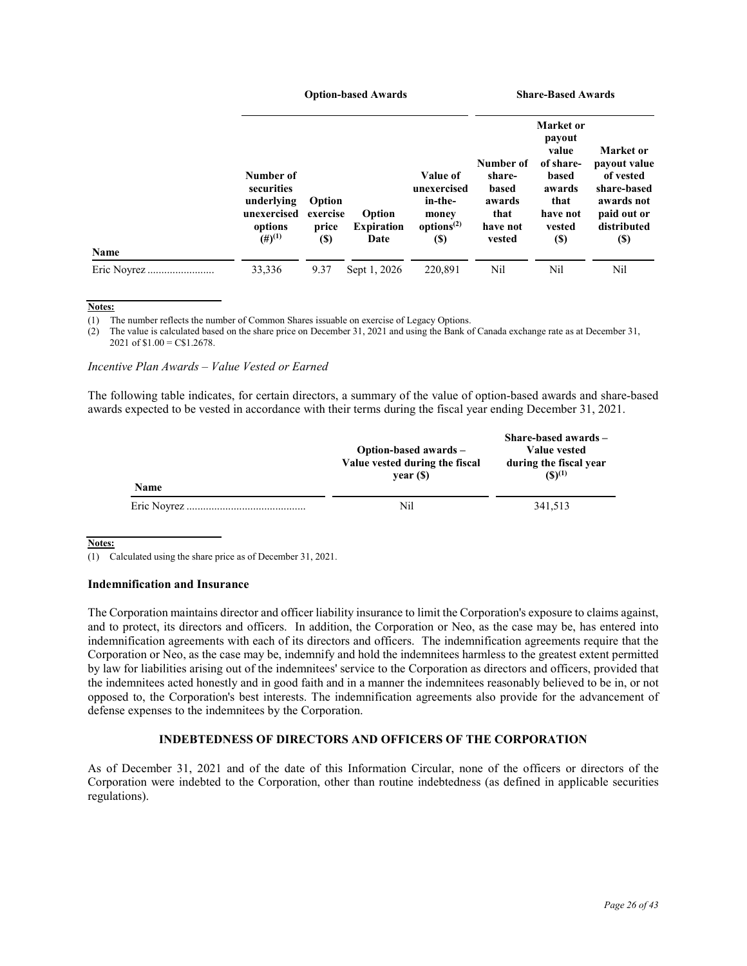|             |                                                                                         | <b>Option-based Awards</b>                 |                                     |                                                                                                   |                                                                      | <b>Share-Based Awards</b>                                                                                        |                                                                                                                  |  |
|-------------|-----------------------------------------------------------------------------------------|--------------------------------------------|-------------------------------------|---------------------------------------------------------------------------------------------------|----------------------------------------------------------------------|------------------------------------------------------------------------------------------------------------------|------------------------------------------------------------------------------------------------------------------|--|
|             | Number of<br>securities<br>underlying<br>unexercised<br>options<br>$(4)$ <sup>(1)</sup> | Option<br>exercise<br>price<br><b>(\$)</b> | Option<br><b>Expiration</b><br>Date | Value of<br>unexercised<br>in-the-<br>money<br>options <sup><math>(2)</math></sup><br><b>(\$)</b> | Number of<br>share-<br>based<br>awards<br>that<br>have not<br>vested | <b>Market</b> or<br>payout<br>value<br>of share-<br>based<br>awards<br>that<br>have not<br>vested<br><b>(\$)</b> | Market or<br>payout value<br>of vested<br>share-based<br>awards not<br>paid out or<br>distributed<br><b>(\$)</b> |  |
| Name        |                                                                                         |                                            |                                     |                                                                                                   |                                                                      |                                                                                                                  |                                                                                                                  |  |
| Eric Novrez | 33,336                                                                                  | 9.37                                       | Sept 1, 2026                        | 220,891                                                                                           | Nil                                                                  | Nil                                                                                                              | Nil                                                                                                              |  |

**Notes:**

(1) The number reflects the number of Common Shares issuable on exercise of Legacy Options.

(2) The value is calculated based on the share price on December 31, 2021 and using the Bank of Canada exchange rate as at December 31, 2021 of  $$1.00 = C$1.2678$ .

### *Incentive Plan Awards – Value Vested or Earned*

The following table indicates, for certain directors, a summary of the value of option-based awards and share-based awards expected to be vested in accordance with their terms during the fiscal year ending December 31, 2021.

| <b>Name</b> | Option-based awards –<br>Value vested during the fiscal<br>year(S) | Share-based awards -<br>Value vested<br>during the fiscal year<br>$(S)^{(1)}$ |
|-------------|--------------------------------------------------------------------|-------------------------------------------------------------------------------|
|             | Nil                                                                | 341.513                                                                       |

**Notes:**

(1) Calculated using the share price as of December 31, 2021.

# **Indemnification and Insurance**

The Corporation maintains director and officer liability insurance to limit the Corporation's exposure to claims against, and to protect, its directors and officers. In addition, the Corporation or Neo, as the case may be, has entered into indemnification agreements with each of its directors and officers. The indemnification agreements require that the Corporation or Neo, as the case may be, indemnify and hold the indemnitees harmless to the greatest extent permitted by law for liabilities arising out of the indemnitees' service to the Corporation as directors and officers, provided that the indemnitees acted honestly and in good faith and in a manner the indemnitees reasonably believed to be in, or not opposed to, the Corporation's best interests. The indemnification agreements also provide for the advancement of defense expenses to the indemnitees by the Corporation.

# **INDEBTEDNESS OF DIRECTORS AND OFFICERS OF THE CORPORATION**

As of December 31, 2021 and of the date of this Information Circular, none of the officers or directors of the Corporation were indebted to the Corporation, other than routine indebtedness (as defined in applicable securities regulations).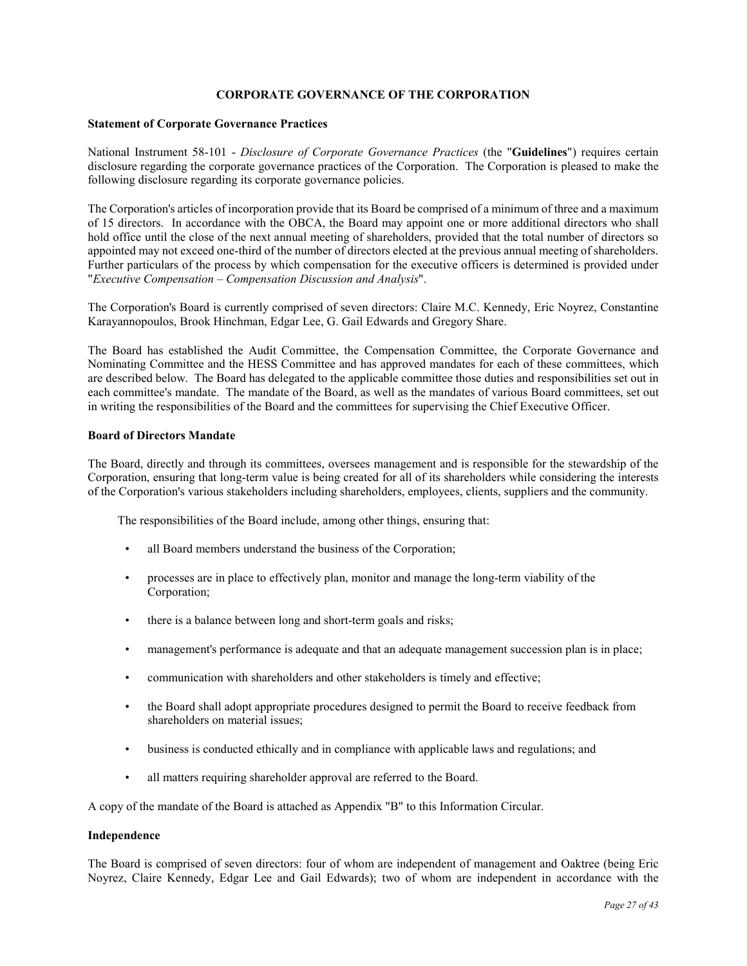# **CORPORATE GOVERNANCE OF THE CORPORATION**

### **Statement of Corporate Governance Practices**

National Instrument 58-101 - *Disclosure of Corporate Governance Practices* (the "**Guidelines**") requires certain disclosure regarding the corporate governance practices of the Corporation. The Corporation is pleased to make the following disclosure regarding its corporate governance policies.

The Corporation's articles of incorporation provide that its Board be comprised of a minimum of three and a maximum of 15 directors. In accordance with the OBCA, the Board may appoint one or more additional directors who shall hold office until the close of the next annual meeting of shareholders, provided that the total number of directors so appointed may not exceed one-third of the number of directors elected at the previous annual meeting of shareholders. Further particulars of the process by which compensation for the executive officers is determined is provided under "*Executive Compensation – Compensation Discussion and Analysis*".

The Corporation's Board is currently comprised of seven directors: Claire M.C. Kennedy, Eric Noyrez, Constantine Karayannopoulos, Brook Hinchman, Edgar Lee, G. Gail Edwards and Gregory Share.

The Board has established the Audit Committee, the Compensation Committee, the Corporate Governance and Nominating Committee and the HESS Committee and has approved mandates for each of these committees, which are described below. The Board has delegated to the applicable committee those duties and responsibilities set out in each committee's mandate. The mandate of the Board, as well as the mandates of various Board committees, set out in writing the responsibilities of the Board and the committees for supervising the Chief Executive Officer.

### **Board of Directors Mandate**

The Board, directly and through its committees, oversees management and is responsible for the stewardship of the Corporation, ensuring that long-term value is being created for all of its shareholders while considering the interests of the Corporation's various stakeholders including shareholders, employees, clients, suppliers and the community.

The responsibilities of the Board include, among other things, ensuring that:

- all Board members understand the business of the Corporation;
- processes are in place to effectively plan, monitor and manage the long-term viability of the Corporation;
- there is a balance between long and short-term goals and risks;
- management's performance is adequate and that an adequate management succession plan is in place;
- communication with shareholders and other stakeholders is timely and effective;
- the Board shall adopt appropriate procedures designed to permit the Board to receive feedback from shareholders on material issues;
- business is conducted ethically and in compliance with applicable laws and regulations; and
- all matters requiring shareholder approval are referred to the Board.

A copy of the mandate of the Board is attached as Appendix "B" to this Information Circular.

#### **Independence**

The Board is comprised of seven directors: four of whom are independent of management and Oaktree (being Eric Noyrez, Claire Kennedy, Edgar Lee and Gail Edwards); two of whom are independent in accordance with the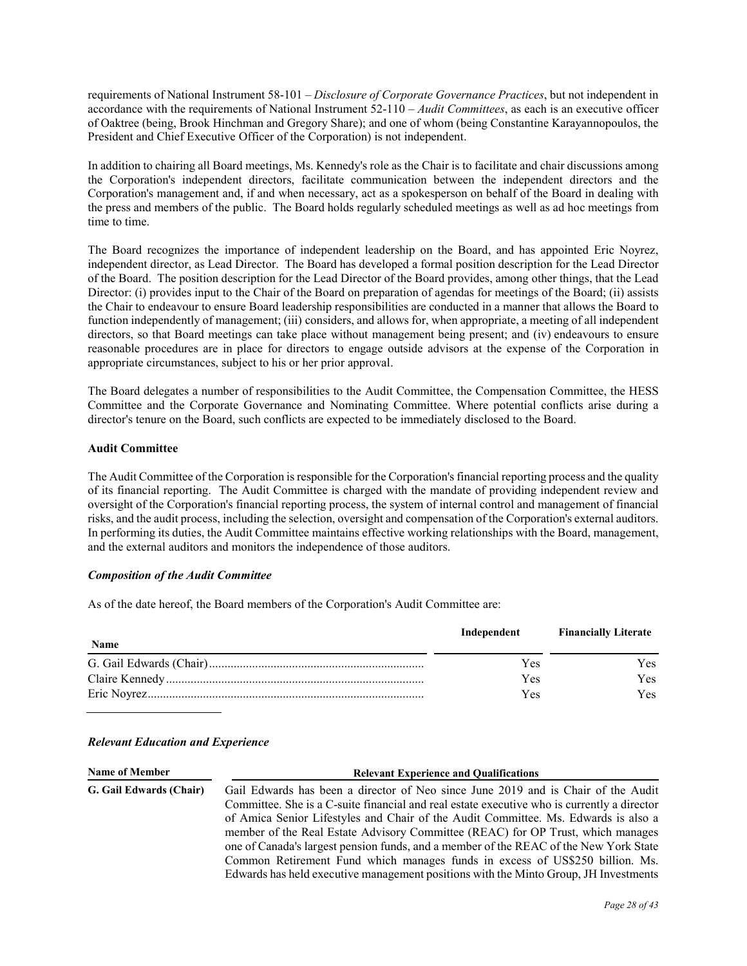requirements of National Instrument 58-101 – *Disclosure of Corporate Governance Practices*, but not independent in accordance with the requirements of National Instrument 52-110 – *Audit Committees*, as each is an executive officer of Oaktree (being, Brook Hinchman and Gregory Share); and one of whom (being Constantine Karayannopoulos, the President and Chief Executive Officer of the Corporation) is not independent.

In addition to chairing all Board meetings, Ms. Kennedy's role as the Chair is to facilitate and chair discussions among the Corporation's independent directors, facilitate communication between the independent directors and the Corporation's management and, if and when necessary, act as a spokesperson on behalf of the Board in dealing with the press and members of the public. The Board holds regularly scheduled meetings as well as ad hoc meetings from time to time.

The Board recognizes the importance of independent leadership on the Board, and has appointed Eric Noyrez, independent director, as Lead Director. The Board has developed a formal position description for the Lead Director of the Board. The position description for the Lead Director of the Board provides, among other things, that the Lead Director: (i) provides input to the Chair of the Board on preparation of agendas for meetings of the Board; (ii) assists the Chair to endeavour to ensure Board leadership responsibilities are conducted in a manner that allows the Board to function independently of management; (iii) considers, and allows for, when appropriate, a meeting of all independent directors, so that Board meetings can take place without management being present; and (iv) endeavours to ensure reasonable procedures are in place for directors to engage outside advisors at the expense of the Corporation in appropriate circumstances, subject to his or her prior approval.

The Board delegates a number of responsibilities to the Audit Committee, the Compensation Committee, the HESS Committee and the Corporate Governance and Nominating Committee. Where potential conflicts arise during a director's tenure on the Board, such conflicts are expected to be immediately disclosed to the Board.

# **Audit Committee**

The Audit Committee of the Corporation is responsible for the Corporation's financial reporting process and the quality of its financial reporting. The Audit Committee is charged with the mandate of providing independent review and oversight of the Corporation's financial reporting process, the system of internal control and management of financial risks, and the audit process, including the selection, oversight and compensation of the Corporation's external auditors. In performing its duties, the Audit Committee maintains effective working relationships with the Board, management, and the external auditors and monitors the independence of those auditors.

# *Composition of the Audit Committee*

As of the date hereof, the Board members of the Corporation's Audit Committee are:

|             | Independent | <b>Financially Literate</b> |
|-------------|-------------|-----------------------------|
| <b>Name</b> |             |                             |
|             | Yes         | Yes:                        |
|             | Yes         | Yes:                        |
|             | Yes         | Yes.                        |

# *Relevant Education and Experience*

| <b>Name of Member</b>   | <b>Relevant Experience and Qualifications</b>                                               |  |
|-------------------------|---------------------------------------------------------------------------------------------|--|
| G. Gail Edwards (Chair) | Gail Edwards has been a director of Neo since June 2019 and is Chair of the Audit           |  |
|                         | Committee. She is a C-suite financial and real estate executive who is currently a director |  |
|                         | of Amica Senior Lifestyles and Chair of the Audit Committee. Ms. Edwards is also a          |  |
|                         | member of the Real Estate Advisory Committee (REAC) for OP Trust, which manages             |  |
|                         | one of Canada's largest pension funds, and a member of the REAC of the New York State       |  |
|                         | Common Retirement Fund which manages funds in excess of US\$250 billion. Ms.                |  |
|                         | Edwards has held executive management positions with the Minto Group, JH Investments        |  |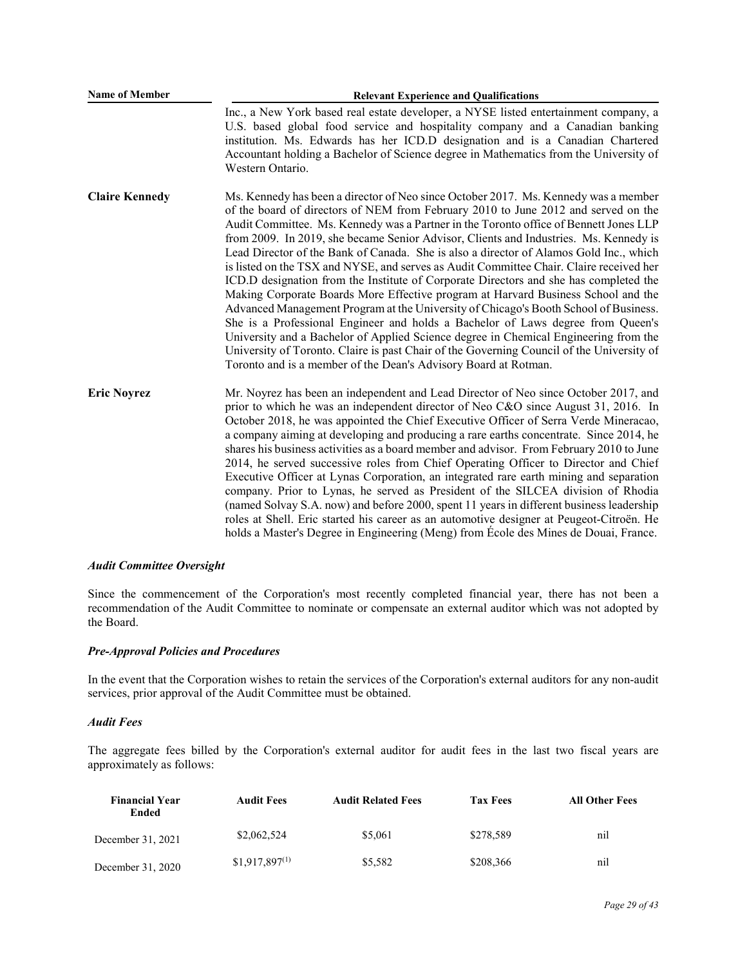| <b>Name of Member</b> | <b>Relevant Experience and Qualifications</b>                                                                                                                                                                                                                                                                                                                                                                                                                                                                                                                                                                                                                                                                                                                                                                                                                                                                                                                                                                                                                                                                                                                     |  |  |
|-----------------------|-------------------------------------------------------------------------------------------------------------------------------------------------------------------------------------------------------------------------------------------------------------------------------------------------------------------------------------------------------------------------------------------------------------------------------------------------------------------------------------------------------------------------------------------------------------------------------------------------------------------------------------------------------------------------------------------------------------------------------------------------------------------------------------------------------------------------------------------------------------------------------------------------------------------------------------------------------------------------------------------------------------------------------------------------------------------------------------------------------------------------------------------------------------------|--|--|
|                       | Inc., a New York based real estate developer, a NYSE listed entertainment company, a<br>U.S. based global food service and hospitality company and a Canadian banking<br>institution. Ms. Edwards has her ICD.D designation and is a Canadian Chartered<br>Accountant holding a Bachelor of Science degree in Mathematics from the University of<br>Western Ontario.                                                                                                                                                                                                                                                                                                                                                                                                                                                                                                                                                                                                                                                                                                                                                                                              |  |  |
| <b>Claire Kennedy</b> | Ms. Kennedy has been a director of Neo since October 2017. Ms. Kennedy was a member<br>of the board of directors of NEM from February 2010 to June 2012 and served on the<br>Audit Committee. Ms. Kennedy was a Partner in the Toronto office of Bennett Jones LLP<br>from 2009. In 2019, she became Senior Advisor, Clients and Industries. Ms. Kennedy is<br>Lead Director of the Bank of Canada. She is also a director of Alamos Gold Inc., which<br>is listed on the TSX and NYSE, and serves as Audit Committee Chair. Claire received her<br>ICD.D designation from the Institute of Corporate Directors and she has completed the<br>Making Corporate Boards More Effective program at Harvard Business School and the<br>Advanced Management Program at the University of Chicago's Booth School of Business.<br>She is a Professional Engineer and holds a Bachelor of Laws degree from Queen's<br>University and a Bachelor of Applied Science degree in Chemical Engineering from the<br>University of Toronto. Claire is past Chair of the Governing Council of the University of<br>Toronto and is a member of the Dean's Advisory Board at Rotman. |  |  |
| <b>Eric Noyrez</b>    | Mr. Noyrez has been an independent and Lead Director of Neo since October 2017, and<br>prior to which he was an independent director of Neo C&O since August 31, 2016. In<br>October 2018, he was appointed the Chief Executive Officer of Serra Verde Mineracao,<br>a company aiming at developing and producing a rare earths concentrate. Since 2014, he<br>shares his business activities as a board member and advisor. From February 2010 to June<br>2014, he served successive roles from Chief Operating Officer to Director and Chief<br>Executive Officer at Lynas Corporation, an integrated rare earth mining and separation<br>company. Prior to Lynas, he served as President of the SILCEA division of Rhodia<br>(named Solvay S.A. now) and before 2000, spent 11 years in different business leadership<br>roles at Shell. Eric started his career as an automotive designer at Peugeot-Citroën. He<br>holds a Master's Degree in Engineering (Meng) from École des Mines de Douai, France.                                                                                                                                                      |  |  |

# *Audit Committee Oversight*

Since the commencement of the Corporation's most recently completed financial year, there has not been a recommendation of the Audit Committee to nominate or compensate an external auditor which was not adopted by the Board.

# *Pre-Approval Policies and Procedures*

In the event that the Corporation wishes to retain the services of the Corporation's external auditors for any non-audit services, prior approval of the Audit Committee must be obtained.

# *Audit Fees*

The aggregate fees billed by the Corporation's external auditor for audit fees in the last two fiscal years are approximately as follows:

| <b>Financial Year</b><br>Ended | Audit Fees         | <b>Audit Related Fees</b> | <b>Tax Fees</b> | <b>All Other Fees</b> |
|--------------------------------|--------------------|---------------------------|-----------------|-----------------------|
| December 31, 2021              | \$2,062,524        | \$5,061                   | \$278,589       | nil                   |
| December 31, 2020              | $$1.917,897^{(1)}$ | \$5,582                   | \$208,366       | nil                   |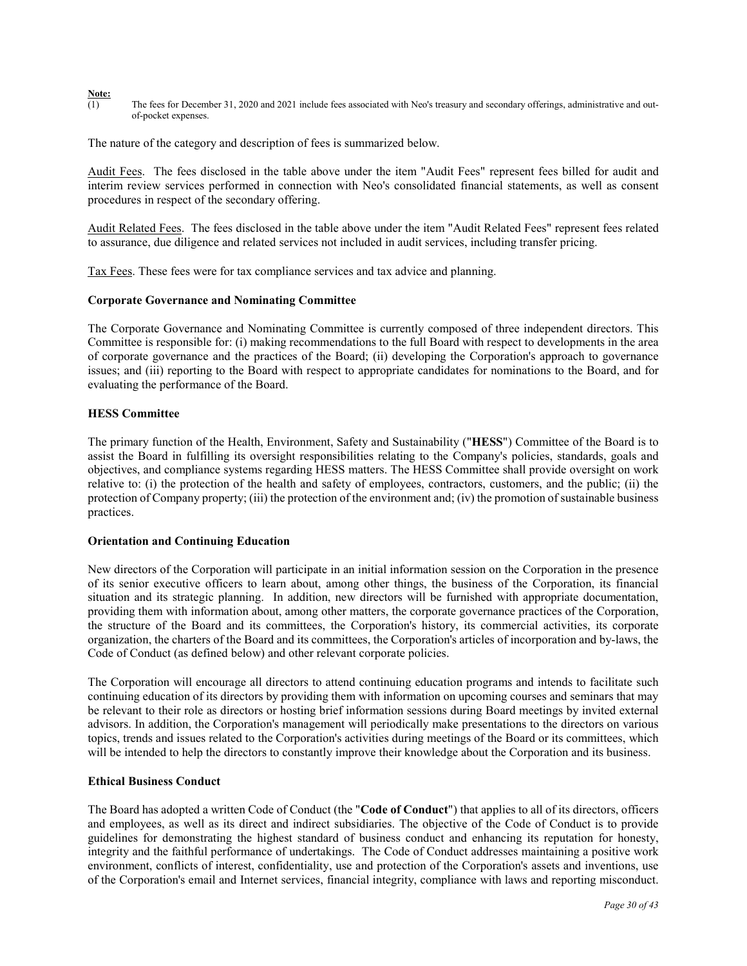#### **Note:**

(1) The fees for December 31, 2020 and 2021 include fees associated with Neo's treasury and secondary offerings, administrative and outof-pocket expenses.

The nature of the category and description of fees is summarized below.

Audit Fees. The fees disclosed in the table above under the item "Audit Fees" represent fees billed for audit and interim review services performed in connection with Neo's consolidated financial statements, as well as consent procedures in respect of the secondary offering.

Audit Related Fees. The fees disclosed in the table above under the item "Audit Related Fees" represent fees related to assurance, due diligence and related services not included in audit services, including transfer pricing.

Tax Fees. These fees were for tax compliance services and tax advice and planning.

### **Corporate Governance and Nominating Committee**

The Corporate Governance and Nominating Committee is currently composed of three independent directors. This Committee is responsible for: (i) making recommendations to the full Board with respect to developments in the area of corporate governance and the practices of the Board; (ii) developing the Corporation's approach to governance issues; and (iii) reporting to the Board with respect to appropriate candidates for nominations to the Board, and for evaluating the performance of the Board.

### **HESS Committee**

The primary function of the Health, Environment, Safety and Sustainability ("**HESS**") Committee of the Board is to assist the Board in fulfilling its oversight responsibilities relating to the Company's policies, standards, goals and objectives, and compliance systems regarding HESS matters. The HESS Committee shall provide oversight on work relative to: (i) the protection of the health and safety of employees, contractors, customers, and the public; (ii) the protection of Company property; (iii) the protection of the environment and; (iv) the promotion of sustainable business practices.

#### **Orientation and Continuing Education**

New directors of the Corporation will participate in an initial information session on the Corporation in the presence of its senior executive officers to learn about, among other things, the business of the Corporation, its financial situation and its strategic planning. In addition, new directors will be furnished with appropriate documentation, providing them with information about, among other matters, the corporate governance practices of the Corporation, the structure of the Board and its committees, the Corporation's history, its commercial activities, its corporate organization, the charters of the Board and its committees, the Corporation's articles of incorporation and by-laws, the Code of Conduct (as defined below) and other relevant corporate policies.

The Corporation will encourage all directors to attend continuing education programs and intends to facilitate such continuing education of its directors by providing them with information on upcoming courses and seminars that may be relevant to their role as directors or hosting brief information sessions during Board meetings by invited external advisors. In addition, the Corporation's management will periodically make presentations to the directors on various topics, trends and issues related to the Corporation's activities during meetings of the Board or its committees, which will be intended to help the directors to constantly improve their knowledge about the Corporation and its business.

### **Ethical Business Conduct**

The Board has adopted a written Code of Conduct (the "**Code of Conduct**") that applies to all of its directors, officers and employees, as well as its direct and indirect subsidiaries. The objective of the Code of Conduct is to provide guidelines for demonstrating the highest standard of business conduct and enhancing its reputation for honesty, integrity and the faithful performance of undertakings. The Code of Conduct addresses maintaining a positive work environment, conflicts of interest, confidentiality, use and protection of the Corporation's assets and inventions, use of the Corporation's email and Internet services, financial integrity, compliance with laws and reporting misconduct.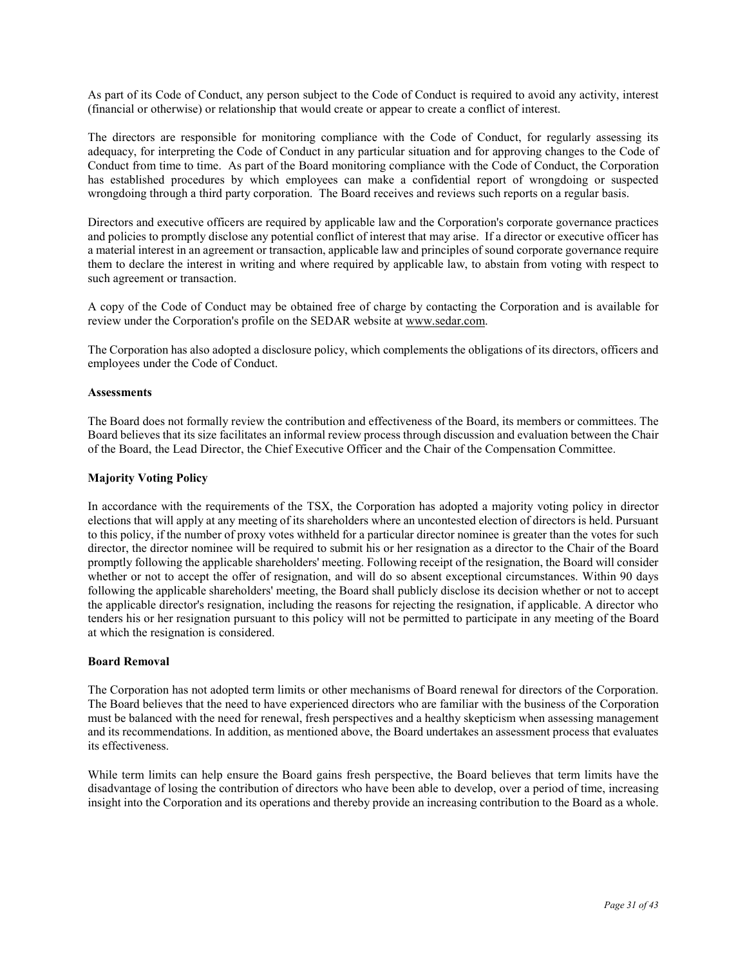As part of its Code of Conduct, any person subject to the Code of Conduct is required to avoid any activity, interest (financial or otherwise) or relationship that would create or appear to create a conflict of interest.

The directors are responsible for monitoring compliance with the Code of Conduct, for regularly assessing its adequacy, for interpreting the Code of Conduct in any particular situation and for approving changes to the Code of Conduct from time to time. As part of the Board monitoring compliance with the Code of Conduct, the Corporation has established procedures by which employees can make a confidential report of wrongdoing or suspected wrongdoing through a third party corporation. The Board receives and reviews such reports on a regular basis.

Directors and executive officers are required by applicable law and the Corporation's corporate governance practices and policies to promptly disclose any potential conflict of interest that may arise. If a director or executive officer has a material interest in an agreement or transaction, applicable law and principles of sound corporate governance require them to declare the interest in writing and where required by applicable law, to abstain from voting with respect to such agreement or transaction.

A copy of the Code of Conduct may be obtained free of charge by contacting the Corporation and is available for review under the Corporation's profile on the SEDAR website at www.sedar.com.

The Corporation has also adopted a disclosure policy, which complements the obligations of its directors, officers and employees under the Code of Conduct.

# **Assessments**

The Board does not formally review the contribution and effectiveness of the Board, its members or committees. The Board believes that its size facilitates an informal review process through discussion and evaluation between the Chair of the Board, the Lead Director, the Chief Executive Officer and the Chair of the Compensation Committee.

# **Majority Voting Policy**

In accordance with the requirements of the TSX, the Corporation has adopted a majority voting policy in director elections that will apply at any meeting of its shareholders where an uncontested election of directors is held. Pursuant to this policy, if the number of proxy votes withheld for a particular director nominee is greater than the votes for such director, the director nominee will be required to submit his or her resignation as a director to the Chair of the Board promptly following the applicable shareholders' meeting. Following receipt of the resignation, the Board will consider whether or not to accept the offer of resignation, and will do so absent exceptional circumstances. Within 90 days following the applicable shareholders' meeting, the Board shall publicly disclose its decision whether or not to accept the applicable director's resignation, including the reasons for rejecting the resignation, if applicable. A director who tenders his or her resignation pursuant to this policy will not be permitted to participate in any meeting of the Board at which the resignation is considered.

# **Board Removal**

The Corporation has not adopted term limits or other mechanisms of Board renewal for directors of the Corporation. The Board believes that the need to have experienced directors who are familiar with the business of the Corporation must be balanced with the need for renewal, fresh perspectives and a healthy skepticism when assessing management and its recommendations. In addition, as mentioned above, the Board undertakes an assessment process that evaluates its effectiveness.

While term limits can help ensure the Board gains fresh perspective, the Board believes that term limits have the disadvantage of losing the contribution of directors who have been able to develop, over a period of time, increasing insight into the Corporation and its operations and thereby provide an increasing contribution to the Board as a whole.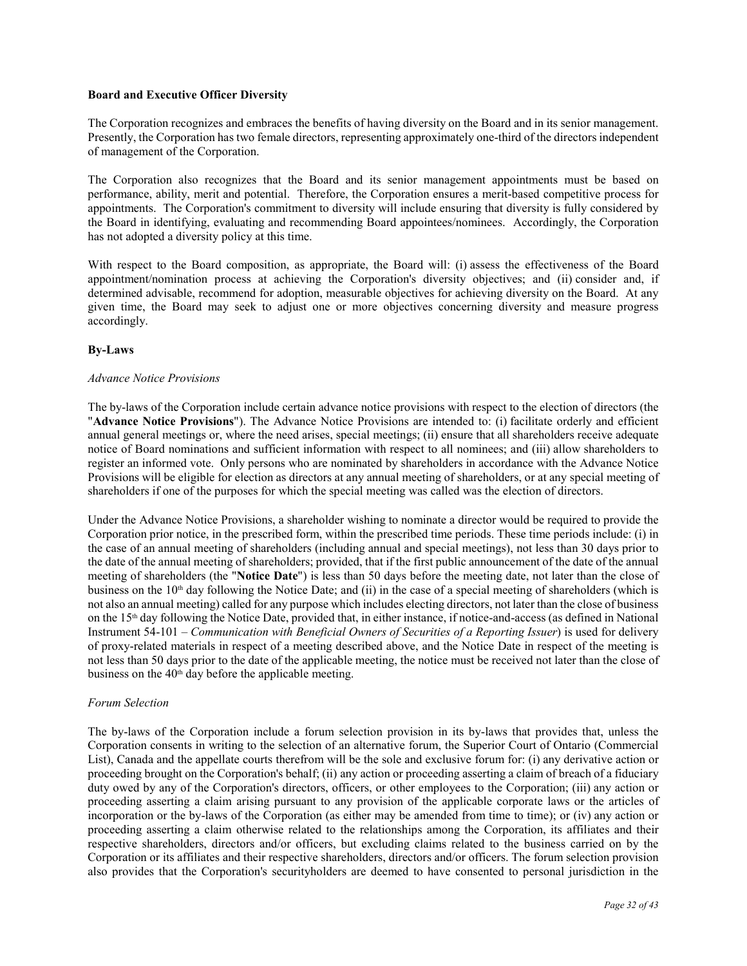# **Board and Executive Officer Diversity**

The Corporation recognizes and embraces the benefits of having diversity on the Board and in its senior management. Presently, the Corporation has two female directors, representing approximately one-third of the directors independent of management of the Corporation.

The Corporation also recognizes that the Board and its senior management appointments must be based on performance, ability, merit and potential. Therefore, the Corporation ensures a merit-based competitive process for appointments. The Corporation's commitment to diversity will include ensuring that diversity is fully considered by the Board in identifying, evaluating and recommending Board appointees/nominees. Accordingly, the Corporation has not adopted a diversity policy at this time.

With respect to the Board composition, as appropriate, the Board will: (i) assess the effectiveness of the Board appointment/nomination process at achieving the Corporation's diversity objectives; and (ii) consider and, if determined advisable, recommend for adoption, measurable objectives for achieving diversity on the Board. At any given time, the Board may seek to adjust one or more objectives concerning diversity and measure progress accordingly.

# **By-Laws**

# *Advance Notice Provisions*

The by-laws of the Corporation include certain advance notice provisions with respect to the election of directors (the "**Advance Notice Provisions**"). The Advance Notice Provisions are intended to: (i) facilitate orderly and efficient annual general meetings or, where the need arises, special meetings; (ii) ensure that all shareholders receive adequate notice of Board nominations and sufficient information with respect to all nominees; and (iii) allow shareholders to register an informed vote. Only persons who are nominated by shareholders in accordance with the Advance Notice Provisions will be eligible for election as directors at any annual meeting of shareholders, or at any special meeting of shareholders if one of the purposes for which the special meeting was called was the election of directors.

Under the Advance Notice Provisions, a shareholder wishing to nominate a director would be required to provide the Corporation prior notice, in the prescribed form, within the prescribed time periods. These time periods include: (i) in the case of an annual meeting of shareholders (including annual and special meetings), not less than 30 days prior to the date of the annual meeting of shareholders; provided, that if the first public announcement of the date of the annual meeting of shareholders (the "**Notice Date**") is less than 50 days before the meeting date, not later than the close of business on the 10<sup>th</sup> day following the Notice Date; and (ii) in the case of a special meeting of shareholders (which is not also an annual meeting) called for any purpose which includes electing directors, not later than the close of business on the 15th day following the Notice Date, provided that, in either instance, if notice-and-access (as defined in National Instrument 54-101 – *Communication with Beneficial Owners of Securities of a Reporting Issuer*) is used for delivery of proxy-related materials in respect of a meeting described above, and the Notice Date in respect of the meeting is not less than 50 days prior to the date of the applicable meeting, the notice must be received not later than the close of business on the  $40<sup>th</sup>$  day before the applicable meeting.

# *Forum Selection*

The by-laws of the Corporation include a forum selection provision in its by-laws that provides that, unless the Corporation consents in writing to the selection of an alternative forum, the Superior Court of Ontario (Commercial List), Canada and the appellate courts therefrom will be the sole and exclusive forum for: (i) any derivative action or proceeding brought on the Corporation's behalf; (ii) any action or proceeding asserting a claim of breach of a fiduciary duty owed by any of the Corporation's directors, officers, or other employees to the Corporation; (iii) any action or proceeding asserting a claim arising pursuant to any provision of the applicable corporate laws or the articles of incorporation or the by-laws of the Corporation (as either may be amended from time to time); or (iv) any action or proceeding asserting a claim otherwise related to the relationships among the Corporation, its affiliates and their respective shareholders, directors and/or officers, but excluding claims related to the business carried on by the Corporation or its affiliates and their respective shareholders, directors and/or officers. The forum selection provision also provides that the Corporation's securityholders are deemed to have consented to personal jurisdiction in the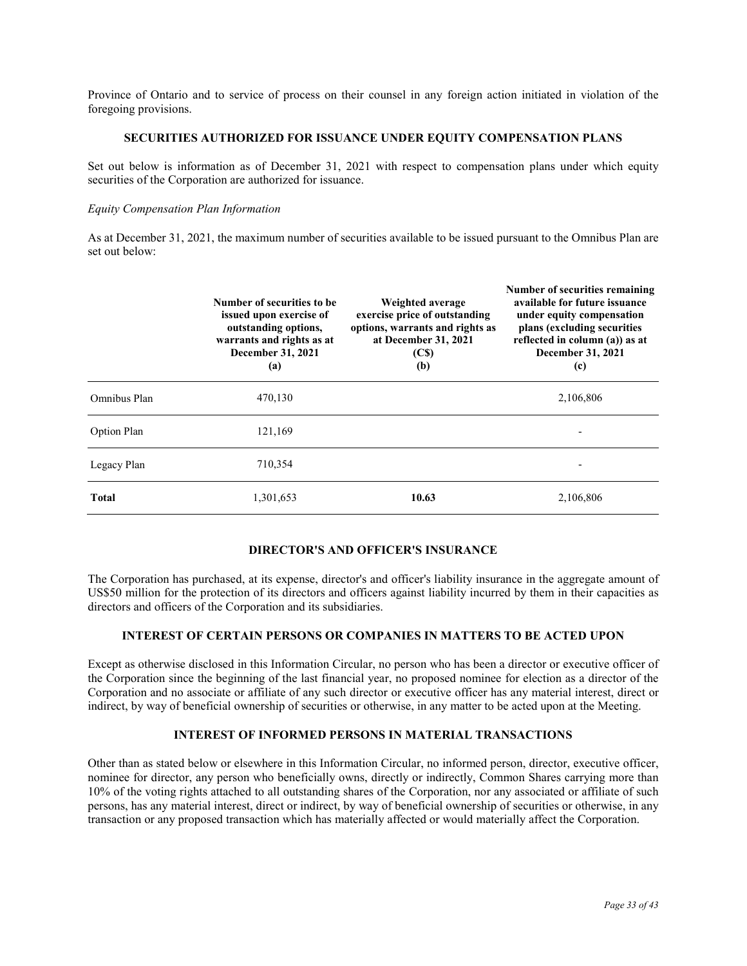Province of Ontario and to service of process on their counsel in any foreign action initiated in violation of the foregoing provisions.

# **SECURITIES AUTHORIZED FOR ISSUANCE UNDER EQUITY COMPENSATION PLANS**

Set out below is information as of December 31, 2021 with respect to compensation plans under which equity securities of the Corporation are authorized for issuance.

#### *Equity Compensation Plan Information*

As at December 31, 2021, the maximum number of securities available to be issued pursuant to the Omnibus Plan are set out below:

|              | Number of securities to be.<br>issued upon exercise of<br>outstanding options,<br>warrants and rights as at<br>December 31, 2021<br>(a) | Weighted average<br>exercise price of outstanding<br>options, warrants and rights as<br>at December 31, 2021<br>(C <sub>s</sub> )<br>(b) | Number of securities remaining<br>available for future issuance<br>under equity compensation<br>plans (excluding securities)<br>reflected in column (a)) as at<br>December 31, 2021<br>(c) |
|--------------|-----------------------------------------------------------------------------------------------------------------------------------------|------------------------------------------------------------------------------------------------------------------------------------------|--------------------------------------------------------------------------------------------------------------------------------------------------------------------------------------------|
| Omnibus Plan | 470,130                                                                                                                                 |                                                                                                                                          | 2,106,806                                                                                                                                                                                  |
| Option Plan  | 121,169                                                                                                                                 |                                                                                                                                          |                                                                                                                                                                                            |
| Legacy Plan  | 710,354                                                                                                                                 |                                                                                                                                          |                                                                                                                                                                                            |
| <b>Total</b> | 1,301,653                                                                                                                               | 10.63                                                                                                                                    | 2,106,806                                                                                                                                                                                  |

# **DIRECTOR'S AND OFFICER'S INSURANCE**

The Corporation has purchased, at its expense, director's and officer's liability insurance in the aggregate amount of US\$50 million for the protection of its directors and officers against liability incurred by them in their capacities as directors and officers of the Corporation and its subsidiaries.

# **INTEREST OF CERTAIN PERSONS OR COMPANIES IN MATTERS TO BE ACTED UPON**

Except as otherwise disclosed in this Information Circular, no person who has been a director or executive officer of the Corporation since the beginning of the last financial year, no proposed nominee for election as a director of the Corporation and no associate or affiliate of any such director or executive officer has any material interest, direct or indirect, by way of beneficial ownership of securities or otherwise, in any matter to be acted upon at the Meeting.

# **INTEREST OF INFORMED PERSONS IN MATERIAL TRANSACTIONS**

Other than as stated below or elsewhere in this Information Circular, no informed person, director, executive officer, nominee for director, any person who beneficially owns, directly or indirectly, Common Shares carrying more than 10% of the voting rights attached to all outstanding shares of the Corporation, nor any associated or affiliate of such persons, has any material interest, direct or indirect, by way of beneficial ownership of securities or otherwise, in any transaction or any proposed transaction which has materially affected or would materially affect the Corporation.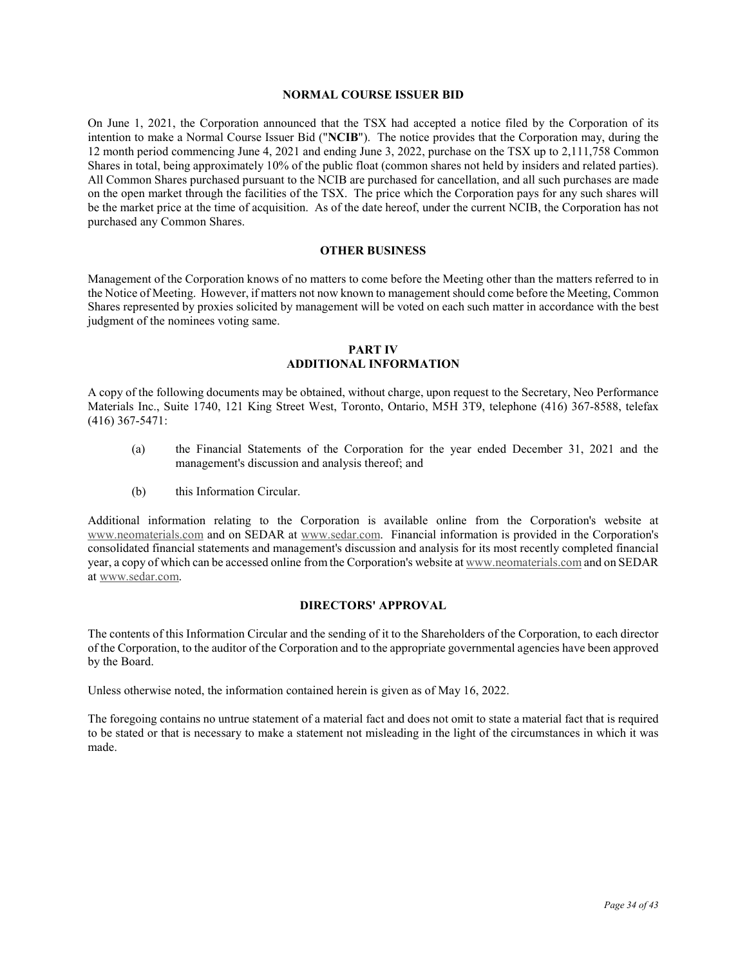# **NORMAL COURSE ISSUER BID**

On June 1, 2021, the Corporation announced that the TSX had accepted a notice filed by the Corporation of its intention to make a Normal Course Issuer Bid ("**NCIB**"). The notice provides that the Corporation may, during the 12 month period commencing June 4, 2021 and ending June 3, 2022, purchase on the TSX up to 2,111,758 Common Shares in total, being approximately 10% of the public float (common shares not held by insiders and related parties). All Common Shares purchased pursuant to the NCIB are purchased for cancellation, and all such purchases are made on the open market through the facilities of the TSX. The price which the Corporation pays for any such shares will be the market price at the time of acquisition. As of the date hereof, under the current NCIB, the Corporation has not purchased any Common Shares.

# **OTHER BUSINESS**

Management of the Corporation knows of no matters to come before the Meeting other than the matters referred to in the Notice of Meeting. However, if matters not now known to management should come before the Meeting, Common Shares represented by proxies solicited by management will be voted on each such matter in accordance with the best judgment of the nominees voting same.

# **PART IV ADDITIONAL INFORMATION**

A copy of the following documents may be obtained, without charge, upon request to the Secretary, Neo Performance Materials Inc., Suite 1740, 121 King Street West, Toronto, Ontario, M5H 3T9, telephone (416) 367-8588, telefax (416) 367-5471:

- (a) the Financial Statements of the Corporation for the year ended December 31, 2021 and the management's discussion and analysis thereof; and
- (b) this Information Circular.

Additional information relating to the Corporation is available online from the Corporation's website at www.neomaterials.com and on SEDAR at www.sedar.com. Financial information is provided in the Corporation's consolidated financial statements and management's discussion and analysis for its most recently completed financial year, a copy of which can be accessed online from the Corporation's website at www.neomaterials.com and on SEDAR at www.sedar.com.

# **DIRECTORS' APPROVAL**

The contents of this Information Circular and the sending of it to the Shareholders of the Corporation, to each director of the Corporation, to the auditor of the Corporation and to the appropriate governmental agencies have been approved by the Board.

Unless otherwise noted, the information contained herein is given as of May 16, 2022.

The foregoing contains no untrue statement of a material fact and does not omit to state a material fact that is required to be stated or that is necessary to make a statement not misleading in the light of the circumstances in which it was made.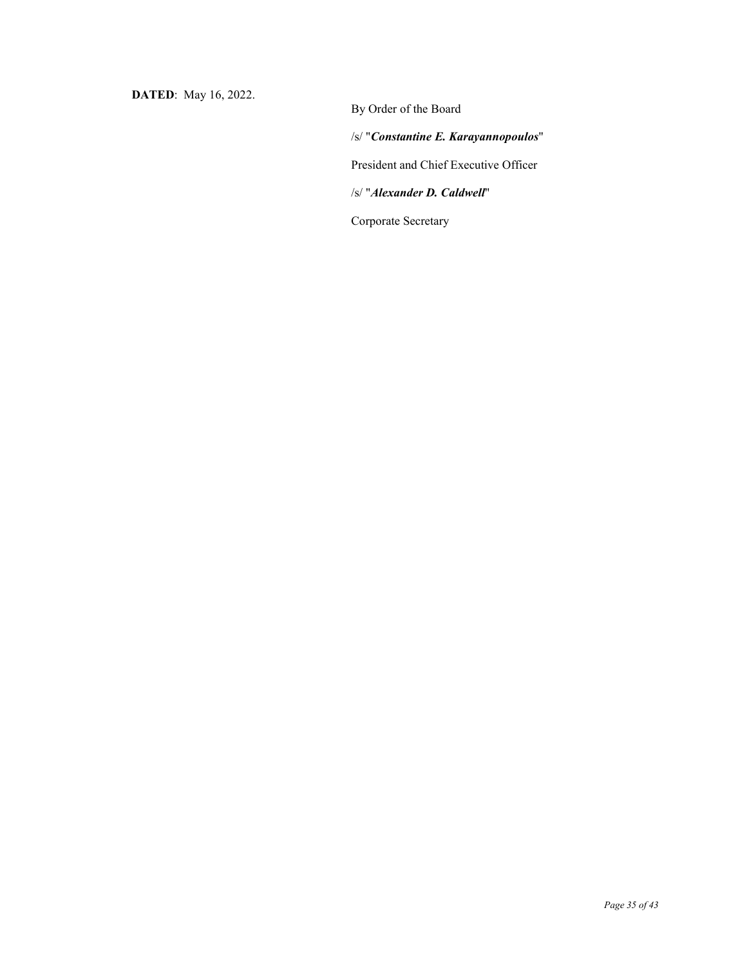**DATED**: May 16, 2022.

By Order of the Board /s/ "*Constantine E. Karayannopoulos*" President and Chief Executive Officer /s/ "*Alexander D. Caldwell*" Corporate Secretary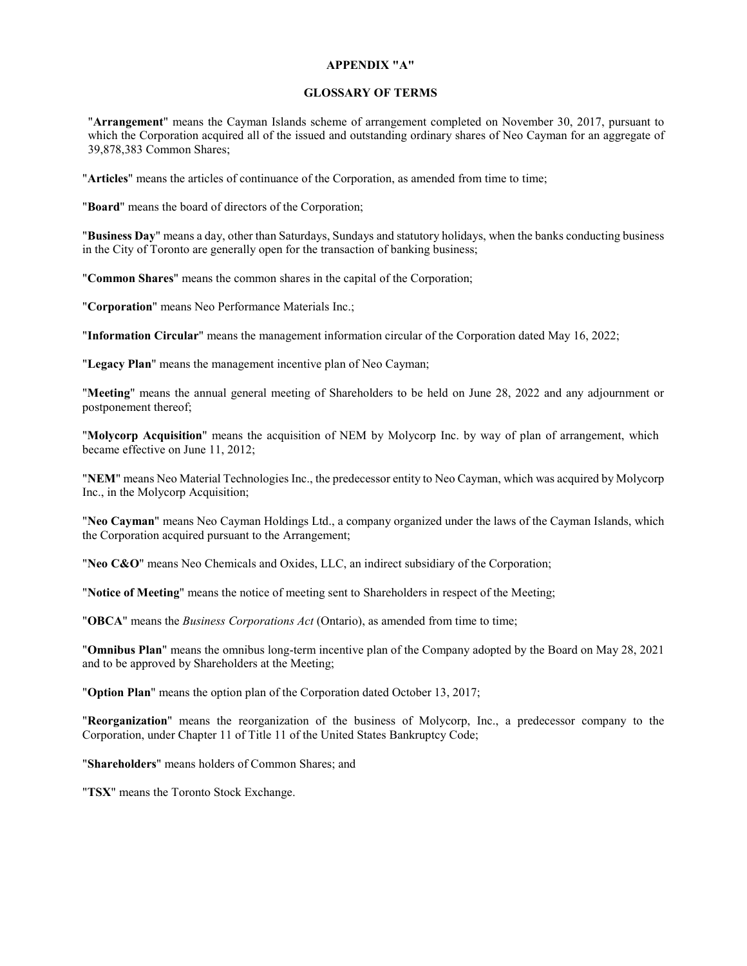# **APPENDIX "A"**

# **GLOSSARY OF TERMS**

"**Arrangement**" means the Cayman Islands scheme of arrangement completed on November 30, 2017, pursuant to which the Corporation acquired all of the issued and outstanding ordinary shares of Neo Cayman for an aggregate of 39,878,383 Common Shares;

"**Articles**" means the articles of continuance of the Corporation, as amended from time to time;

"**Board**" means the board of directors of the Corporation;

"**Business Day**" means a day, other than Saturdays, Sundays and statutory holidays, when the banks conducting business in the City of Toronto are generally open for the transaction of banking business;

"**Common Shares**" means the common shares in the capital of the Corporation;

"**Corporation**" means Neo Performance Materials Inc.;

"**Information Circular**" means the management information circular of the Corporation dated May 16, 2022;

"**Legacy Plan**" means the management incentive plan of Neo Cayman;

"**Meeting**" means the annual general meeting of Shareholders to be held on June 28, 2022 and any adjournment or postponement thereof;

"**Molycorp Acquisition**" means the acquisition of NEM by Molycorp Inc. by way of plan of arrangement, which became effective on June 11, 2012;

"**NEM**" means Neo Material Technologies Inc., the predecessor entity to Neo Cayman, which was acquired by Molycorp Inc., in the Molycorp Acquisition;

"**Neo Cayman**" means Neo Cayman Holdings Ltd., a company organized under the laws of the Cayman Islands, which the Corporation acquired pursuant to the Arrangement;

"**Neo C&O**" means Neo Chemicals and Oxides, LLC, an indirect subsidiary of the Corporation;

"**Notice of Meeting**" means the notice of meeting sent to Shareholders in respect of the Meeting;

"**OBCA**" means the *Business Corporations Act* (Ontario), as amended from time to time;

"**Omnibus Plan**" means the omnibus long-term incentive plan of the Company adopted by the Board on May 28, 2021 and to be approved by Shareholders at the Meeting;

"**Option Plan**" means the option plan of the Corporation dated October 13, 2017;

"**Reorganization**" means the reorganization of the business of Molycorp, Inc., a predecessor company to the Corporation, under Chapter 11 of Title 11 of the United States Bankruptcy Code;

"**Shareholders**" means holders of Common Shares; and

"**TSX**" means the Toronto Stock Exchange.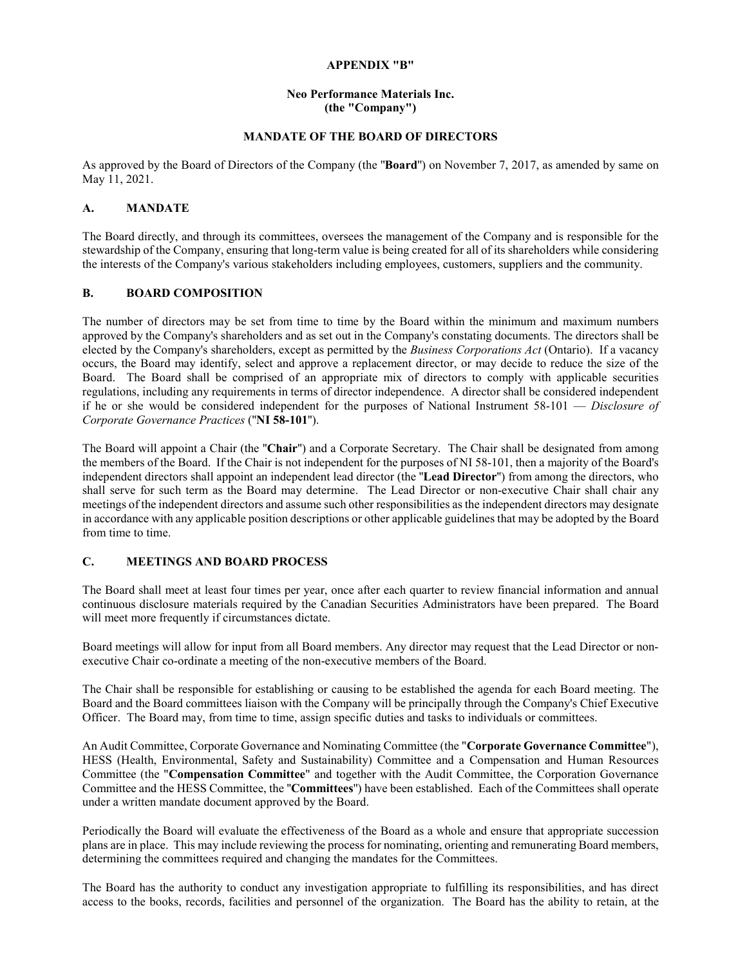# **APPENDIX "B"**

# **Neo Performance Materials Inc. (the "Company")**

# **MANDATE OF THE BOARD OF DIRECTORS**

As approved by the Board of Directors of the Company (the ''**Board**'') on November 7, 2017, as amended by same on May 11, 2021.

# **A. MANDATE**

The Board directly, and through its committees, oversees the management of the Company and is responsible for the stewardship of the Company, ensuring that long-term value is being created for all of its shareholders while considering the interests of the Company's various stakeholders including employees, customers, suppliers and the community.

# **B. BOARD COMPOSITION**

The number of directors may be set from time to time by the Board within the minimum and maximum numbers approved by the Company's shareholders and as set out in the Company's constating documents. The directors shall be elected by the Company's shareholders, except as permitted by the *Business Corporations Act* (Ontario). If a vacancy occurs, the Board may identify, select and approve a replacement director, or may decide to reduce the size of the Board. The Board shall be comprised of an appropriate mix of directors to comply with applicable securities regulations, including any requirements in terms of director independence. A director shall be considered independent if he or she would be considered independent for the purposes of National Instrument 58-101 — *Disclosure of Corporate Governance Practices* (''**NI 58-101**'').

The Board will appoint a Chair (the ''**Chair**'') and a Corporate Secretary. The Chair shall be designated from among the members of the Board. If the Chair is not independent for the purposes of NI 58-101, then a majority of the Board's independent directors shall appoint an independent lead director (the ''**Lead Director**'') from among the directors, who shall serve for such term as the Board may determine. The Lead Director or non-executive Chair shall chair any meetings of the independent directors and assume such other responsibilities as the independent directors may designate in accordance with any applicable position descriptions or other applicable guidelines that may be adopted by the Board from time to time.

# **C. MEETINGS AND BOARD PROCESS**

The Board shall meet at least four times per year, once after each quarter to review financial information and annual continuous disclosure materials required by the Canadian Securities Administrators have been prepared. The Board will meet more frequently if circumstances dictate.

Board meetings will allow for input from all Board members. Any director may request that the Lead Director or nonexecutive Chair co-ordinate a meeting of the non-executive members of the Board.

The Chair shall be responsible for establishing or causing to be established the agenda for each Board meeting. The Board and the Board committees liaison with the Company will be principally through the Company's Chief Executive Officer. The Board may, from time to time, assign specific duties and tasks to individuals or committees.

An Audit Committee, Corporate Governance and Nominating Committee (the "**Corporate Governance Committee**"), HESS (Health, Environmental, Safety and Sustainability) Committee and a Compensation and Human Resources Committee (the "**Compensation Committee**" and together with the Audit Committee, the Corporation Governance Committee and the HESS Committee, the ''**Committees**'') have been established. Each of the Committees shall operate under a written mandate document approved by the Board.

Periodically the Board will evaluate the effectiveness of the Board as a whole and ensure that appropriate succession plans are in place. This may include reviewing the process for nominating, orienting and remunerating Board members, determining the committees required and changing the mandates for the Committees.

The Board has the authority to conduct any investigation appropriate to fulfilling its responsibilities, and has direct access to the books, records, facilities and personnel of the organization. The Board has the ability to retain, at the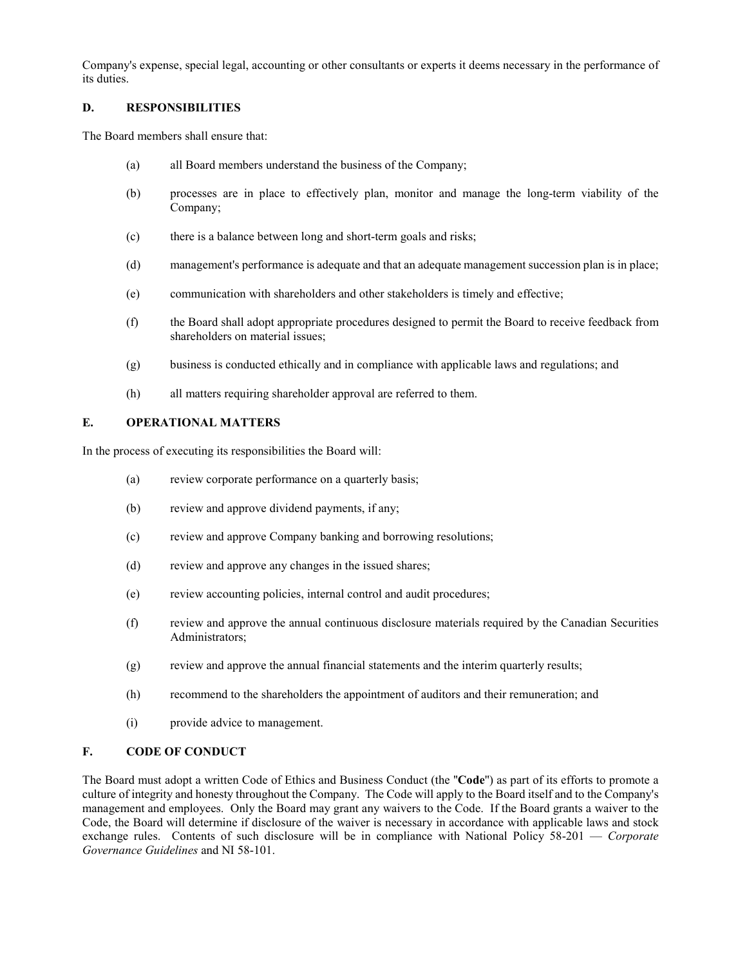Company's expense, special legal, accounting or other consultants or experts it deems necessary in the performance of its duties.

# **D. RESPONSIBILITIES**

The Board members shall ensure that:

- (a) all Board members understand the business of the Company;
- (b) processes are in place to effectively plan, monitor and manage the long-term viability of the Company;
- (c) there is a balance between long and short-term goals and risks;
- (d) management's performance is adequate and that an adequate management succession plan is in place;
- (e) communication with shareholders and other stakeholders is timely and effective;
- (f) the Board shall adopt appropriate procedures designed to permit the Board to receive feedback from shareholders on material issues;
- (g) business is conducted ethically and in compliance with applicable laws and regulations; and
- (h) all matters requiring shareholder approval are referred to them.

# **E. OPERATIONAL MATTERS**

In the process of executing its responsibilities the Board will:

- (a) review corporate performance on a quarterly basis;
- (b) review and approve dividend payments, if any;
- (c) review and approve Company banking and borrowing resolutions;
- (d) review and approve any changes in the issued shares;
- (e) review accounting policies, internal control and audit procedures;
- (f) review and approve the annual continuous disclosure materials required by the Canadian Securities Administrators;
- (g) review and approve the annual financial statements and the interim quarterly results;
- (h) recommend to the shareholders the appointment of auditors and their remuneration; and
- (i) provide advice to management.

# **F. CODE OF CONDUCT**

The Board must adopt a written Code of Ethics and Business Conduct (the ''**Code**'') as part of its efforts to promote a culture of integrity and honesty throughout the Company. The Code will apply to the Board itself and to the Company's management and employees. Only the Board may grant any waivers to the Code. If the Board grants a waiver to the Code, the Board will determine if disclosure of the waiver is necessary in accordance with applicable laws and stock exchange rules. Contents of such disclosure will be in compliance with National Policy 58-201 — *Corporate Governance Guidelines* and NI 58-101.